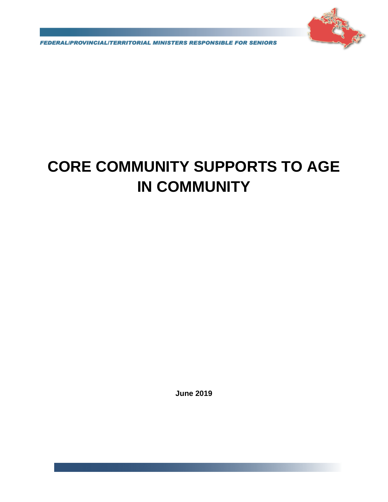

**FEDERALIPROVINCIALITERRITORIAL MINISTERS RESPONSIBLE FOR SENIORS** 

# **CORE COMMUNITY SUPPORTS TO AGE IN COMMUNITY**

**June 2019**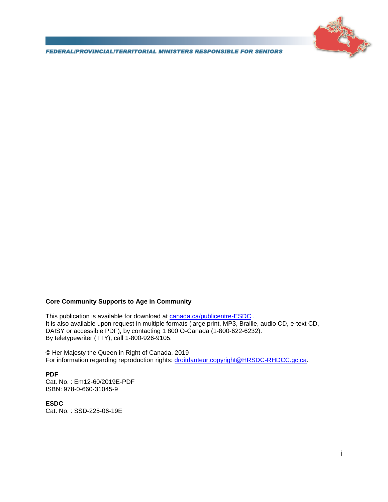

**FEDERALIPROVINCIALITERRITORIAL MINISTERS RESPONSIBLE FOR SENIORS** 

#### **Core Community Supports to Age in Community**

This publication is available for download at [canada.ca/publicentre-ESDC](http://canada.ca/publicentre-ESDC). It is also available upon request in multiple formats (large print, MP3, Braille, audio CD, e-text CD, DAISY or accessible PDF), by contacting 1 800 O-Canada (1-800-622-6232). By teletypewriter (TTY), call 1-800-926-9105.

© Her Majesty the Queen in Right of Canada, 2019 For information regarding reproduction rights: [droitdauteur.copyright@HRSDC-RHDCC.gc.ca.](mailto:droitdauteur.copyright@HRSDC-RHDCC.gc.ca)

#### **PDF**

Cat. No. : Em12-60/2019E-PDF ISBN: 978-0-660-31045-9

**ESDC** Cat. No. : SSD-225-06-19E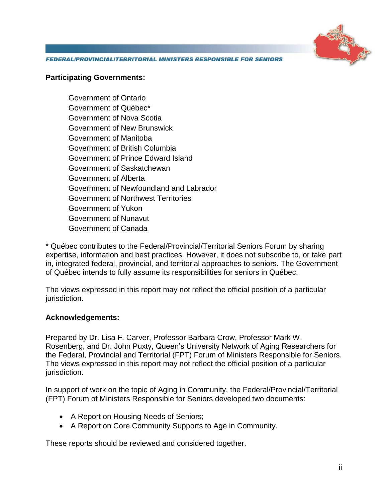

**FEDERALIPROVINCIALITERRITORIAL MINISTERS RESPONSIBLE FOR SENIORS** 

#### **Participating Governments:**

Government of Ontario Government of Québec\* Government of Nova Scotia Government of New Brunswick Government of Manitoba Government of British Columbia Government of Prince Edward Island Government of Saskatchewan Government of Alberta Government of Newfoundland and Labrador Government of Northwest Territories Government of Yukon Government of Nunavut Government of Canada

\* Québec contributes to the Federal/Provincial/Territorial Seniors Forum by sharing expertise, information and best practices. However, it does not subscribe to, or take part in, integrated federal, provincial, and territorial approaches to seniors. The Government of Québec intends to fully assume its responsibilities for seniors in Québec.

The views expressed in this report may not reflect the official position of a particular jurisdiction.

#### **Acknowledgements:**

Prepared by Dr. Lisa F. Carver, Professor Barbara Crow, Professor Mark W. Rosenberg, and Dr. John Puxty, Queen's University Network of Aging Researchers for the Federal, Provincial and Territorial (FPT) Forum of Ministers Responsible for Seniors. The views expressed in this report may not reflect the official position of a particular jurisdiction.

In support of work on the topic of Aging in Community, the Federal/Provincial/Territorial (FPT) Forum of Ministers Responsible for Seniors developed two documents:

- A Report on Housing Needs of Seniors;
- A Report on Core Community Supports to Age in Community.

These reports should be reviewed and considered together.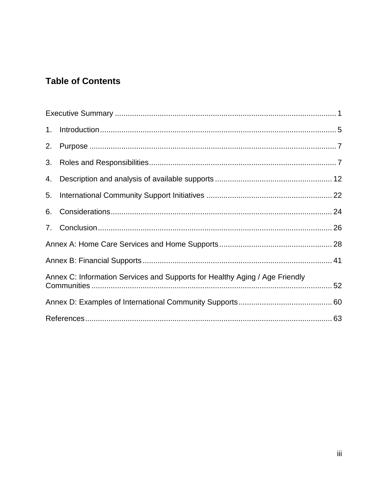## **Table of Contents**

| 4. |                                                                             |  |
|----|-----------------------------------------------------------------------------|--|
| 5. |                                                                             |  |
| 6. |                                                                             |  |
|    |                                                                             |  |
|    |                                                                             |  |
|    |                                                                             |  |
|    | Annex C: Information Services and Supports for Healthy Aging / Age Friendly |  |
|    |                                                                             |  |
|    |                                                                             |  |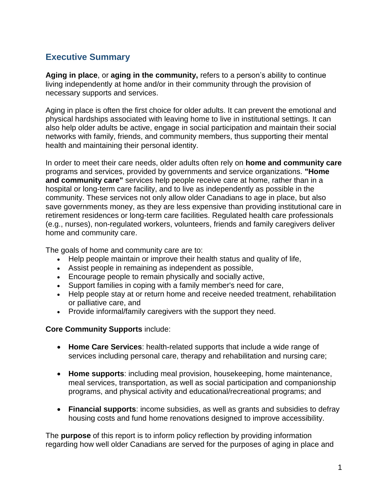## **Executive Summary**

**Aging in place**, or **aging in the community,** refers to a person's ability to continue living independently at home and/or in their community through the provision of necessary supports and services.

Aging in place is often the first choice for older adults. It can prevent the emotional and physical hardships associated with leaving home to live in institutional settings. It can also help older adults be active, engage in social participation and maintain their social networks with family, friends, and community members, thus supporting their mental health and maintaining their personal identity.

In order to meet their care needs, older adults often rely on **home and community care** programs and services, provided by governments and service organizations. **"Home and community care"** services help people receive care at home, rather than in a hospital or long-term care facility, and to live as independently as possible in the community. These services not only allow older Canadians to age in place, but also save governments money, as they are less expensive than providing institutional care in retirement residences or long-term care facilities. Regulated health care professionals (e.g., nurses), non-regulated workers, volunteers, friends and family caregivers deliver home and community care.

The goals of home and community care are to:

- Help people maintain or improve their health status and quality of life,
- Assist people in remaining as independent as possible,
- Encourage people to remain physically and socially active,
- Support families in coping with a family member's need for care,
- Help people stay at or return home and receive needed treatment, rehabilitation or palliative care, and
- Provide informal/family caregivers with the support they need.

#### **Core Community Supports** include:

- **Home Care Services**: health-related supports that include a wide range of services including personal care, therapy and rehabilitation and nursing care;
- **Home supports**: including meal provision, housekeeping, home maintenance, meal services, transportation, as well as social participation and companionship programs, and physical activity and educational/recreational programs; and
- **Financial supports**: income subsidies, as well as grants and subsidies to defray housing costs and fund home renovations designed to improve accessibility.

The **purpose** of this report is to inform policy reflection by providing information regarding how well older Canadians are served for the purposes of aging in place and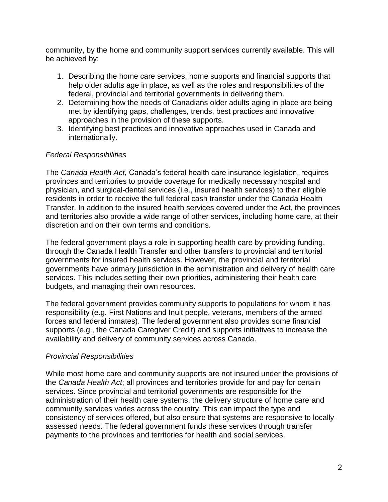community, by the home and community support services currently available. This will be achieved by:

- 1. Describing the home care services, home supports and financial supports that help older adults age in place, as well as the roles and responsibilities of the federal, provincial and territorial governments in delivering them.
- 2. Determining how the needs of Canadians older adults aging in place are being met by identifying gaps, challenges, trends, best practices and innovative approaches in the provision of these supports.
- 3. Identifying best practices and innovative approaches used in Canada and internationally.

#### *Federal Responsibilities*

The *Canada Health Act,* Canada's federal health care insurance legislation, requires provinces and territories to provide coverage for medically necessary hospital and physician, and surgical-dental services (i.e., insured health services) to their eligible residents in order to receive the full federal cash transfer under the Canada Health Transfer. In addition to the insured health services covered under the Act, the provinces and territories also provide a wide range of other services, including home care, at their discretion and on their own terms and conditions.

The federal government plays a role in supporting health care by providing funding, through the Canada Health Transfer and other transfers to provincial and territorial governments for insured health services. However, the provincial and territorial governments have primary jurisdiction in the administration and delivery of health care services. This includes setting their own priorities, administering their health care budgets, and managing their own resources.

The federal government provides community supports to populations for whom it has responsibility (e.g. First Nations and Inuit people, veterans, members of the armed forces and federal inmates). The federal government also provides some financial supports (e.g., the Canada Caregiver Credit) and supports initiatives to increase the availability and delivery of community services across Canada.

#### *Provincial Responsibilities*

While most home care and community supports are not insured under the provisions of the *Canada Health Act*; all provinces and territories provide for and pay for certain services. Since provincial and territorial governments are responsible for the administration of their health care systems, the delivery structure of home care and community services varies across the country. This can impact the type and consistency of services offered, but also ensure that systems are responsive to locallyassessed needs. The federal government funds these services through transfer payments to the provinces and territories for health and social services.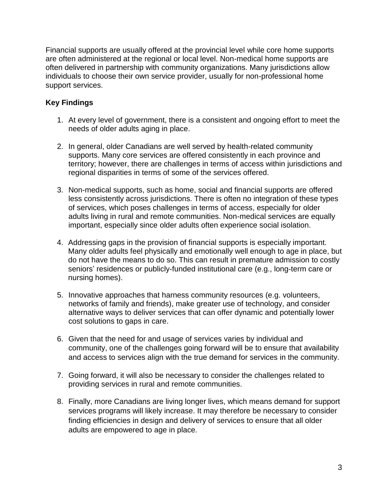Financial supports are usually offered at the provincial level while core home supports are often administered at the regional or local level. Non-medical home supports are often delivered in partnership with community organizations. Many jurisdictions allow individuals to choose their own service provider, usually for non-professional home support services.

### **Key Findings**

- 1. At every level of government, there is a consistent and ongoing effort to meet the needs of older adults aging in place.
- 2. In general, older Canadians are well served by health-related community supports. Many core services are offered consistently in each province and territory; however, there are challenges in terms of access within jurisdictions and regional disparities in terms of some of the services offered.
- 3. Non-medical supports, such as home, social and financial supports are offered less consistently across jurisdictions. There is often no integration of these types of services, which poses challenges in terms of access, especially for older adults living in rural and remote communities. Non-medical services are equally important, especially since older adults often experience social isolation.
- 4. Addressing gaps in the provision of financial supports is especially important. Many older adults feel physically and emotionally well enough to age in place, but do not have the means to do so. This can result in premature admission to costly seniors' residences or publicly-funded institutional care (e.g., long-term care or nursing homes).
- 5. Innovative approaches that harness community resources (e.g. volunteers, networks of family and friends), make greater use of technology, and consider alternative ways to deliver services that can offer dynamic and potentially lower cost solutions to gaps in care.
- 6. Given that the need for and usage of services varies by individual and community, one of the challenges going forward will be to ensure that availability and access to services align with the true demand for services in the community.
- 7. Going forward, it will also be necessary to consider the challenges related to providing services in rural and remote communities.
- 8. Finally, more Canadians are living longer lives, which means demand for support services programs will likely increase. It may therefore be necessary to consider finding efficiencies in design and delivery of services to ensure that all older adults are empowered to age in place.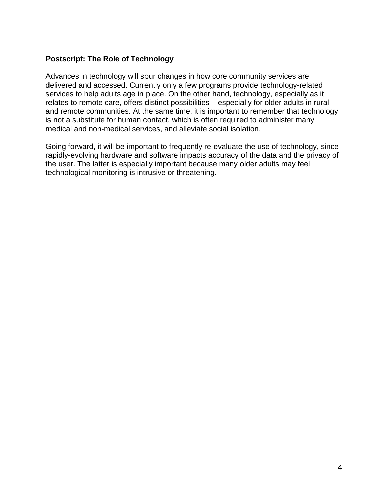#### **Postscript: The Role of Technology**

Advances in technology will spur changes in how core community services are delivered and accessed. Currently only a few programs provide technology-related services to help adults age in place. On the other hand, technology, especially as it relates to remote care, offers distinct possibilities – especially for older adults in rural and remote communities. At the same time, it is important to remember that technology is not a substitute for human contact, which is often required to administer many medical and non-medical services, and alleviate social isolation.

Going forward, it will be important to frequently re-evaluate the use of technology, since rapidly-evolving hardware and software impacts accuracy of the data and the privacy of the user. The latter is especially important because many older adults may feel technological monitoring is intrusive or threatening.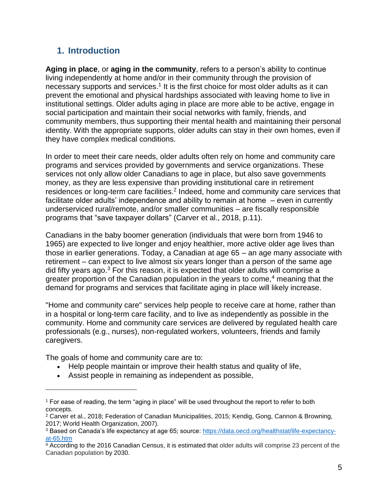## **1. Introduction**

**Aging in place**, or **aging in the community**, refers to a person's ability to continue living independently at home and/or in their community through the provision of necessary supports and services.<sup>1</sup> It is the first choice for most older adults as it can prevent the emotional and physical hardships associated with leaving home to live in institutional settings. Older adults aging in place are more able to be active, engage in social participation and maintain their social networks with family, friends, and community members, thus supporting their mental health and maintaining their personal identity. With the appropriate supports, older adults can stay in their own homes, even if they have complex medical conditions.

In order to meet their care needs, older adults often rely on home and community care programs and services provided by governments and service organizations. These services not only allow older Canadians to age in place, but also save governments money, as they are less expensive than providing institutional care in retirement residences or long-term care facilities.<sup>2</sup> Indeed, home and community care services that facilitate older adults' independence and ability to remain at home – even in currently underserviced rural/remote, and/or smaller communities – are fiscally responsible programs that "save taxpayer dollars" (Carver et al., 2018, p.11).

Canadians in the baby boomer generation (individuals that were born from 1946 to 1965) are expected to live longer and enjoy healthier, more active older age lives than those in earlier generations. Today, a Canadian at age 65 – an age many associate with retirement – can expect to live almost six years longer than a person of the same age did fifty years ago.<sup>3</sup> For this reason, it is expected that older adults will comprise a greater proportion of the Canadian population in the years to come, $4$  meaning that the demand for programs and services that facilitate aging in place will likely increase.

"Home and community care" services help people to receive care at home, rather than in a hospital or long-term care facility, and to live as independently as possible in the community. Home and community care services are delivered by regulated health care professionals (e.g., nurses), non-regulated workers, volunteers, friends and family caregivers.

The goals of home and community care are to:

- Help people maintain or improve their health status and quality of life,
- Assist people in remaining as independent as possible,

<sup>1</sup> For ease of reading, the term "aging in place" will be used throughout the report to refer to both concepts.

<sup>&</sup>lt;sup>2</sup> Carver et al., 2018; Federation of Canadian Municipalities, 2015; Kendig, Gong, Cannon & Browning, 2017; World Health Organization, 2007).

<sup>3</sup> Based on Canada's life expectancy at age 65; source: [https://data.oecd.org/healthstat/life-expectancy](https://data.oecd.org/healthstat/life-expectancy-at-65.htm)[at-65.htm](https://data.oecd.org/healthstat/life-expectancy-at-65.htm)

<sup>4</sup> According to the 2016 Canadian Census, it is estimated that older adults will comprise 23 percent of the Canadian population by 2030.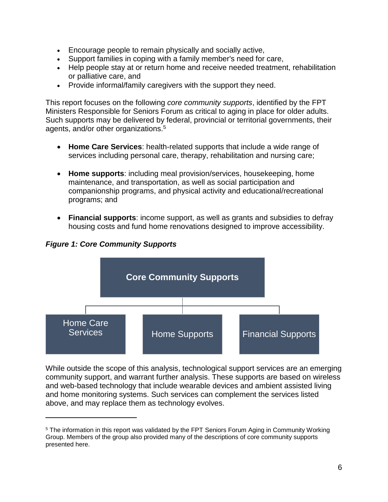- Encourage people to remain physically and socially active,
- Support families in coping with a family member's need for care,
- Help people stay at or return home and receive needed treatment, rehabilitation or palliative care, and
- Provide informal/family caregivers with the support they need.

This report focuses on the following *core community supports*, identified by the FPT Ministers Responsible for Seniors Forum as critical to aging in place for older adults. Such supports may be delivered by federal, provincial or territorial governments, their agents, and/or other organizations.<sup>5</sup>

- **Home Care Services**: health-related supports that include a wide range of services including personal care, therapy, rehabilitation and nursing care;
- **Home supports**: including meal provision/services, housekeeping, home maintenance, and transportation, as well as social participation and companionship programs, and physical activity and educational/recreational programs; and
- **Financial supports**: income support, as well as grants and subsidies to defray housing costs and fund home renovations designed to improve accessibility.

**Core Community Supports** Home Care Services Home Supports Financial Supports

*Figure 1: Core Community Supports*

 $\overline{a}$ 

While outside the scope of this analysis, technological support services are an emerging community support, and warrant further analysis. These supports are based on wireless and web-based technology that include wearable devices and ambient assisted living and home monitoring systems. Such services can complement the services listed above, and may replace them as technology evolves.

<sup>&</sup>lt;sup>5</sup> The information in this report was validated by the FPT Seniors Forum Aging in Community Working Group. Members of the group also provided many of the descriptions of core community supports presented here.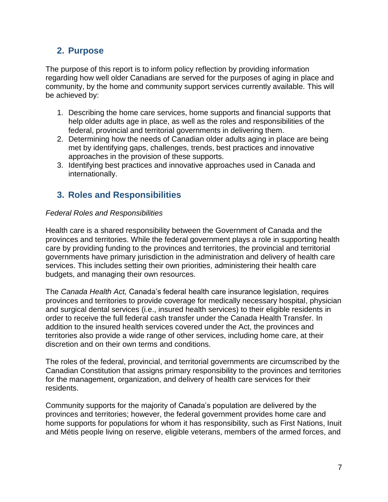## **2. Purpose**

The purpose of this report is to inform policy reflection by providing information regarding how well older Canadians are served for the purposes of aging in place and community, by the home and community support services currently available. This will be achieved by:

- 1. Describing the home care services, home supports and financial supports that help older adults age in place, as well as the roles and responsibilities of the federal, provincial and territorial governments in delivering them.
- 2. Determining how the needs of Canadian older adults aging in place are being met by identifying gaps, challenges, trends, best practices and innovative approaches in the provision of these supports.
- 3. Identifying best practices and innovative approaches used in Canada and internationally.

## **3. Roles and Responsibilities**

#### *Federal Roles and Responsibilities*

Health care is a shared responsibility between the Government of Canada and the provinces and territories. While the federal government plays a role in supporting health care by providing funding to the provinces and territories, the provincial and territorial governments have primary jurisdiction in the administration and delivery of health care services. This includes setting their own priorities, administering their health care budgets, and managing their own resources.

The *Canada Health Act,* Canada's federal health care insurance legislation, requires provinces and territories to provide coverage for medically necessary hospital, physician and surgical dental services (i.e., insured health services) to their eligible residents in order to receive the full federal cash transfer under the Canada Health Transfer. In addition to the insured health services covered under the Act, the provinces and territories also provide a wide range of other services, including home care, at their discretion and on their own terms and conditions.

The roles of the federal, provincial, and territorial governments are circumscribed by the Canadian Constitution that assigns primary responsibility to the provinces and territories for the management, organization, and delivery of health care services for their residents.

Community supports for the majority of Canada's population are delivered by the provinces and territories; however, the federal government provides home care and home supports for populations for whom it has responsibility, such as First Nations, Inuit and Métis people living on reserve, eligible veterans, members of the armed forces, and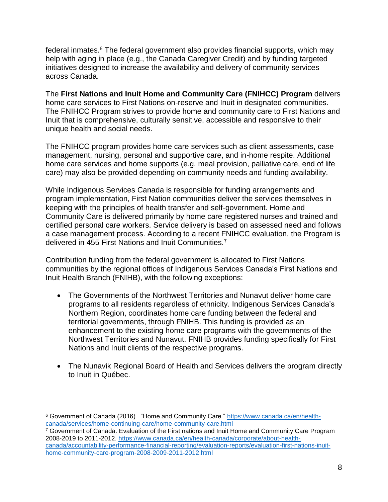federal inmates.<sup>6</sup> The federal government also provides financial supports, which may help with aging in place (e.g., the Canada Caregiver Credit) and by funding targeted initiatives designed to increase the availability and delivery of community services across Canada.

The **First Nations and Inuit Home and Community Care (FNIHCC) Program** delivers home care services to First Nations on-reserve and Inuit in designated communities. The FNIHCC Program strives to provide home and community care to First Nations and Inuit that is comprehensive, culturally sensitive, accessible and responsive to their unique health and social needs.

The FNIHCC program provides home care services such as client assessments, case management, nursing, personal and supportive care, and in-home respite. Additional home care services and home supports (e.g. meal provision, palliative care, end of life care) may also be provided depending on community needs and funding availability.

While Indigenous Services Canada is responsible for funding arrangements and program implementation, First Nation communities deliver the services themselves in keeping with the principles of health transfer and self-government. Home and Community Care is delivered primarily by home care registered nurses and trained and certified personal care workers. Service delivery is based on assessed need and follows a case management process. According to a recent FNIHCC evaluation, the Program is delivered in 455 First Nations and Inuit Communities.<sup>7</sup>

Contribution funding from the federal government is allocated to First Nations communities by the regional offices of Indigenous Services Canada's First Nations and Inuit Health Branch (FNIHB), with the following exceptions:

- The Governments of the Northwest Territories and Nunavut deliver home care programs to all residents regardless of ethnicity. Indigenous Services Canada's Northern Region, coordinates home care funding between the federal and territorial governments, through FNIHB. This funding is provided as an enhancement to the existing home care programs with the governments of the Northwest Territories and Nunavut. FNIHB provides funding specifically for First Nations and Inuit clients of the respective programs.
- The Nunavik Regional Board of Health and Services delivers the program directly to Inuit in Québec.

<sup>6</sup> Government of Canada (2016). "Home and Community Care." [https://www.canada.ca/en/health](https://www.canada.ca/en/health-canada/services/home-continuing-care/home-community-care.html)[canada/services/home-continuing-care/home-community-care.html](https://www.canada.ca/en/health-canada/services/home-continuing-care/home-community-care.html)

<sup>&</sup>lt;sup>7</sup> Government of Canada. Evaluation of the First nations and Inuit Home and Community Care Program 2008-2019 to 2011-2012. [https://www.canada.ca/en/health-canada/corporate/about-health](https://www.canada.ca/en/health-canada/corporate/about-health-canada/accountability-performance-financial-reporting/evaluation-reports/evaluation-first-nations-inuit-home-community-care-program-2008-2009-2011-2012.html)[canada/accountability-performance-financial-reporting/evaluation-reports/evaluation-first-nations-inuit](https://www.canada.ca/en/health-canada/corporate/about-health-canada/accountability-performance-financial-reporting/evaluation-reports/evaluation-first-nations-inuit-home-community-care-program-2008-2009-2011-2012.html)[home-community-care-program-2008-2009-2011-2012.html](https://www.canada.ca/en/health-canada/corporate/about-health-canada/accountability-performance-financial-reporting/evaluation-reports/evaluation-first-nations-inuit-home-community-care-program-2008-2009-2011-2012.html)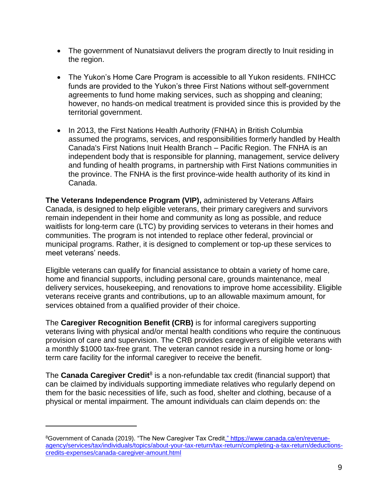- The government of Nunatsiavut delivers the program directly to Inuit residing in the region.
- The Yukon's Home Care Program is accessible to all Yukon residents. FNIHCC funds are provided to the Yukon's three First Nations without self-government agreements to fund home making services, such as shopping and cleaning; however, no hands-on medical treatment is provided since this is provided by the territorial government.
- In 2013, the First Nations Health Authority (FNHA) in British Columbia assumed the programs, services, and responsibilities formerly handled by Health Canada's First Nations Inuit Health Branch – Pacific Region. The FNHA is an independent body that is responsible for planning, management, service delivery and funding of health programs, in partnership with First Nations communities in the province. The FNHA is the first province-wide health authority of its kind in Canada.

**[The Veterans Independence Program \(VIP\),](https://www.veterans.gc.ca/eng/services/health/veterans-independence-program)** administered by Veterans Affairs Canada, is designed to help eligible veterans, their primary caregivers and survivors remain independent in their home and community as long as possible, and reduce waitlists for long-term care (LTC) by providing services to veterans in their homes and communities. The program is not intended to replace other federal, provincial or municipal programs. Rather, it is designed to complement or top-up these services to meet veterans' needs.

Eligible veterans can qualify for financial assistance to obtain a variety of home care, home and financial supports, including personal care, grounds maintenance, meal delivery services, housekeeping, and renovations to improve home accessibility. Eligible veterans receive grants and contributions, up to an allowable maximum amount, for services obtained from a qualified provider of their choice.

The **Caregiver Recognition Benefit (CRB)** is for informal caregivers supporting veterans living with physical and/or mental health conditions who require the continuous provision of care and supervision. The CRB provides caregivers of eligible veterans with a monthly \$1000 tax-free grant. The veteran cannot reside in a nursing home or longterm care facility for the informal caregiver to receive the benefit.

The **Canada Caregiver Credit**<sup>8</sup> is a non-refundable tax credit (financial support) that can be claimed by individuals supporting immediate relatives who regularly depend on them for the basic necessities of life, such as food, shelter and clothing, because of a physical or mental impairment. The amount individuals can claim depends on: the

<sup>8</sup>Government of Canada (2019). "The New Caregiver Tax Credi[t." https://www.canada.ca/en/revenue](https://www.canada.ca/en/revenue-agency/services/tax/individuals/topics/about-your-tax-return/tax-return/completing-a-tax-return/deductions-credits-expenses/canada-caregiver-amount.html)[agency/services/tax/individuals/topics/about-your-tax-return/tax-return/completing-a-tax-return/deductions](https://www.canada.ca/en/revenue-agency/services/tax/individuals/topics/about-your-tax-return/tax-return/completing-a-tax-return/deductions-credits-expenses/canada-caregiver-amount.html)[credits-expenses/canada-caregiver-amount.html](https://www.canada.ca/en/revenue-agency/services/tax/individuals/topics/about-your-tax-return/tax-return/completing-a-tax-return/deductions-credits-expenses/canada-caregiver-amount.html)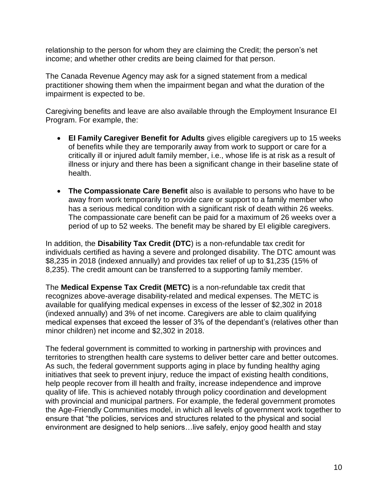relationship to the person for whom they are claiming the Credit; the person's net income; and whether other credits are being claimed for that person.

The Canada Revenue Agency may ask for a signed statement from a medical practitioner showing them when the impairment began and what the duration of the impairment is expected to be.

Caregiving benefits and leave are also available through the Employment Insurance EI Program. For example, the:

- **EI Family Caregiver Benefit for Adults** gives eligible caregivers up to 15 weeks of benefits while they are temporarily away from work to support or care for a critically ill or injured adult family member, i.e., whose life is at risk as a result of illness or injury and there has been a significant change in their baseline state of health.
- **The Compassionate Care Benefit** also is available to persons who have to be away from work temporarily to provide care or support to a family member who has a serious medical condition with a significant risk of death within 26 weeks. The compassionate care benefit can be paid for a maximum of 26 weeks over a period of up to 52 weeks. The benefit may be shared by EI eligible caregivers.

In addition, the **Disability Tax Credit (DTC**) is a non-refundable tax credit for individuals certified as having a severe and prolonged disability. The DTC amount was \$8,235 in 2018 (indexed annually) and provides tax relief of up to \$1,235 (15% of 8,235). The credit amount can be transferred to a supporting family member.

The **Medical Expense Tax Credit (METC)** is a non-refundable tax credit that recognizes above-average disability-related and medical expenses. The METC is available for qualifying medical expenses in excess of the lesser of \$2,302 in 2018 (indexed annually) and 3% of net income. Caregivers are able to claim qualifying medical expenses that exceed the lesser of 3% of the dependant's (relatives other than minor children) net income and \$2,302 in 2018.

The federal government is committed to working in partnership with provinces and territories to strengthen health care systems to deliver better care and better outcomes. As such, the federal government supports aging in place by funding healthy aging initiatives that seek to prevent injury, reduce the impact of existing health conditions, help people recover from ill health and frailty, increase independence and improve quality of life. This is achieved notably through policy coordination and development with provincial and municipal partners. For example, the federal government promotes the Age-Friendly Communities model, in which all levels of government work together to ensure that "the policies, services and structures related to the physical and social environment are designed to help seniors…live safely, enjoy good health and stay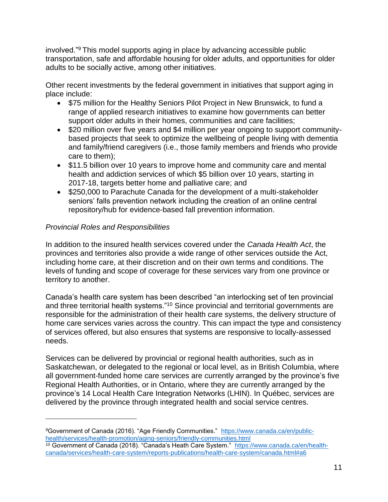involved."<sup>9</sup> This model supports aging in place by advancing accessible public transportation, safe and affordable housing for older adults, and opportunities for older adults to be socially active, among other initiatives.

Other recent investments by the federal government in initiatives that support aging in place include:

- \$75 million for the Healthy Seniors Pilot Project in New Brunswick, to fund a range of applied research initiatives to examine how governments can better support older adults in their homes, communities and care facilities;
- \$20 million over five years and \$4 million per year ongoing to support communitybased projects that seek to optimize the wellbeing of people living with dementia and family/friend caregivers (i.e., those family members and friends who provide care to them);
- \$11.5 billion over 10 years to improve home and community care and mental health and addiction services of which \$5 billion over 10 years, starting in 2017-18, targets better home and palliative care; and
- \$250,000 to Parachute Canada for the development of a multi-stakeholder seniors' falls prevention network including the creation of an online central repository/hub for evidence-based fall prevention information.

#### *Provincial Roles and Responsibilities*

 $\overline{a}$ 

In addition to the insured health services covered under the *Canada Health Act*, the provinces and territories also provide a wide range of other services outside the Act, including home care, at their discretion and on their own terms and conditions. The levels of funding and scope of coverage for these services vary from one province or territory to another.

Canada's health care system has been described "an interlocking set of ten provincial and three territorial health systems."<sup>10</sup> Since provincial and territorial governments are responsible for the administration of their health care systems, the delivery structure of home care services varies across the country. This can impact the type and consistency of services offered, but also ensures that systems are responsive to locally-assessed needs.

Services can be delivered by provincial or regional health authorities, such as in Saskatchewan, or delegated to the regional or local level, as in British Columbia, where all government-funded home care services are currently arranged by the province's five Regional Health Authorities, or in Ontario, where they are currently arranged by the province's 14 Local Health Care Integration Networks (LHIN). In Québec, services are delivered by the province through integrated health and social service centres.

<sup>9</sup>Government of Canada (2016). "Age Friendly Communities." [https://www.canada.ca/en/public](https://www.canada.ca/en/public-health/services/health-promotion/aging-seniors/friendly-communities.html)[health/services/health-promotion/aging-seniors/friendly-communities.html](https://www.canada.ca/en/public-health/services/health-promotion/aging-seniors/friendly-communities.html)

<sup>&</sup>lt;sup>10</sup> Government of Canada (2018). "Canada's Heath Care System." [https://www.canada.ca/en/health](https://www.canada.ca/en/health-canada/services/health-care-system/reports-publications/health-care-system/canada.html#a6)[canada/services/health-care-system/reports-publications/health-care-system/canada.html#a6](https://www.canada.ca/en/health-canada/services/health-care-system/reports-publications/health-care-system/canada.html#a6)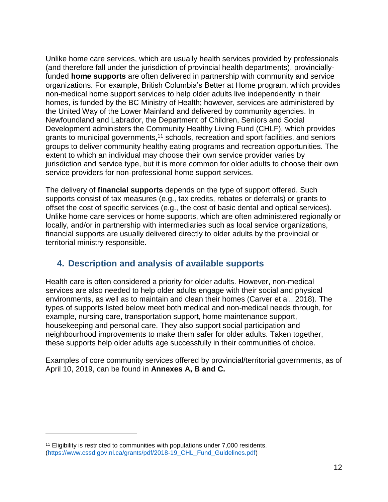Unlike home care services, which are usually health services provided by professionals (and therefore fall under the jurisdiction of provincial health departments), provinciallyfunded **home supports** are often delivered in partnership with community and service organizations. For example, British Columbia's Better at Home program, which provides non-medical home support services to help older adults live independently in their homes, is funded by the BC Ministry of Health; however, services are administered by the United Way of the Lower Mainland and delivered by community agencies. In Newfoundland and Labrador, the Department of Children, Seniors and Social Development administers the Community Healthy Living Fund (CHLF), which provides grants to municipal governments,<sup>11</sup> schools, recreation and sport facilities, and seniors groups to deliver community healthy eating programs and recreation opportunities. The extent to which an individual may choose their own service provider varies by jurisdiction and service type, but it is more common for older adults to choose their own service providers for non-professional home support services.

The delivery of **financial supports** depends on the type of support offered. Such supports consist of tax measures (e.g., tax credits, rebates or deferrals) or grants to offset the cost of specific services (e.g., the cost of basic dental and optical services). Unlike home care services or home supports, which are often administered regionally or locally, and/or in partnership with intermediaries such as local service organizations, financial supports are usually delivered directly to older adults by the provincial or territorial ministry responsible.

## **4. Description and analysis of available supports**

Health care is often considered a priority for older adults. However, non-medical services are also needed to help older adults engage with their social and physical environments, as well as to maintain and clean their homes (Carver et al., 2018). The types of supports listed below meet both medical and non-medical needs through, for example, nursing care, transportation support, home maintenance support, housekeeping and personal care. They also support social participation and neighbourhood improvements to make them safer for older adults. Taken together, these supports help older adults age successfully in their communities of choice.

Examples of core community services offered by provincial/territorial governments, as of April 10, 2019, can be found in **Annexes A, B and C.**

<sup>&</sup>lt;sup>11</sup> Eligibility is restricted to communities with populations under 7,000 residents. [\(https://www.cssd.gov.nl.ca/grants/pdf/2018-19\\_CHL\\_Fund\\_Guidelines.pdf\)](https://www.cssd.gov.nl.ca/grants/pdf/2018-19_CHL_Fund_Guidelines.pdf)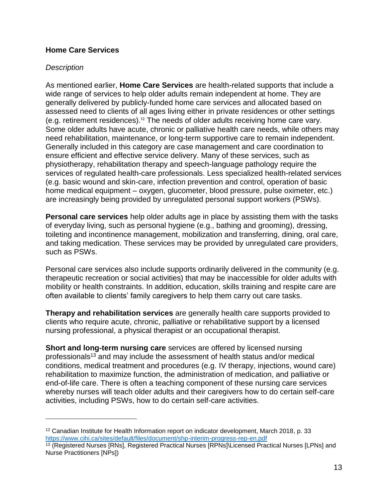#### **Home Care Services**

#### *Description*

 $\overline{a}$ 

As mentioned earlier, **Home Care Services** are health-related supports that include a wide range of services to help older adults remain independent at home. They are generally delivered by publicly-funded home care services and allocated based on assessed need to clients of all ages living either in private residences or other settings (e.g. retirement residences).<sup>12</sup> The needs of older adults receiving home care vary. Some older adults have acute, chronic or palliative health care needs, while others may need rehabilitation, maintenance, or long-term supportive care to remain independent. Generally included in this category are case management and care coordination to ensure efficient and effective service delivery. Many of these services, such as physiotherapy, rehabilitation therapy and speech-language pathology require the services of regulated health-care professionals. Less specialized health-related services (e.g. basic wound and skin-care, infection prevention and control, operation of basic home medical equipment – oxygen, glucometer, blood pressure, pulse oximeter, etc.) are increasingly being provided by unregulated personal support workers (PSWs).

**Personal care services** help older adults age in place by assisting them with the tasks of everyday living, such as personal hygiene (e.g., bathing and grooming), dressing, toileting and incontinence management, mobilization and transferring, dining, oral care, and taking medication. These services may be provided by unregulated care providers, such as PSWs.

Personal care services also include supports ordinarily delivered in the community (e.g. therapeutic recreation or social activities) that may be inaccessible for older adults with mobility or health constraints. In addition, education, skills training and respite care are often available to clients' family caregivers to help them carry out care tasks.

**Therapy and rehabilitation services** are generally health care supports provided to clients who require acute, chronic, palliative or rehabilitative support by a licensed nursing professional, a physical therapist or an occupational therapist.

**Short and long-term nursing care** services are offered by licensed nursing professionals<sup>13</sup> and may include the assessment of health status and/or medical conditions, medical treatment and procedures (e.g. IV therapy, injections, wound care) rehabilitation to maximize function, the administration of medication, and palliative or end-of-life care. There is often a teaching component of these nursing care services whereby nurses will teach older adults and their caregivers how to do certain self-care activities, including PSWs, how to do certain self-care activities.

<sup>12</sup> Canadian Institute for Health Information report on indicator development, March 2018, p. 33 <https://www.cihi.ca/sites/default/files/document/shp-interim-progress-rep-en.pdf>

<sup>13</sup> (Registered Nurses [RNs], Registered Practical Nurses [RPNs]\Licensed Practical Nurses [LPNs] and Nurse Practitioners [NPs])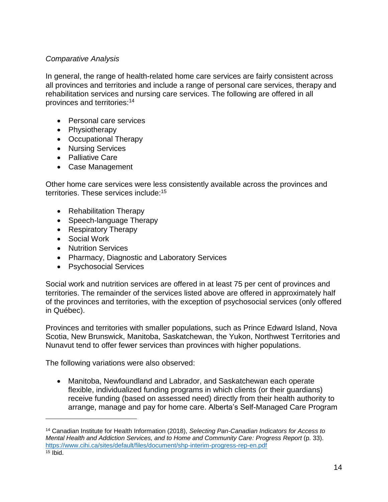#### *Comparative Analysis*

In general, the range of health-related home care services are fairly consistent across all provinces and territories and include a range of personal care services, therapy and rehabilitation services and nursing care services. The following are offered in all provinces and territories:<sup>14</sup>

- Personal care services
- Physiotherapy
- Occupational Therapy
- Nursing Services
- Palliative Care
- Case Management

Other home care services were less consistently available across the provinces and territories. These services include:<sup>15</sup>

- Rehabilitation Therapy
- Speech-language Therapy
- Respiratory Therapy
- Social Work

 $\overline{a}$ 

- Nutrition Services
- Pharmacy, Diagnostic and Laboratory Services
- Psychosocial Services

Social work and nutrition services are offered in at least 75 per cent of provinces and territories. The remainder of the services listed above are offered in approximately half of the provinces and territories, with the exception of psychosocial services (only offered in Québec).

Provinces and territories with smaller populations, such as Prince Edward Island, Nova Scotia, New Brunswick, Manitoba, Saskatchewan, the Yukon, Northwest Territories and Nunavut tend to offer fewer services than provinces with higher populations.

The following variations were also observed:

 Manitoba, Newfoundland and Labrador, and Saskatchewan each operate flexible, individualized funding programs in which clients (or their guardians) receive funding (based on assessed need) directly from their health authority to arrange, manage and pay for home care. Alberta's Self-Managed Care Program

<sup>14</sup> Canadian Institute for Health Information (2018), *Selecting Pan-Canadian Indicators for Access to Mental Health and Addiction Services, and to Home and Community Care: Progress Report* (p. 33). <https://www.cihi.ca/sites/default/files/document/shp-interim-progress-rep-en.pdf>  $15$  Ibid.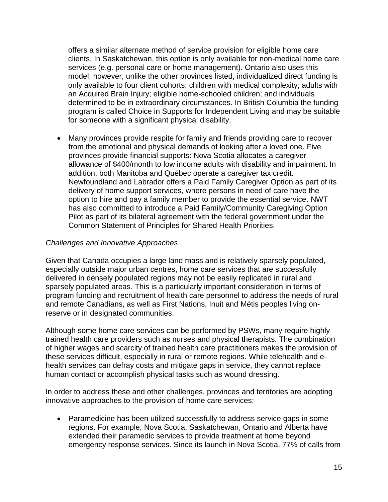offers a similar alternate method of service provision for eligible home care clients. In Saskatchewan, this option is only available for non-medical home care services (e.g. personal care or home management). Ontario also uses this model; however, unlike the other provinces listed, individualized direct funding is only available to four client cohorts: children with medical complexity; adults with an Acquired Brain Injury; eligible home-schooled children; and individuals determined to be in extraordinary circumstances. In British Columbia the funding program is called Choice in Supports for Independent Living and may be suitable for someone with a significant physical disability.

 Many provinces provide respite for family and friends providing care to recover from the emotional and physical demands of looking after a loved one. Five provinces provide financial supports: Nova Scotia allocates a caregiver allowance of \$400/month to low income adults with disability and impairment. In addition, both Manitoba and Québec operate a caregiver tax credit. Newfoundland and Labrador offers a Paid Family Caregiver Option as part of its delivery of home support services, where persons in need of care have the option to hire and pay a family member to provide the essential service. NWT has also committed to introduce a Paid Family/Community Caregiving Option Pilot as part of its bilateral agreement with the federal government under the Common Statement of Principles for Shared Health Priorities.

#### *Challenges and Innovative Approaches*

Given that Canada occupies a large land mass and is relatively sparsely populated, especially outside major urban centres, home care services that are successfully delivered in densely populated regions may not be easily replicated in rural and sparsely populated areas. This is a particularly important consideration in terms of program funding and recruitment of health care personnel to address the needs of rural and remote Canadians, as well as First Nations, Inuit and Métis peoples living onreserve or in designated communities.

Although some home care services can be performed by PSWs, many require highly trained health care providers such as nurses and physical therapists. The combination of higher wages and scarcity of trained health care practitioners makes the provision of these services difficult, especially in rural or remote regions. While telehealth and ehealth services can defray costs and mitigate gaps in service, they cannot replace human contact or accomplish physical tasks such as wound dressing.

In order to address these and other challenges, provinces and territories are adopting innovative approaches to the provision of home care services:

 Paramedicine has been utilized successfully to address service gaps in some regions. For example, Nova Scotia, Saskatchewan, Ontario and Alberta have extended their paramedic services to provide treatment at home beyond emergency response services. Since its launch in Nova Scotia, 77% of calls from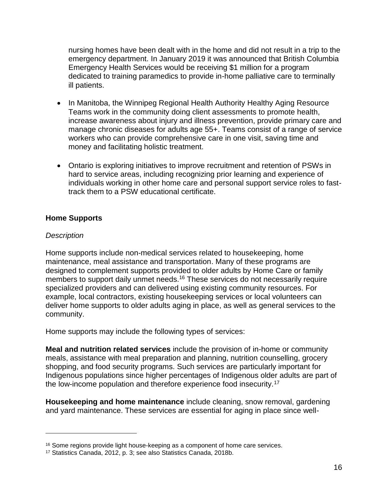nursing homes have been dealt with in the home and did not result in a trip to the emergency department. In January 2019 it was announced that British Columbia Emergency Health Services would be receiving \$1 million for a program dedicated to training paramedics to provide in-home palliative care to terminally ill patients.

- In Manitoba, the Winnipeg Regional Health Authority Healthy Aging Resource Teams work in the community doing client assessments to promote health, increase awareness about injury and illness prevention, provide primary care and manage chronic diseases for adults age 55+. Teams consist of a range of service workers who can provide comprehensive care in one visit, saving time and money and facilitating holistic treatment.
- Ontario is exploring initiatives to improve recruitment and retention of PSWs in hard to service areas, including recognizing prior learning and experience of individuals working in other home care and personal support service roles to fasttrack them to a PSW educational certificate.

#### **Home Supports**

#### *Description*

 $\overline{a}$ 

Home supports include non-medical services related to housekeeping, home maintenance, meal assistance and transportation. Many of these programs are designed to complement supports provided to older adults by Home Care or family members to support daily unmet needs.<sup>16</sup> These services do not necessarily require specialized providers and can delivered using existing community resources. For example, local contractors, existing housekeeping services or local volunteers can deliver home supports to older adults aging in place, as well as general services to the community.

Home supports may include the following types of services:

**Meal and nutrition related services** include the provision of in-home or community meals, assistance with meal preparation and planning, nutrition counselling, grocery shopping, and food security programs. Such services are particularly important for Indigenous populations since higher percentages of Indigenous older adults are part of the low-income population and therefore experience food insecurity.<sup>17</sup>

**Housekeeping and home maintenance** include cleaning, snow removal, gardening and yard maintenance. These services are essential for aging in place since well-

<sup>&</sup>lt;sup>16</sup> Some regions provide light house-keeping as a component of home care services.

<sup>17</sup> Statistics Canada, 2012, p. 3; see also Statistics Canada, 2018b.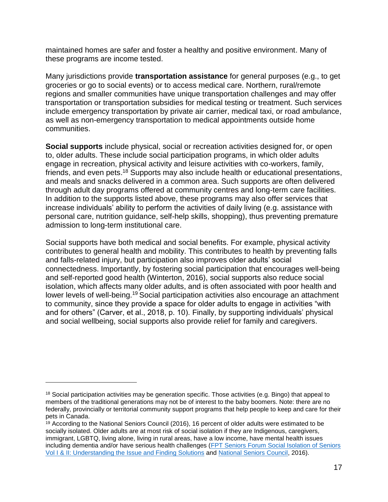maintained homes are safer and foster a healthy and positive environment. Many of these programs are income tested.

Many jurisdictions provide **transportation assistance** for general purposes (e.g., to get groceries or go to social events) or to access medical care. Northern, rural/remote regions and smaller communities have unique transportation challenges and may offer transportation or transportation subsidies for medical testing or treatment. Such services include emergency transportation by private air carrier, medical taxi, or road ambulance, as well as non-emergency transportation to medical appointments outside home communities.

**Social supports** include physical, social or recreation activities designed for, or open to, older adults. These include social participation programs, in which older adults engage in recreation, physical activity and leisure activities with co-workers, family, friends, and even pets.<sup>18</sup> Supports may also include health or educational presentations, and meals and snacks delivered in a common area. Such supports are often delivered through adult day programs offered at community centres and long-term care facilities. In addition to the supports listed above, these programs may also offer services that increase individuals' ability to perform the activities of daily living (e.g. assistance with personal care, nutrition guidance, self-help skills, shopping), thus preventing premature admission to long-term institutional care.

Social supports have both medical and social benefits. For example, physical activity contributes to general health and mobility. This contributes to health by preventing falls and falls-related injury, but participation also improves older adults' social connectedness. Importantly, by fostering social participation that encourages well-being and self-reported good health (Winterton, 2016), social supports also reduce social isolation, which affects many older adults, and is often associated with poor health and lower levels of well-being.<sup>19</sup> Social participation activities also encourage an attachment to community, since they provide a space for older adults to engage in activities "with and for others" (Carver, et al., 2018, p. 10). Finally, by supporting individuals' physical and social wellbeing, social supports also provide relief for family and caregivers.

 $18$  Social participation activities may be generation specific. Those activities (e.g. Bingo) that appeal to members of the traditional generations may not be of interest to the baby boomers. Note: there are no federally, provincially or territorial community support programs that help people to keep and care for their pets in Canada.

 $<sup>19</sup>$  According to the National Seniors Council (2016), 16 percent of older adults were estimated to be</sup> socially isolated. Older adults are at most risk of social isolation if they are Indigenous, caregivers, immigrant, LGBTQ, living alone, living in rural areas, have a low income, have mental health issues including dementia and/or have serious health challenges (FPT Seniors Forum Social Isolation of Seniors [Vol I & II: Understanding the Issue and Finding Solutions](https://www.canada.ca/en/employment-social-development/corporate/seniors/forum.html) and [National Seniors Council,](https://www.canada.ca/en/national-seniors-council.html) 2016).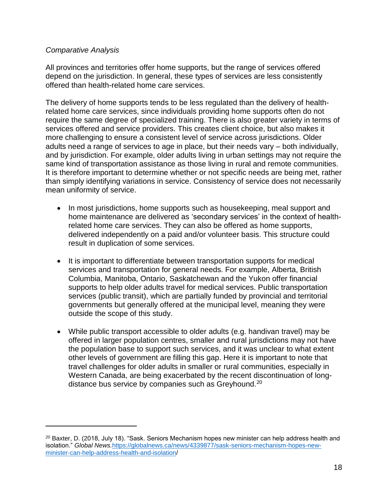#### *Comparative Analysis*

 $\overline{a}$ 

All provinces and territories offer home supports, but the range of services offered depend on the jurisdiction. In general, these types of services are less consistently offered than health-related home care services.

The delivery of home supports tends to be less regulated than the delivery of healthrelated home care services, since individuals providing home supports often do not require the same degree of specialized training. There is also greater variety in terms of services offered and service providers. This creates client choice, but also makes it more challenging to ensure a consistent level of service across jurisdictions. Older adults need a range of services to age in place, but their needs vary – both individually, and by jurisdiction. For example, older adults living in urban settings may not require the same kind of transportation assistance as those living in rural and remote communities. It is therefore important to determine whether or not specific needs are being met, rather than simply identifying variations in service. Consistency of service does not necessarily mean uniformity of service.

- In most jurisdictions, home supports such as housekeeping, meal support and home maintenance are delivered as 'secondary services' in the context of healthrelated home care services. They can also be offered as home supports, delivered independently on a paid and/or volunteer basis. This structure could result in duplication of some services.
- It is important to differentiate between transportation supports for medical services and transportation for general needs. For example, Alberta, British Columbia, Manitoba, Ontario, Saskatchewan and the Yukon offer financial supports to help older adults travel for medical services. Public transportation services (public transit), which are partially funded by provincial and territorial governments but generally offered at the municipal level, meaning they were outside the scope of this study.
- While public transport accessible to older adults (e.g. handivan travel) may be offered in larger population centres, smaller and rural jurisdictions may not have the population base to support such services, and it was unclear to what extent other levels of government are filling this gap. Here it is important to note that travel challenges for older adults in smaller or rural communities, especially in Western Canada, are being exacerbated by the recent discontinuation of longdistance bus service by companies such as Greyhound.<sup>20</sup>

<sup>&</sup>lt;sup>20</sup> Baxter, D. (2018, July 18). "Sask. Seniors Mechanism hopes new minister can help address health and isolation." *Global News.*[https://globalnews.ca/news/4339877/sask-seniors-mechanism-hopes-new](https://globalnews.ca/news/4339877/sask-seniors-mechanism-hopes-new-minister-can-help-address-health-and-isolation/)[minister-can-help-address-health-and-isolation/](https://globalnews.ca/news/4339877/sask-seniors-mechanism-hopes-new-minister-can-help-address-health-and-isolation/)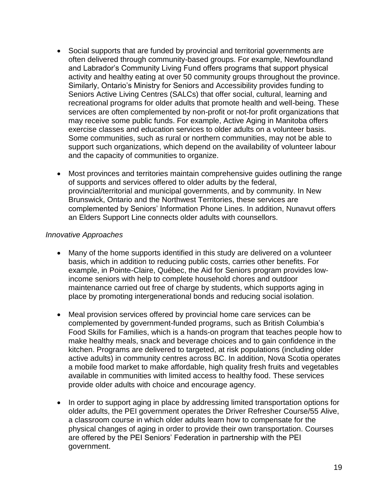- Social supports that are funded by provincial and territorial governments are often delivered through community-based groups. For example, Newfoundland and Labrador's Community Living Fund offers programs that support physical activity and healthy eating at over 50 community groups throughout the province. Similarly, Ontario's Ministry for Seniors and Accessibility provides funding to Seniors Active Living Centres (SALCs) that offer social, cultural, learning and recreational programs for older adults that promote health and well-being. These services are often complemented by non-profit or not-for profit organizations that may receive some public funds. For example, Active Aging in Manitoba offers exercise classes and education services to older adults on a volunteer basis. Some communities, such as rural or northern communities, may not be able to support such organizations, which depend on the availability of volunteer labour and the capacity of communities to organize.
- Most provinces and territories maintain comprehensive guides outlining the range of supports and services offered to older adults by the federal, provincial/territorial and municipal governments, and by community. In New Brunswick, Ontario and the Northwest Territories, these services are complemented by Seniors' Information Phone Lines. In addition, Nunavut offers an Elders Support Line connects older adults with counsellors.

#### *Innovative Approaches*

- Many of the home supports identified in this study are delivered on a volunteer basis, which in addition to reducing public costs, carries other benefits. For example, in Pointe-Claire, Québec, the Aid for Seniors program provides lowincome seniors with help to complete household chores and outdoor maintenance carried out free of charge by students, which supports aging in place by promoting intergenerational bonds and reducing social isolation.
- Meal provision services offered by provincial home care services can be complemented by government-funded programs, such as British Columbia's Food Skills for Families, which is a hands-on program that teaches people how to make healthy meals, snack and beverage choices and to gain confidence in the kitchen. Programs are delivered to targeted, at risk populations (including older active adults) in community centres across BC. In addition, Nova Scotia operates a mobile food market to make affordable, high quality fresh fruits and vegetables available in communities with limited access to healthy food. These services provide older adults with choice and encourage agency.
- In order to support aging in place by addressing limited transportation options for older adults, the PEI government operates the Driver Refresher Course/55 Alive, a classroom course in which older adults learn how to compensate for the physical changes of aging in order to provide their own transportation. Courses are offered by the PEI Seniors' Federation in partnership with the PEI government.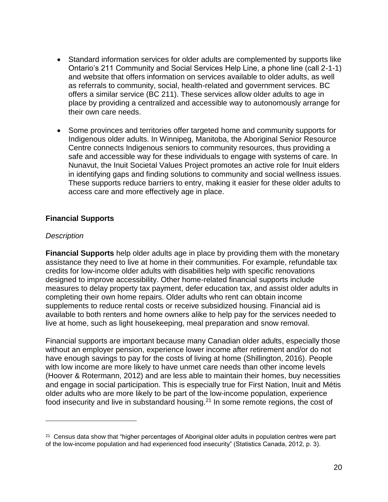- Standard information services for older adults are complemented by supports like Ontario's 211 Community and Social Services Help Line, a phone line (call 2-1-1) and website that offers information on services available to older adults, as well as referrals to community, social, health-related and government services. BC offers a similar service (BC 211). These services allow older adults to age in place by providing a centralized and accessible way to autonomously arrange for their own care needs.
- Some provinces and territories offer targeted home and community supports for Indigenous older adults. In Winnipeg, Manitoba, the Aboriginal Senior Resource Centre connects Indigenous seniors to community resources, thus providing a safe and accessible way for these individuals to engage with systems of care. In Nunavut, the Inuit Societal Values Project promotes an active role for Inuit elders in identifying gaps and finding solutions to community and social wellness issues. These supports reduce barriers to entry, making it easier for these older adults to access care and more effectively age in place.

#### **Financial Supports**

#### *Description*

 $\overline{a}$ 

**Financial Supports** help older adults age in place by providing them with the monetary assistance they need to live at home in their communities. For example, refundable tax credits for low-income older adults with disabilities help with specific renovations designed to improve accessibility. Other home-related financial supports include measures to delay property tax payment, defer education tax, and assist older adults in completing their own home repairs. Older adults who rent can obtain income supplements to reduce rental costs or receive subsidized housing. Financial aid is available to both renters and home owners alike to help pay for the services needed to live at home, such as light housekeeping, meal preparation and snow removal.

Financial supports are important because many Canadian older adults, especially those without an employer pension, experience lower income after retirement and/or do not have enough savings to pay for the costs of living at home (Shillington, 2016). People with low income are more likely to have unmet care needs than other income levels (Hoover & Rotermann, 2012) and are less able to maintain their homes, buy necessities and engage in social participation. This is especially true for First Nation, Inuit and Métis older adults who are more likely to be part of the low-income population, experience food insecurity and live in substandard housing.<sup>21</sup> In some remote regions, the cost of

<sup>&</sup>lt;sup>21</sup> Census data show that "higher percentages of Aboriginal older adults in population centres were part of the low-income population and had experienced food insecurity" (Statistics Canada, 2012, p. 3).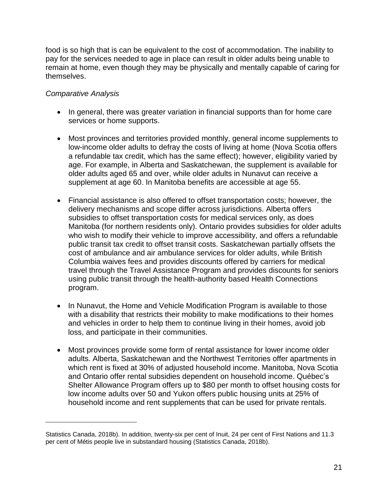food is so high that is can be equivalent to the cost of accommodation. The inability to pay for the services needed to age in place can result in older adults being unable to remain at home, even though they may be physically and mentally capable of caring for themselves.

#### *Comparative Analysis*

- In general, there was greater variation in financial supports than for home care services or home supports.
- Most provinces and territories provided monthly, general income supplements to low-income older adults to defray the costs of living at home (Nova Scotia offers a refundable tax credit, which has the same effect); however, eligibility varied by age. For example, in Alberta and Saskatchewan, the supplement is available for older adults aged 65 and over, while older adults in Nunavut can receive a supplement at age 60. In Manitoba benefits are accessible at age 55.
- Financial assistance is also offered to offset transportation costs; however, the delivery mechanisms and scope differ across jurisdictions. Alberta offers subsidies to offset transportation costs for medical services only, as does Manitoba (for northern residents only). Ontario provides subsidies for older adults who wish to modify their vehicle to improve accessibility, and offers a refundable public transit tax credit to offset transit costs. Saskatchewan partially offsets the cost of ambulance and air ambulance services for older adults, while British Columbia waives fees and provides discounts offered by carriers for medical travel through the Travel Assistance Program and provides discounts for seniors using public transit through the health-authority based Health Connections program.
- In Nunavut, the Home and Vehicle Modification Program is available to those with a disability that restricts their mobility to make modifications to their homes and vehicles in order to help them to continue living in their homes, avoid job loss, and participate in their communities.
- Most provinces provide some form of rental assistance for lower income older adults. Alberta, Saskatchewan and the Northwest Territories offer apartments in which rent is fixed at 30% of adjusted household income. Manitoba, Nova Scotia and Ontario offer rental subsidies dependent on household income. Québec's Shelter Allowance Program offers up to \$80 per month to offset housing costs for low income adults over 50 and Yukon offers public housing units at 25% of household income and rent supplements that can be used for private rentals.

Statistics Canada, 2018b). In addition, twenty-six per cent of Inuit, 24 per cent of First Nations and 11.3 per cent of Métis people live in substandard housing (Statistics Canada, 2018b).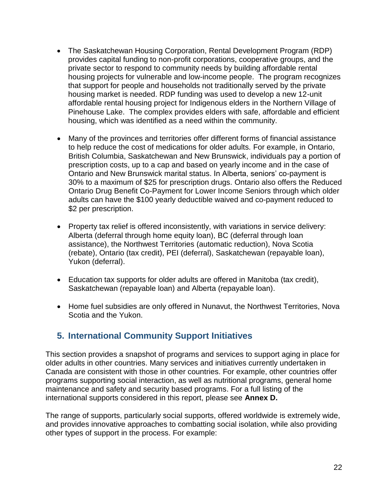- The Saskatchewan Housing Corporation, Rental Development Program (RDP) provides capital funding to non-profit corporations, cooperative groups, and the private sector to respond to community needs by building affordable rental housing projects for vulnerable and low-income people. The program recognizes that support for people and households not traditionally served by the private housing market is needed. RDP funding was used to develop a new 12-unit affordable rental housing project for Indigenous elders in the Northern Village of Pinehouse Lake. The complex provides elders with safe, affordable and efficient housing, which was identified as a need within the community.
- Many of the provinces and territories offer different forms of financial assistance to help reduce the cost of medications for older adults. For example, in Ontario, British Columbia, Saskatchewan and New Brunswick, individuals pay a portion of prescription costs, up to a cap and based on yearly income and in the case of Ontario and New Brunswick marital status. In Alberta, seniors' co-payment is 30% to a maximum of \$25 for prescription drugs. Ontario also offers the Reduced Ontario Drug Benefit Co-Payment for Lower Income Seniors through which older adults can have the \$100 yearly deductible waived and co-payment reduced to \$2 per prescription.
- Property tax relief is offered inconsistently, with variations in service delivery: Alberta (deferral through home equity loan), BC (deferral through loan assistance), the Northwest Territories (automatic reduction), Nova Scotia (rebate), Ontario (tax credit), PEI (deferral), Saskatchewan (repayable loan), Yukon (deferral).
- Education tax supports for older adults are offered in Manitoba (tax credit), Saskatchewan (repayable loan) and Alberta (repayable loan).
- Home fuel subsidies are only offered in Nunavut, the Northwest Territories, Nova Scotia and the Yukon.

## **5. International Community Support Initiatives**

This section provides a snapshot of programs and services to support aging in place for older adults in other countries. Many services and initiatives currently undertaken in Canada are consistent with those in other countries. For example, other countries offer programs supporting social interaction, as well as nutritional programs, general home maintenance and safety and security based programs. For a full listing of the international supports considered in this report, please see **Annex D.**

The range of supports, particularly social supports, offered worldwide is extremely wide, and provides innovative approaches to combatting social isolation, while also providing other types of support in the process. For example: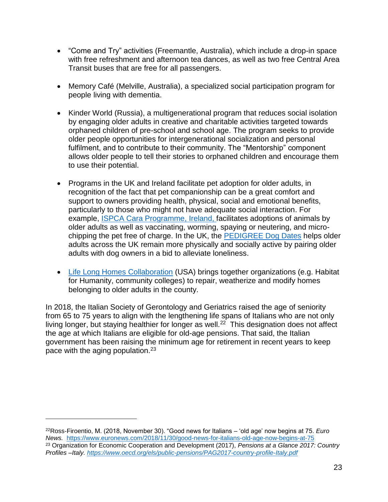- "Come and Try" activities (Freemantle, Australia), which include a drop-in space with free refreshment and afternoon tea dances, as well as two free Central Area Transit buses that are free for all passengers.
- Memory Café (Melville, Australia), a specialized social participation program for people living with dementia.
- Kinder World (Russia), a multigenerational program that reduces social isolation by engaging older adults in creative and charitable activities targeted towards orphaned children of pre-school and school age. The program seeks to provide older people opportunities for intergenerational socialization and personal fulfilment, and to contribute to their community. The "Mentorship" component allows older people to tell their stories to orphaned children and encourage them to use their potential.
- Programs in the UK and Ireland facilitate pet adoption for older adults, in recognition of the fact that pet companionship can be a great comfort and support to owners providing health, physical, social and emotional benefits, particularly to those who might not have adequate social interaction. For example, [ISPCA Cara Programme,](https://www.ispca.ie/ISPCA_Cara_Programme/) Ireland, facilitates adoptions of animals by older adults as well as vaccinating, worming, spaying or neutering, and microchipping the pet free of charge. In the UK, the [PEDIGREE Dog Dates](https://www.countryliving.com/uk/wildlife/pets/a20770696/pedigree-dog-dates-campaign-loneliness-elderly-people-dogs/) helps older adults across the UK remain more physically and socially active by pairing older adults with dog owners in a bid to alleviate loneliness.
- [Life Long Homes Collaboration](https://extranet.who.int/agefriendlyworld/afp/life-long-homes-coalition/) (USA) brings together organizations (e.g. Habitat for Humanity, community colleges) to repair, weatherize and modify homes belonging to older adults in the county.

In 2018, the Italian Society of Gerontology and Geriatrics raised the age of seniority from 65 to 75 years to align with the lengthening life spans of Italians who are not only living longer, but staying healthier for longer as well.<sup>22</sup> This designation does not affect the age at which Italians are eligible for old-age pensions. That said, the Italian government has been raising the minimum age for retirement in recent years to keep pace with the aging population.<sup>23</sup>

<sup>22</sup>Ross-Firoentio, M. (2018, November 30). "Good news for Italians – 'old age' now begins at 75. *Euro News.* <https://www.euronews.com/2018/11/30/good-news-for-italians-old-age-now-begins-at-75> <sup>23</sup> Organization for Economic Cooperation and Development (2017), *Pensions at a Glance 2017: Country Profiles –Italy.<https://www.oecd.org/els/public-pensions/PAG2017-country-profile-Italy.pdf>*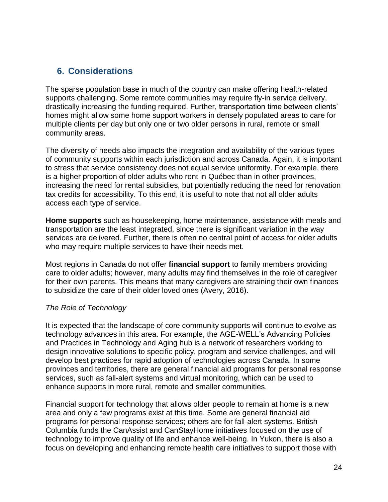## **6. Considerations**

The sparse population base in much of the country can make offering health-related supports challenging. Some remote communities may require fly-in service delivery, drastically increasing the funding required. Further, transportation time between clients' homes might allow some home support workers in densely populated areas to care for multiple clients per day but only one or two older persons in rural, remote or small community areas.

The diversity of needs also impacts the integration and availability of the various types of community supports within each jurisdiction and across Canada. Again, it is important to stress that service consistency does not equal service uniformity. For example, there is a higher proportion of older adults who rent in Québec than in other provinces, increasing the need for rental subsidies, but potentially reducing the need for renovation tax credits for accessibility. To this end, it is useful to note that not all older adults access each type of service.

**Home supports** such as housekeeping, home maintenance, assistance with meals and transportation are the least integrated, since there is significant variation in the way services are delivered. Further, there is often no central point of access for older adults who may require multiple services to have their needs met.

Most regions in Canada do not offer **financial support** to family members providing care to older adults; however, many adults may find themselves in the role of caregiver for their own parents. This means that many caregivers are straining their own finances to subsidize the care of their older loved ones (Avery, 2016).

#### *The Role of Technology*

It is expected that the landscape of core community supports will continue to evolve as technology advances in this area. For example, the AGE-WELL's Advancing Policies and Practices in Technology and Aging hub is a network of researchers working to design innovative solutions to specific policy, program and service challenges, and will develop best practices for rapid adoption of technologies across Canada. In some provinces and territories, there are general financial aid programs for personal response services, such as fall-alert systems and virtual monitoring, which can be used to enhance supports in more rural, remote and smaller communities.

Financial support for technology that allows older people to remain at home is a new area and only a few programs exist at this time. Some are general financial aid programs for personal response services; others are for fall-alert systems. British Columbia funds the CanAssist and CanStayHome initiatives focused on the use of technology to improve quality of life and enhance well-being. In Yukon, there is also a focus on developing and enhancing remote health care initiatives to support those with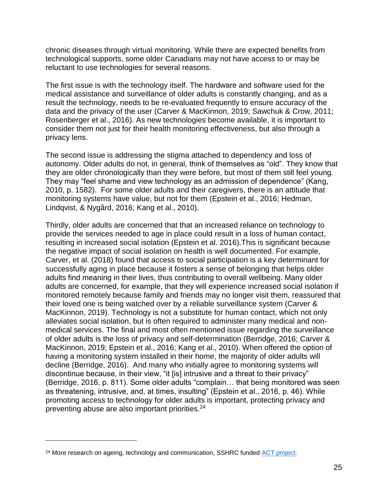chronic diseases through virtual monitoring. While there are expected benefits from technological supports, some older Canadians may not have access to or may be reluctant to use technologies for several reasons.

The first issue is with the technology itself. The hardware and software used for the medical assistance and surveillance of older adults is constantly changing, and as a result the technology, needs to be re-evaluated frequently to ensure accuracy of the data and the privacy of the user (Carver & MacKinnon, 2019; Sawchuk & Crow, 2011; Rosenberger et al., 2016). As new technologies become available, it is important to consider them not just for their health monitoring effectiveness, but also through a privacy lens.

The second issue is addressing the stigma attached to dependency and loss of autonomy. Older adults do not, in general, think of themselves as "old". They know that they are older chronologically than they were before, but most of them still feel young. They may "feel shame and view technology as an admission of dependence" (Kang, 2010, p. 1582). For some older adults and their caregivers, there is an attitude that monitoring systems have value, but not for them (Epstein et al., 2016; Hedman, Lindqvist, & Nygård, 2016; Kang et al., 2010).

Thirdly, older adults are concerned that that an increased reliance on technology to provide the services needed to age in place could result in a loss of human contact, resulting in increased social isolation (Epstein et al. 2016).This is significant because the negative impact of social isolation on health is well documented. For example, Carver, et al. (2018) found that access to social participation is a key determinant for successfully aging in place because it fosters a sense of belonging that helps older adults find meaning in their lives, thus contributing to overall wellbeing. Many older adults are concerned, for example, that they will experience increased social isolation if monitored remotely because family and friends may no longer visit them, reassured that their loved one is being watched over by a reliable surveillance system (Carver & MacKinnon, 2019). Technology is not a substitute for human contact, which not only alleviates social isolation, but is often required to administer many medical and nonmedical services. The final and most often mentioned issue regarding the surveillance of older adults is the loss of privacy and self-determination (Berridge, 2016; Carver & MacKinnon, 2019; Epstein et al., 2016; Kang et al., 2010). When offered the option of having a monitoring system installed in their home, the majority of older adults will decline (Berridge, 2016). And many who initially agree to monitoring systems will discontinue because, in their view, "it [is] intrusive and a threat to their privacy" (Berridge, 2016, p. 811). Some older adults "complain… that being monitored was seen as threatening, intrusive, and, at times, insulting" (Epstein et al., 2016, p. 46). While promoting access to technology for older adults is important, protecting privacy and preventing abuse are also important priorities.<sup>24</sup>

<sup>&</sup>lt;sup>24</sup> More research on ageing, technology and communication, SSHRC funded [ACT project.](http://actproject.ca/)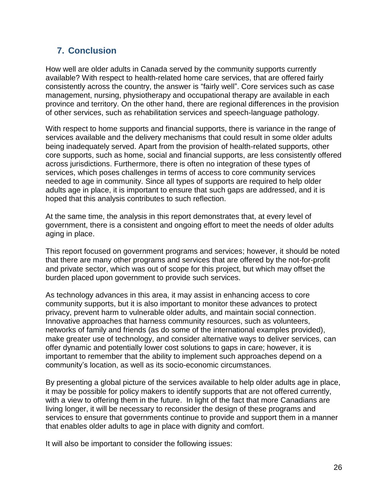## **7. Conclusion**

How well are older adults in Canada served by the community supports currently available? With respect to health-related home care services, that are offered fairly consistently across the country, the answer is "fairly well". Core services such as case management, nursing, physiotherapy and occupational therapy are available in each province and territory. On the other hand, there are regional differences in the provision of other services, such as rehabilitation services and speech-language pathology.

With respect to home supports and financial supports, there is variance in the range of services available and the delivery mechanisms that could result in some older adults being inadequately served. Apart from the provision of health-related supports, other core supports, such as home, social and financial supports, are less consistently offered across jurisdictions. Furthermore, there is often no integration of these types of services, which poses challenges in terms of access to core community services needed to age in community. Since all types of supports are required to help older adults age in place, it is important to ensure that such gaps are addressed, and it is hoped that this analysis contributes to such reflection.

At the same time, the analysis in this report demonstrates that, at every level of government, there is a consistent and ongoing effort to meet the needs of older adults aging in place.

This report focused on government programs and services; however, it should be noted that there are many other programs and services that are offered by the not-for-profit and private sector, which was out of scope for this project, but which may offset the burden placed upon government to provide such services.

As technology advances in this area, it may assist in enhancing access to core community supports, but it is also important to monitor these advances to protect privacy, prevent harm to vulnerable older adults, and maintain social connection. Innovative approaches that harness community resources, such as volunteers, networks of family and friends (as do some of the international examples provided), make greater use of technology, and consider alternative ways to deliver services, can offer dynamic and potentially lower cost solutions to gaps in care; however, it is important to remember that the ability to implement such approaches depend on a community's location, as well as its socio-economic circumstances.

By presenting a global picture of the services available to help older adults age in place, it may be possible for policy makers to identify supports that are not offered currently, with a view to offering them in the future. In light of the fact that more Canadians are living longer, it will be necessary to reconsider the design of these programs and services to ensure that governments continue to provide and support them in a manner that enables older adults to age in place with dignity and comfort.

It will also be important to consider the following issues: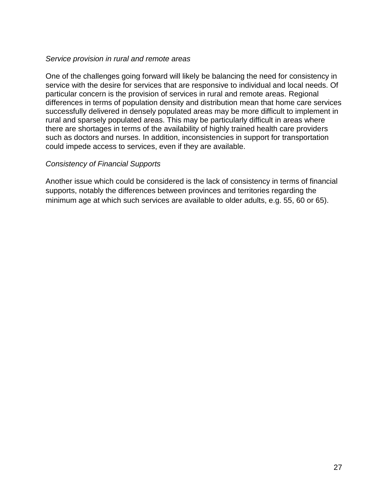#### *Service provision in rural and remote areas*

One of the challenges going forward will likely be balancing the need for consistency in service with the desire for services that are responsive to individual and local needs. Of particular concern is the provision of services in rural and remote areas. Regional differences in terms of population density and distribution mean that home care services successfully delivered in densely populated areas may be more difficult to implement in rural and sparsely populated areas. This may be particularly difficult in areas where there are shortages in terms of the availability of highly trained health care providers such as doctors and nurses. In addition, inconsistencies in support for transportation could impede access to services, even if they are available.

#### *Consistency of Financial Supports*

Another issue which could be considered is the lack of consistency in terms of financial supports, notably the differences between provinces and territories regarding the minimum age at which such services are available to older adults, e.g. 55, 60 or 65).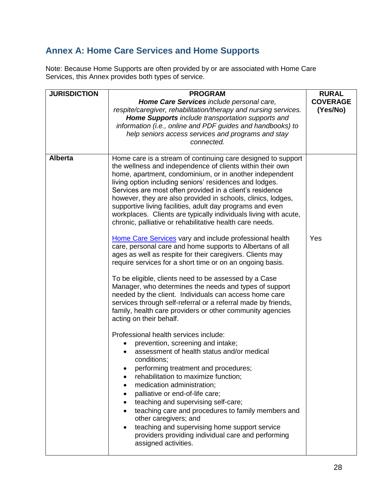## **Annex A: Home Care Services and Home Supports**

Note: Because Home Supports are often provided by or are associated with Home Care Services, this Annex provides both types of service.

| <b>JURISDICTION</b><br><b>PROGRAM</b>                                                                                                                                                                                                                                                                                                                                                                                                                                                                                                                                                                                                                                                                                                                                                                                                                                                                                                                                                                                                                                                                                                                                                                                                                                                                                                                                                                                                                                                                                                                                                                                                                                                                                                      | <b>RURAL</b>                |
|--------------------------------------------------------------------------------------------------------------------------------------------------------------------------------------------------------------------------------------------------------------------------------------------------------------------------------------------------------------------------------------------------------------------------------------------------------------------------------------------------------------------------------------------------------------------------------------------------------------------------------------------------------------------------------------------------------------------------------------------------------------------------------------------------------------------------------------------------------------------------------------------------------------------------------------------------------------------------------------------------------------------------------------------------------------------------------------------------------------------------------------------------------------------------------------------------------------------------------------------------------------------------------------------------------------------------------------------------------------------------------------------------------------------------------------------------------------------------------------------------------------------------------------------------------------------------------------------------------------------------------------------------------------------------------------------------------------------------------------------|-----------------------------|
| Home Care Services include personal care,<br>respite/caregiver, rehabilitation/therapy and nursing services.<br>Home Supports include transportation supports and<br>information (i.e., online and PDF guides and handbooks) to<br>help seniors access services and programs and stay<br>connected.                                                                                                                                                                                                                                                                                                                                                                                                                                                                                                                                                                                                                                                                                                                                                                                                                                                                                                                                                                                                                                                                                                                                                                                                                                                                                                                                                                                                                                        | <b>COVERAGE</b><br>(Yes/No) |
| <b>Alberta</b><br>Home care is a stream of continuing care designed to support<br>the wellness and independence of clients within their own<br>home, apartment, condominium, or in another independent<br>living option including seniors' residences and lodges.<br>Services are most often provided in a client's residence<br>however, they are also provided in schools, clinics, lodges,<br>supportive living facilities, adult day programs and even<br>workplaces. Clients are typically individuals living with acute,<br>chronic, palliative or rehabilitative health care needs.<br>Home Care Services vary and include professional health<br>Yes<br>care, personal care and home supports to Albertans of all<br>ages as well as respite for their caregivers. Clients may<br>require services for a short time or on an ongoing basis.<br>To be eligible, clients need to be assessed by a Case<br>Manager, who determines the needs and types of support<br>needed by the client. Individuals can access home care<br>services through self-referral or a referral made by friends,<br>family, health care providers or other community agencies<br>acting on their behalf.<br>Professional health services include:<br>prevention, screening and intake;<br>assessment of health status and/or medical<br>conditions;<br>performing treatment and procedures;<br>rehabilitation to maximize function;<br>medication administration;<br>palliative or end-of-life care;<br>teaching and supervising self-care;<br>teaching care and procedures to family members and<br>other caregivers; and<br>teaching and supervising home support service<br>providers providing individual care and performing<br>assigned activities. |                             |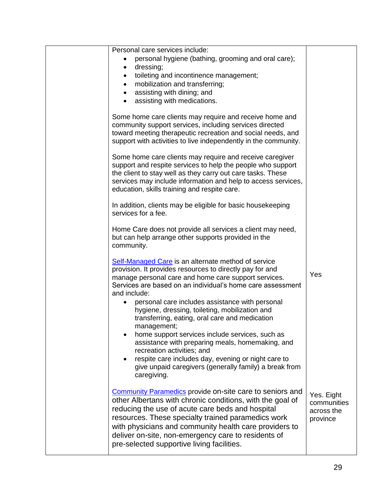| Personal care services include:                                                                                                                                                                                                                                                                                                                                                                       |                                                     |
|-------------------------------------------------------------------------------------------------------------------------------------------------------------------------------------------------------------------------------------------------------------------------------------------------------------------------------------------------------------------------------------------------------|-----------------------------------------------------|
| personal hygiene (bathing, grooming and oral care);                                                                                                                                                                                                                                                                                                                                                   |                                                     |
| dressing;<br>$\bullet$                                                                                                                                                                                                                                                                                                                                                                                |                                                     |
| toileting and incontinence management;<br>$\bullet$                                                                                                                                                                                                                                                                                                                                                   |                                                     |
| mobilization and transferring;<br>$\bullet$                                                                                                                                                                                                                                                                                                                                                           |                                                     |
| assisting with dining; and<br>$\bullet$                                                                                                                                                                                                                                                                                                                                                               |                                                     |
| assisting with medications.<br>$\bullet$                                                                                                                                                                                                                                                                                                                                                              |                                                     |
| Some home care clients may require and receive home and<br>community support services, including services directed<br>toward meeting therapeutic recreation and social needs, and<br>support with activities to live independently in the community.                                                                                                                                                  |                                                     |
| Some home care clients may require and receive caregiver<br>support and respite services to help the people who support<br>the client to stay well as they carry out care tasks. These<br>services may include information and help to access services,<br>education, skills training and respite care.                                                                                               |                                                     |
| In addition, clients may be eligible for basic housekeeping<br>services for a fee.                                                                                                                                                                                                                                                                                                                    |                                                     |
| Home Care does not provide all services a client may need,<br>but can help arrange other supports provided in the<br>community.                                                                                                                                                                                                                                                                       |                                                     |
| <b>Self-Managed Care</b> is an alternate method of service<br>provision. It provides resources to directly pay for and<br>manage personal care and home care support services.<br>Services are based on an individual's home care assessment                                                                                                                                                          | Yes                                                 |
| and include:<br>personal care includes assistance with personal<br>٠<br>hygiene, dressing, toileting, mobilization and<br>transferring, eating, oral care and medication                                                                                                                                                                                                                              |                                                     |
| management;<br>home support services include services, such as<br>assistance with preparing meals, homemaking, and<br>recreation activities; and                                                                                                                                                                                                                                                      |                                                     |
| respite care includes day, evening or night care to<br>give unpaid caregivers (generally family) a break from<br>caregiving.                                                                                                                                                                                                                                                                          |                                                     |
| <b>Community Paramedics provide on-site care to seniors and</b><br>other Albertans with chronic conditions, with the goal of<br>reducing the use of acute care beds and hospital<br>resources. These specialty trained paramedics work<br>with physicians and community health care providers to<br>deliver on-site, non-emergency care to residents of<br>pre-selected supportive living facilities. | Yes. Eight<br>communities<br>across the<br>province |
|                                                                                                                                                                                                                                                                                                                                                                                                       |                                                     |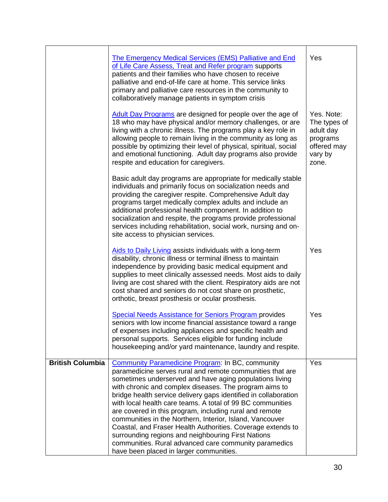|                         | <b>The Emergency Medical Services (EMS) Palliative and End</b><br>of Life Care Assess, Treat and Refer program supports<br>patients and their families who have chosen to receive<br>palliative and end-of-life care at home. This service links<br>primary and palliative care resources in the community to<br>collaboratively manage patients in symptom crisis                                                                                                                                                                                                                                                                                                                                                         | Yes                                                                                    |
|-------------------------|----------------------------------------------------------------------------------------------------------------------------------------------------------------------------------------------------------------------------------------------------------------------------------------------------------------------------------------------------------------------------------------------------------------------------------------------------------------------------------------------------------------------------------------------------------------------------------------------------------------------------------------------------------------------------------------------------------------------------|----------------------------------------------------------------------------------------|
|                         | Adult Day Programs are designed for people over the age of<br>18 who may have physical and/or memory challenges, or are<br>living with a chronic illness. The programs play a key role in<br>allowing people to remain living in the community as long as<br>possible by optimizing their level of physical, spiritual, social<br>and emotional functioning. Adult day programs also provide<br>respite and education for caregivers.                                                                                                                                                                                                                                                                                      | Yes. Note:<br>The types of<br>adult day<br>programs<br>offered may<br>vary by<br>zone. |
|                         | Basic adult day programs are appropriate for medically stable<br>individuals and primarily focus on socialization needs and<br>providing the caregiver respite. Comprehensive Adult day<br>programs target medically complex adults and include an<br>additional professional health component. In addition to<br>socialization and respite, the programs provide professional<br>services including rehabilitation, social work, nursing and on-<br>site access to physician services.                                                                                                                                                                                                                                    |                                                                                        |
|                         | Aids to Daily Living assists individuals with a long-term<br>disability, chronic illness or terminal illness to maintain<br>independence by providing basic medical equipment and<br>supplies to meet clinically assessed needs. Most aids to daily<br>living are cost shared with the client. Respiratory aids are not<br>cost shared and seniors do not cost share on prosthetic,<br>orthotic, breast prosthesis or ocular prosthesis.                                                                                                                                                                                                                                                                                   | Yes                                                                                    |
|                         | <b>Special Needs Assistance for Seniors Program provides</b><br>seniors with low income financial assistance toward a range<br>of expenses including appliances and specific health and<br>personal supports. Services eligible for funding include<br>housekeeping and/or yard maintenance, laundry and respite.                                                                                                                                                                                                                                                                                                                                                                                                          | Yes                                                                                    |
| <b>British Columbia</b> | <b>Community Paramedicine Program: In BC, community</b><br>paramedicine serves rural and remote communities that are<br>sometimes underserved and have aging populations living<br>with chronic and complex diseases. The program aims to<br>bridge health service delivery gaps identified in collaboration<br>with local health care teams. A total of 99 BC communities<br>are covered in this program, including rural and remote<br>communities in the Northern, Interior, Island, Vancouver<br>Coastal, and Fraser Health Authorities. Coverage extends to<br>surrounding regions and neighbouring First Nations<br>communities. Rural advanced care community paramedics<br>have been placed in larger communities. | Yes                                                                                    |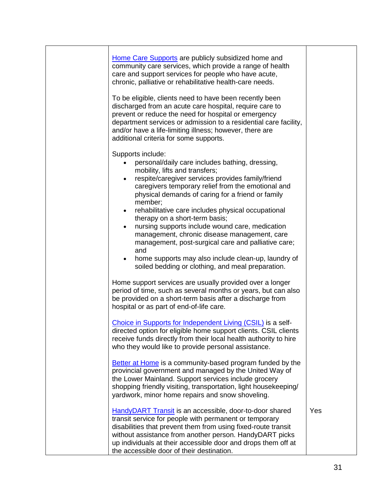| Home Care Supports are publicly subsidized home and<br>community care services, which provide a range of health<br>care and support services for people who have acute,<br>chronic, palliative or rehabilitative health-care needs.<br>To be eligible, clients need to have been recently been<br>discharged from an acute care hospital, require care to<br>prevent or reduce the need for hospital or emergency<br>department services or admission to a residential care facility,<br>and/or have a life-limiting illness; however, there are<br>additional criteria for some supports. |     |
|--------------------------------------------------------------------------------------------------------------------------------------------------------------------------------------------------------------------------------------------------------------------------------------------------------------------------------------------------------------------------------------------------------------------------------------------------------------------------------------------------------------------------------------------------------------------------------------------|-----|
| Supports include:<br>personal/daily care includes bathing, dressing,<br>mobility, lifts and transfers;<br>respite/caregiver services provides family/friend<br>$\bullet$<br>caregivers temporary relief from the emotional and<br>physical demands of caring for a friend or family<br>member;<br>rehabilitative care includes physical occupational<br>$\bullet$<br>therapy on a short-term basis;                                                                                                                                                                                        |     |
| nursing supports include wound care, medication<br>management, chronic disease management, care<br>management, post-surgical care and palliative care;<br>and<br>home supports may also include clean-up, laundry of<br>$\bullet$<br>soiled bedding or clothing, and meal preparation.                                                                                                                                                                                                                                                                                                     |     |
| Home support services are usually provided over a longer<br>period of time, such as several months or years, but can also<br>be provided on a short-term basis after a discharge from<br>hospital or as part of end-of-life care.                                                                                                                                                                                                                                                                                                                                                          |     |
| Choice in Supports for Independent Living (CSIL) is a self-<br>directed option for eligible home support clients. CSIL clients<br>receive funds directly from their local health authority to hire<br>who they would like to provide personal assistance.                                                                                                                                                                                                                                                                                                                                  |     |
| Better at Home is a community-based program funded by the<br>provincial government and managed by the United Way of<br>the Lower Mainland. Support services include grocery<br>shopping friendly visiting, transportation, light housekeeping/<br>yardwork, minor home repairs and snow shoveling.                                                                                                                                                                                                                                                                                         |     |
| HandyDART Transit is an accessible, door-to-door shared<br>transit service for people with permanent or temporary<br>disabilities that prevent them from using fixed-route transit<br>without assistance from another person. HandyDART picks<br>up individuals at their accessible door and drops them off at<br>the accessible door of their destination.                                                                                                                                                                                                                                | Yes |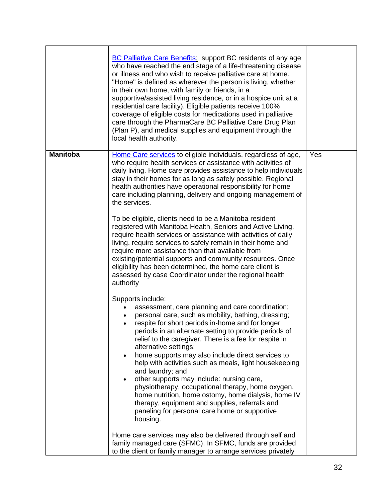|                 | <b>BC Palliative Care Benefits: support BC residents of any age</b><br>who have reached the end stage of a life-threatening disease<br>or illness and who wish to receive palliative care at home.<br>"Home" is defined as wherever the person is living, whether<br>in their own home, with family or friends, in a<br>supportive/assisted living residence, or in a hospice unit at a<br>residential care facility). Eligible patients receive 100%<br>coverage of eligible costs for medications used in palliative<br>care through the PharmaCare BC Palliative Care Drug Plan<br>(Plan P), and medical supplies and equipment through the<br>local health authority.                                                                                                                                                                                                                             |     |
|-----------------|-------------------------------------------------------------------------------------------------------------------------------------------------------------------------------------------------------------------------------------------------------------------------------------------------------------------------------------------------------------------------------------------------------------------------------------------------------------------------------------------------------------------------------------------------------------------------------------------------------------------------------------------------------------------------------------------------------------------------------------------------------------------------------------------------------------------------------------------------------------------------------------------------------|-----|
| <b>Manitoba</b> | Home Care services to eligible individuals, regardless of age,<br>who require health services or assistance with activities of<br>daily living. Home care provides assistance to help individuals<br>stay in their homes for as long as safely possible. Regional<br>health authorities have operational responsibility for home<br>care including planning, delivery and ongoing management of<br>the services.<br>To be eligible, clients need to be a Manitoba resident<br>registered with Manitoba Health, Seniors and Active Living,<br>require health services or assistance with activities of daily<br>living, require services to safely remain in their home and<br>require more assistance than that available from<br>existing/potential supports and community resources. Once<br>eligibility has been determined, the home care client is                                               | Yes |
|                 | assessed by case Coordinator under the regional health<br>authority<br>Supports include:<br>assessment, care planning and care coordination;<br>personal care, such as mobility, bathing, dressing;<br>respite for short periods in-home and for longer<br>periods in an alternate setting to provide periods of<br>relief to the caregiver. There is a fee for respite in<br>alternative settings;<br>home supports may also include direct services to<br>$\bullet$<br>help with activities such as meals, light housekeeping<br>and laundry; and<br>other supports may include: nursing care,<br>$\bullet$<br>physiotherapy, occupational therapy, home oxygen,<br>home nutrition, home ostomy, home dialysis, home IV<br>therapy, equipment and supplies, referrals and<br>paneling for personal care home or supportive<br>housing.<br>Home care services may also be delivered through self and |     |
|                 | family managed care (SFMC). In SFMC, funds are provided<br>to the client or family manager to arrange services privately                                                                                                                                                                                                                                                                                                                                                                                                                                                                                                                                                                                                                                                                                                                                                                              |     |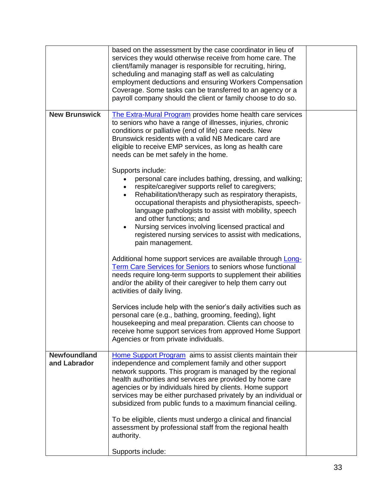|                                     | based on the assessment by the case coordinator in lieu of<br>services they would otherwise receive from home care. The<br>client/family manager is responsible for recruiting, hiring,<br>scheduling and managing staff as well as calculating<br>employment deductions and ensuring Workers Compensation<br>Coverage. Some tasks can be transferred to an agency or a<br>payroll company should the client or family choose to do so.                                     |  |
|-------------------------------------|-----------------------------------------------------------------------------------------------------------------------------------------------------------------------------------------------------------------------------------------------------------------------------------------------------------------------------------------------------------------------------------------------------------------------------------------------------------------------------|--|
| <b>New Brunswick</b>                | The Extra-Mural Program provides home health care services<br>to seniors who have a range of illnesses, injuries, chronic<br>conditions or palliative (end of life) care needs. New<br>Brunswick residents with a valid NB Medicare card are<br>eligible to receive EMP services, as long as health care<br>needs can be met safely in the home.                                                                                                                            |  |
|                                     | Supports include:<br>personal care includes bathing, dressing, and walking;<br>respite/caregiver supports relief to caregivers;<br>Rehabilitation/therapy such as respiratory therapists,<br>occupational therapists and physiotherapists, speech-<br>language pathologists to assist with mobility, speech<br>and other functions; and<br>Nursing services involving licensed practical and<br>registered nursing services to assist with medications,<br>pain management. |  |
|                                     | Additional home support services are available through Long-<br><b>Term Care Services for Seniors to seniors whose functional</b><br>needs require long-term supports to supplement their abilities<br>and/or the ability of their caregiver to help them carry out<br>activities of daily living.                                                                                                                                                                          |  |
|                                     | Services include help with the senior's daily activities such as<br>personal care (e.g., bathing, grooming, feeding), light<br>housekeeping and meal preparation. Clients can choose to<br>receive home support services from approved Home Support<br>Agencies or from private individuals.                                                                                                                                                                                |  |
| <b>Newfoundland</b><br>and Labrador | Home Support Program aims to assist clients maintain their<br>independence and complement family and other support<br>network supports. This program is managed by the regional<br>health authorities and services are provided by home care<br>agencies or by individuals hired by clients. Home support<br>services may be either purchased privately by an individual or<br>subsidized from public funds to a maximum financial ceiling.                                 |  |
|                                     | To be eligible, clients must undergo a clinical and financial<br>assessment by professional staff from the regional health<br>authority.<br>Supports include:                                                                                                                                                                                                                                                                                                               |  |
|                                     |                                                                                                                                                                                                                                                                                                                                                                                                                                                                             |  |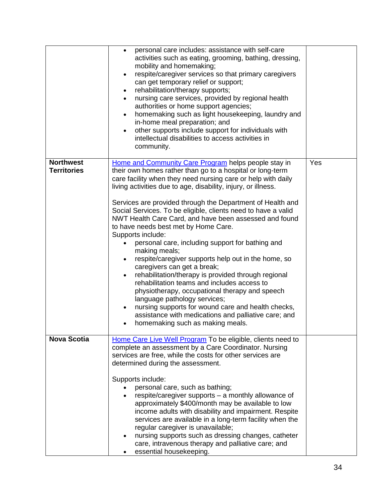|                                        | personal care includes: assistance with self-care<br>$\bullet$<br>activities such as eating, grooming, bathing, dressing,<br>mobility and homemaking;<br>respite/caregiver services so that primary caregivers<br>$\bullet$<br>can get temporary relief or support;<br>rehabilitation/therapy supports;<br>$\bullet$<br>nursing care services, provided by regional health<br>$\bullet$<br>authorities or home support agencies;<br>homemaking such as light housekeeping, laundry and<br>$\bullet$<br>in-home meal preparation; and<br>other supports include support for individuals with<br>$\bullet$<br>intellectual disabilities to access activities in<br>community.                                                                                                                                                                                                                                                                                                                                                             |     |
|----------------------------------------|-----------------------------------------------------------------------------------------------------------------------------------------------------------------------------------------------------------------------------------------------------------------------------------------------------------------------------------------------------------------------------------------------------------------------------------------------------------------------------------------------------------------------------------------------------------------------------------------------------------------------------------------------------------------------------------------------------------------------------------------------------------------------------------------------------------------------------------------------------------------------------------------------------------------------------------------------------------------------------------------------------------------------------------------|-----|
| <b>Northwest</b><br><b>Territories</b> | Home and Community Care Program helps people stay in<br>their own homes rather than go to a hospital or long-term<br>care facility when they need nursing care or help with daily<br>living activities due to age, disability, injury, or illness.<br>Services are provided through the Department of Health and<br>Social Services. To be eligible, clients need to have a valid<br>NWT Health Care Card, and have been assessed and found<br>to have needs best met by Home Care.<br>Supports include:<br>personal care, including support for bathing and<br>making meals;<br>respite/caregiver supports help out in the home, so<br>$\bullet$<br>caregivers can get a break;<br>rehabilitation/therapy is provided through regional<br>$\bullet$<br>rehabilitation teams and includes access to<br>physiotherapy, occupational therapy and speech<br>language pathology services;<br>nursing supports for wound care and health checks,<br>assistance with medications and palliative care; and<br>homemaking such as making meals. | Yes |
| <b>Nova Scotia</b>                     | Home Care Live Well Program To be eligible, clients need to<br>complete an assessment by a Care Coordinator. Nursing<br>services are free, while the costs for other services are<br>determined during the assessment.<br>Supports include:<br>personal care, such as bathing;<br>respite/caregiver supports - a monthly allowance of<br>approximately \$400/month may be available to low<br>income adults with disability and impairment. Respite<br>services are available in a long-term facility when the<br>regular caregiver is unavailable;<br>nursing supports such as dressing changes, catheter<br>care, intravenous therapy and palliative care; and<br>essential housekeeping.                                                                                                                                                                                                                                                                                                                                             |     |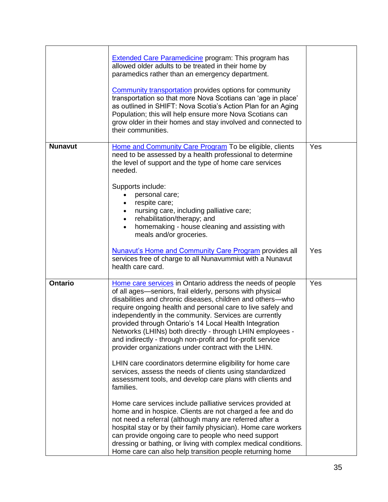|                | <b>Extended Care Paramedicine program: This program has</b><br>allowed older adults to be treated in their home by<br>paramedics rather than an emergency department.<br><b>Community transportation</b> provides options for community                                                                                                                                                                                                                                                                                                                    |     |
|----------------|------------------------------------------------------------------------------------------------------------------------------------------------------------------------------------------------------------------------------------------------------------------------------------------------------------------------------------------------------------------------------------------------------------------------------------------------------------------------------------------------------------------------------------------------------------|-----|
|                | transportation so that more Nova Scotians can 'age in place'<br>as outlined in SHIFT: Nova Scotia's Action Plan for an Aging<br>Population; this will help ensure more Nova Scotians can<br>grow older in their homes and stay involved and connected to<br>their communities.                                                                                                                                                                                                                                                                             |     |
| <b>Nunavut</b> | Home and Community Care Program To be eligible, clients<br>need to be assessed by a health professional to determine<br>the level of support and the type of home care services<br>needed.<br>Supports include:<br>personal care;                                                                                                                                                                                                                                                                                                                          | Yes |
|                | respite care;<br>$\bullet$<br>nursing care, including palliative care;<br>rehabilitation/therapy; and<br>$\bullet$<br>homemaking - house cleaning and assisting with<br>$\bullet$<br>meals and/or groceries.                                                                                                                                                                                                                                                                                                                                               |     |
|                | Nunavut's Home and Community Care Program provides all<br>services free of charge to all Nunavummiut with a Nunavut<br>health care card.                                                                                                                                                                                                                                                                                                                                                                                                                   | Yes |
| <b>Ontario</b> | Home care services in Ontario address the needs of people<br>of all ages-seniors, frail elderly, persons with physical<br>disabilities and chronic diseases, children and others-who<br>require ongoing health and personal care to live safely and<br>independently in the community. Services are currently<br>provided through Ontario's 14 Local Health Integration<br>Networks (LHINs) both directly - through LHIN employees -<br>and indirectly - through non-profit and for-profit service<br>provider organizations under contract with the LHIN. | Yes |
|                | LHIN care coordinators determine eligibility for home care<br>services, assess the needs of clients using standardized<br>assessment tools, and develop care plans with clients and<br>families.                                                                                                                                                                                                                                                                                                                                                           |     |
|                | Home care services include palliative services provided at<br>home and in hospice. Clients are not charged a fee and do<br>not need a referral (although many are referred after a<br>hospital stay or by their family physician). Home care workers<br>can provide ongoing care to people who need support<br>dressing or bathing, or living with complex medical conditions.<br>Home care can also help transition people returning home                                                                                                                 |     |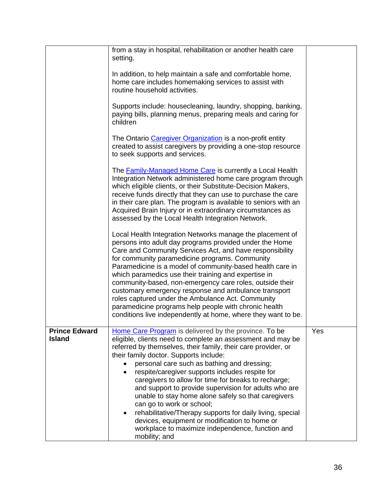|                                       | from a stay in hospital, rehabilitation or another health care<br>setting.                                                                                                                                                                                                                                                                                                                                                                                                                                                                                                                                                                                                                                                |     |
|---------------------------------------|---------------------------------------------------------------------------------------------------------------------------------------------------------------------------------------------------------------------------------------------------------------------------------------------------------------------------------------------------------------------------------------------------------------------------------------------------------------------------------------------------------------------------------------------------------------------------------------------------------------------------------------------------------------------------------------------------------------------------|-----|
|                                       | In addition, to help maintain a safe and comfortable home,<br>home care includes homemaking services to assist with<br>routine household activities.                                                                                                                                                                                                                                                                                                                                                                                                                                                                                                                                                                      |     |
|                                       | Supports include: housecleaning, laundry, shopping, banking,<br>paying bills, planning menus, preparing meals and caring for<br>children                                                                                                                                                                                                                                                                                                                                                                                                                                                                                                                                                                                  |     |
|                                       | The Ontario Caregiver Organization is a non-profit entity<br>created to assist caregivers by providing a one-stop resource<br>to seek supports and services.                                                                                                                                                                                                                                                                                                                                                                                                                                                                                                                                                              |     |
|                                       | The <b>Family-Managed Home Care</b> is currently a Local Health<br>Integration Network administered home care program through<br>which eligible clients, or their Substitute-Decision Makers,<br>receive funds directly that they can use to purchase the care<br>in their care plan. The program is available to seniors with an<br>Acquired Brain Injury or in extraordinary circumstances as<br>assessed by the Local Health Integration Network.                                                                                                                                                                                                                                                                      |     |
|                                       | Local Health Integration Networks manage the placement of<br>persons into adult day programs provided under the Home<br>Care and Community Services Act, and have responsibility<br>for community paramedicine programs. Community<br>Paramedicine is a model of community-based health care in<br>which paramedics use their training and expertise in<br>community-based, non-emergency care roles, outside their<br>customary emergency response and ambulance transport<br>roles captured under the Ambulance Act. Community<br>paramedicine programs help people with chronic health<br>conditions live independently at home, where they want to be.                                                                |     |
| <b>Prince Edward</b><br><b>Island</b> | Home Care Program is delivered by the province. To be<br>eligible, clients need to complete an assessment and may be<br>referred by themselves, their family, their care provider, or<br>their family doctor. Supports include:<br>personal care such as bathing and dressing;<br>respite/caregiver supports includes respite for<br>caregivers to allow for time for breaks to recharge;<br>and support to provide supervision for adults who are<br>unable to stay home alone safely so that caregivers<br>can go to work or school;<br>rehabilitative/Therapy supports for daily living, special<br>devices, equipment or modification to home or<br>workplace to maximize independence, function and<br>mobility; and | Yes |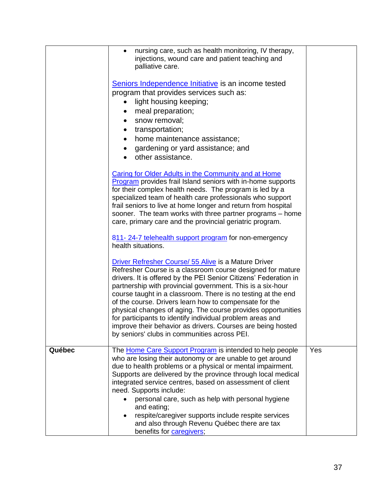|        | nursing care, such as health monitoring, IV therapy,<br>$\bullet$<br>injections, wound care and patient teaching and<br>palliative care.<br>Seniors Independence Initiative is an income tested<br>program that provides services such as:<br>light housing keeping;<br>meal preparation;<br>snow removal;<br>$\bullet$<br>transportation;<br>$\bullet$<br>home maintenance assistance;<br>$\bullet$<br>gardening or yard assistance; and<br>other assistance.<br>Caring for Older Adults in the Community and at Home<br>Program provides frail Island seniors with in-home supports<br>for their complex health needs. The program is led by a<br>specialized team of health care professionals who support<br>frail seniors to live at home longer and return from hospital<br>sooner. The team works with three partner programs - home<br>care, primary care and the provincial geriatric program.<br>811-24-7 telehealth support program for non-emergency<br>health situations.<br>Driver Refresher Course/ 55 Alive is a Mature Driver<br>Refresher Course is a classroom course designed for mature<br>drivers. It is offered by the PEI Senior Citizens' Federation in<br>partnership with provincial government. This is a six-hour<br>course taught in a classroom. There is no testing at the end<br>of the course. Drivers learn how to compensate for the<br>physical changes of aging. The course provides opportunities<br>for participants to identify individual problem areas and<br>improve their behavior as drivers. Courses are being hosted<br>by seniors' clubs in communities across PEI. |     |
|--------|----------------------------------------------------------------------------------------------------------------------------------------------------------------------------------------------------------------------------------------------------------------------------------------------------------------------------------------------------------------------------------------------------------------------------------------------------------------------------------------------------------------------------------------------------------------------------------------------------------------------------------------------------------------------------------------------------------------------------------------------------------------------------------------------------------------------------------------------------------------------------------------------------------------------------------------------------------------------------------------------------------------------------------------------------------------------------------------------------------------------------------------------------------------------------------------------------------------------------------------------------------------------------------------------------------------------------------------------------------------------------------------------------------------------------------------------------------------------------------------------------------------------------------------------------------------------------------------------------------------------|-----|
| Québec | The Home Care Support Program is intended to help people<br>who are losing their autonomy or are unable to get around<br>due to health problems or a physical or mental impairment.<br>Supports are delivered by the province through local medical<br>integrated service centres, based on assessment of client<br>need. Supports include:<br>personal care, such as help with personal hygiene<br>and eating;<br>respite/caregiver supports include respite services<br>and also through Revenu Québec there are tax<br>benefits for caregivers;                                                                                                                                                                                                                                                                                                                                                                                                                                                                                                                                                                                                                                                                                                                                                                                                                                                                                                                                                                                                                                                                   | Yes |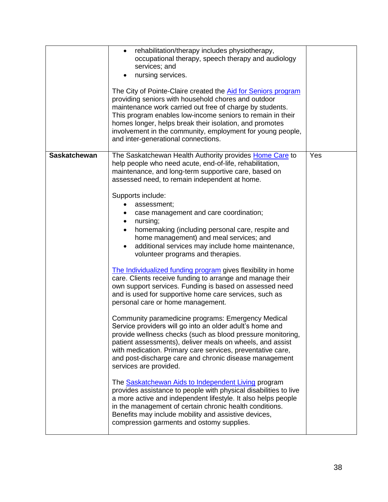|                     | rehabilitation/therapy includes physiotherapy,<br>$\bullet$<br>occupational therapy, speech therapy and audiology<br>services; and<br>nursing services.<br>The City of Pointe-Claire created the Aid for Seniors program<br>providing seniors with household chores and outdoor<br>maintenance work carried out free of charge by students.<br>This program enables low-income seniors to remain in their<br>homes longer, helps break their isolation, and promotes<br>involvement in the community, employment for young people,<br>and inter-generational connections.                                                                                                                                                                                                                                                                                                                                                                                                                                                                                                                                                                                                                                                                                                                                                                                                                                                                                                                                                                                                                           |     |
|---------------------|-----------------------------------------------------------------------------------------------------------------------------------------------------------------------------------------------------------------------------------------------------------------------------------------------------------------------------------------------------------------------------------------------------------------------------------------------------------------------------------------------------------------------------------------------------------------------------------------------------------------------------------------------------------------------------------------------------------------------------------------------------------------------------------------------------------------------------------------------------------------------------------------------------------------------------------------------------------------------------------------------------------------------------------------------------------------------------------------------------------------------------------------------------------------------------------------------------------------------------------------------------------------------------------------------------------------------------------------------------------------------------------------------------------------------------------------------------------------------------------------------------------------------------------------------------------------------------------------------------|-----|
| <b>Saskatchewan</b> | The Saskatchewan Health Authority provides Home Care to<br>help people who need acute, end-of-life, rehabilitation,<br>maintenance, and long-term supportive care, based on<br>assessed need, to remain independent at home.<br>Supports include:<br>assessment;<br>case management and care coordination;<br>nursing;<br>$\bullet$<br>homemaking (including personal care, respite and<br>$\bullet$<br>home management) and meal services; and<br>additional services may include home maintenance,<br>volunteer programs and therapies.<br>The Individualized funding program gives flexibility in home<br>care. Clients receive funding to arrange and manage their<br>own support services. Funding is based on assessed need<br>and is used for supportive home care services, such as<br>personal care or home management.<br>Community paramedicine programs: Emergency Medical<br>Service providers will go into an older adult's home and<br>provide wellness checks (such as blood pressure monitoring,<br>patient assessments), deliver meals on wheels, and assist<br>with medication. Primary care services, preventative care,<br>and post-discharge care and chronic disease management<br>services are provided.<br>The <b>Saskatchewan Aids to Independent Living program</b><br>provides assistance to people with physical disabilities to live<br>a more active and independent lifestyle. It also helps people<br>in the management of certain chronic health conditions.<br>Benefits may include mobility and assistive devices,<br>compression garments and ostomy supplies. | Yes |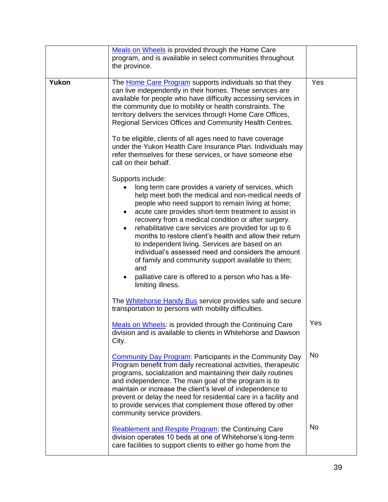|       | Meals on Wheels is provided through the Home Care<br>program, and is available in select communities throughout<br>the province.                                                                                                                                                                                                                                                                                                                                                                                                                                                                                                                                                 |           |
|-------|----------------------------------------------------------------------------------------------------------------------------------------------------------------------------------------------------------------------------------------------------------------------------------------------------------------------------------------------------------------------------------------------------------------------------------------------------------------------------------------------------------------------------------------------------------------------------------------------------------------------------------------------------------------------------------|-----------|
| Yukon | The Home Care Program supports individuals so that they<br>can live independently in their homes. These services are<br>available for people who have difficulty accessing services in<br>the community due to mobility or health constraints. The<br>territory delivers the services through Home Care Offices,<br>Regional Services Offices and Community Health Centres.<br>To be eligible, clients of all ages need to have coverage<br>under the Yukon Health Care Insurance Plan. Individuals may<br>refer themselves for these services, or have someone else<br>call on their behalf.                                                                                    | Yes       |
|       | Supports include:<br>long term care provides a variety of services, which<br>help meet both the medical and non-medical needs of<br>people who need support to remain living at home;<br>acute care provides short-term treatment to assist in<br>recovery from a medical condition or after surgery.<br>rehabilitative care services are provided for up to 6<br>months to restore client's health and allow their return<br>to independent living. Services are based on an<br>individual's assessed need and considers the amount<br>of family and community support available to them;<br>and<br>palliative care is offered to a person who has a life-<br>limiting illness. |           |
|       | The Whitehorse Handy Bus service provides safe and secure<br>transportation to persons with mobility difficulties.                                                                                                                                                                                                                                                                                                                                                                                                                                                                                                                                                               |           |
|       | Meals on Wheels: is provided through the Continuing Care<br>division and is available to clients in Whitehorse and Dawson<br>City.                                                                                                                                                                                                                                                                                                                                                                                                                                                                                                                                               | Yes       |
|       | <b>Community Day Program: Participants in the Community Day</b><br>Program benefit from daily recreational activities, therapeutic<br>programs, socialization and maintaining their daily routines<br>and independence. The main goal of the program is to<br>maintain or increase the client's level of independence to<br>prevent or delay the need for residential care in a facility and<br>to provide services that complement those offered by other<br>community service providers.                                                                                                                                                                                       | <b>No</b> |
|       | Reablement and Respite Program: the Continuing Care<br>division operates 10 beds at one of Whitehorse's long-term<br>care facilities to support clients to either go home from the                                                                                                                                                                                                                                                                                                                                                                                                                                                                                               | <b>No</b> |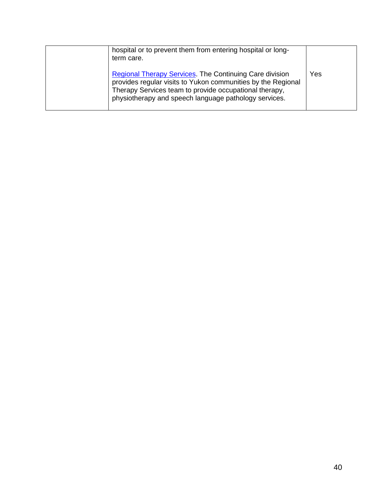| hospital or to prevent them from entering hospital or long-<br>term care.<br><b>Regional Therapy Services. The Continuing Care division</b><br>provides regular visits to Yukon communities by the Regional<br>Therapy Services team to provide occupational therapy, | Yes |
|-----------------------------------------------------------------------------------------------------------------------------------------------------------------------------------------------------------------------------------------------------------------------|-----|
| physiotherapy and speech language pathology services.                                                                                                                                                                                                                 |     |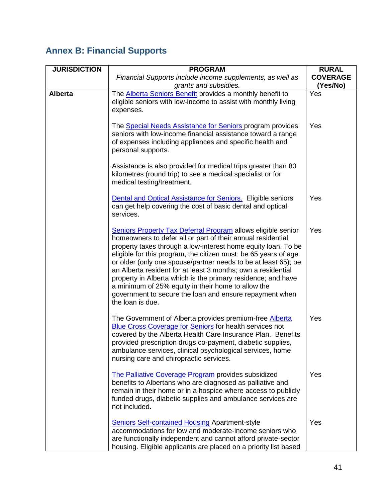# **Annex B: Financial Supports**

| <b>JURISDICTION</b> | <b>PROGRAM</b>                                                                                                                                                                                                                                                                                                                                                                                                                                                                                                                                                                                                | <b>RURAL</b>                |
|---------------------|---------------------------------------------------------------------------------------------------------------------------------------------------------------------------------------------------------------------------------------------------------------------------------------------------------------------------------------------------------------------------------------------------------------------------------------------------------------------------------------------------------------------------------------------------------------------------------------------------------------|-----------------------------|
|                     | Financial Supports include income supplements, as well as<br>grants and subsidies.                                                                                                                                                                                                                                                                                                                                                                                                                                                                                                                            | <b>COVERAGE</b><br>(Yes/No) |
| <b>Alberta</b>      | The <b>Alberta Seniors Benefit</b> provides a monthly benefit to<br>eligible seniors with low-income to assist with monthly living<br>expenses.                                                                                                                                                                                                                                                                                                                                                                                                                                                               | Yes                         |
|                     | The <b>Special Needs Assistance for Seniors</b> program provides<br>seniors with low-income financial assistance toward a range<br>of expenses including appliances and specific health and<br>personal supports.                                                                                                                                                                                                                                                                                                                                                                                             | Yes                         |
|                     | Assistance is also provided for medical trips greater than 80<br>kilometres (round trip) to see a medical specialist or for<br>medical testing/treatment.                                                                                                                                                                                                                                                                                                                                                                                                                                                     |                             |
|                     | <b>Dental and Optical Assistance for Seniors.</b> Eligible seniors<br>can get help covering the cost of basic dental and optical<br>services.                                                                                                                                                                                                                                                                                                                                                                                                                                                                 | Yes                         |
|                     | <b>Seniors Property Tax Deferral Program allows eligible senior</b><br>homeowners to defer all or part of their annual residential<br>property taxes through a low-interest home equity loan. To be<br>eligible for this program, the citizen must: be 65 years of age<br>or older (only one spouse/partner needs to be at least 65); be<br>an Alberta resident for at least 3 months; own a residential<br>property in Alberta which is the primary residence; and have<br>a minimum of 25% equity in their home to allow the<br>government to secure the loan and ensure repayment when<br>the loan is due. | Yes                         |
|                     | The Government of Alberta provides premium-free Alberta<br><b>Blue Cross Coverage for Seniors for health services not</b><br>covered by the Alberta Health Care Insurance Plan. Benefits<br>provided prescription drugs co-payment, diabetic supplies,<br>ambulance services, clinical psychological services, home<br>nursing care and chiropractic services.                                                                                                                                                                                                                                                | Yes                         |
|                     | The Palliative Coverage Program provides subsidized<br>benefits to Albertans who are diagnosed as palliative and<br>remain in their home or in a hospice where access to publicly<br>funded drugs, diabetic supplies and ambulance services are<br>not included.                                                                                                                                                                                                                                                                                                                                              | Yes                         |
|                     | <b>Seniors Self-contained Housing Apartment-style</b><br>accommodations for low and moderate-income seniors who<br>are functionally independent and cannot afford private-sector<br>housing. Eligible applicants are placed on a priority list based                                                                                                                                                                                                                                                                                                                                                          | Yes                         |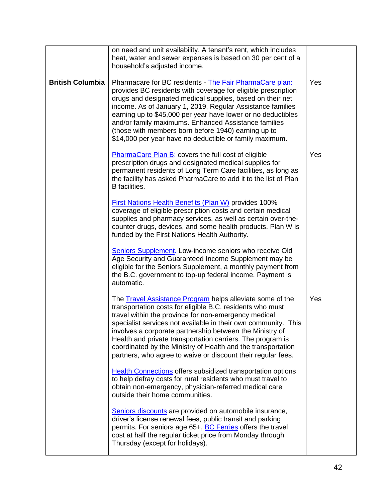|                         | on need and unit availability. A tenant's rent, which includes<br>heat, water and sewer expenses is based on 30 per cent of a<br>household's adjusted income.                                                                                                                                                                                                                                                                                                                                                     |     |
|-------------------------|-------------------------------------------------------------------------------------------------------------------------------------------------------------------------------------------------------------------------------------------------------------------------------------------------------------------------------------------------------------------------------------------------------------------------------------------------------------------------------------------------------------------|-----|
| <b>British Columbia</b> | Pharmacare for BC residents - The Fair PharmaCare plan:<br>provides BC residents with coverage for eligible prescription<br>drugs and designated medical supplies, based on their net<br>income. As of January 1, 2019, Regular Assistance families<br>earning up to \$45,000 per year have lower or no deductibles<br>and/or family maximums. Enhanced Assistance families<br>(those with members born before 1940) earning up to<br>\$14,000 per year have no deductible or family maximum.                     | Yes |
|                         | PharmaCare Plan B: covers the full cost of eligible<br>prescription drugs and designated medical supplies for<br>permanent residents of Long Term Care facilities, as long as<br>the facility has asked PharmaCare to add it to the list of Plan<br><b>B</b> facilities.                                                                                                                                                                                                                                          | Yes |
|                         | First Nations Health Benefits (Plan W) provides 100%<br>coverage of eligible prescription costs and certain medical<br>supplies and pharmacy services, as well as certain over-the-<br>counter drugs, devices, and some health products. Plan W is<br>funded by the First Nations Health Authority.                                                                                                                                                                                                               |     |
|                         | Seniors Supplement. Low-income seniors who receive Old<br>Age Security and Guaranteed Income Supplement may be<br>eligible for the Seniors Supplement, a monthly payment from<br>the B.C. government to top-up federal income. Payment is<br>automatic.                                                                                                                                                                                                                                                           |     |
|                         | The <b>Travel Assistance Program</b> helps alleviate some of the<br>transportation costs for eligible B.C. residents who must<br>travel within the province for non-emergency medical<br>specialist services not available in their own community. This<br>involves a corporate partnership between the Ministry of<br>Health and private transportation carriers. The program is<br>coordinated by the Ministry of Health and the transportation<br>partners, who agree to waive or discount their regular fees. | Yes |
|                         | <b>Health Connections offers subsidized transportation options</b><br>to help defray costs for rural residents who must travel to<br>obtain non-emergency, physician-referred medical care<br>outside their home communities.                                                                                                                                                                                                                                                                                     |     |
|                         | Seniors discounts are provided on automobile insurance,<br>driver's license renewal fees, public transit and parking<br>permits. For seniors age 65+, <b>BC Ferries</b> offers the travel<br>cost at half the regular ticket price from Monday through<br>Thursday (except for holidays).                                                                                                                                                                                                                         |     |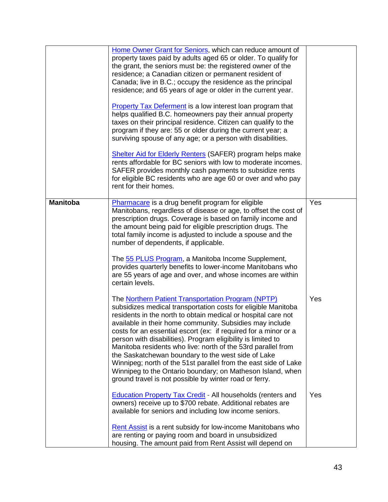|                 | Home Owner Grant for Seniors, which can reduce amount of<br>property taxes paid by adults aged 65 or older. To qualify for<br>the grant, the seniors must be: the registered owner of the<br>residence; a Canadian citizen or permanent resident of<br>Canada; live in B.C.; occupy the residence as the principal<br>residence; and 65 years of age or older in the current year.                                                                                                                                                                                                                                                                                                                          |     |
|-----------------|-------------------------------------------------------------------------------------------------------------------------------------------------------------------------------------------------------------------------------------------------------------------------------------------------------------------------------------------------------------------------------------------------------------------------------------------------------------------------------------------------------------------------------------------------------------------------------------------------------------------------------------------------------------------------------------------------------------|-----|
|                 | Property Tax Deferment is a low interest loan program that<br>helps qualified B.C. homeowners pay their annual property<br>taxes on their principal residence. Citizen can qualify to the<br>program if they are: 55 or older during the current year; a<br>surviving spouse of any age; or a person with disabilities.                                                                                                                                                                                                                                                                                                                                                                                     |     |
|                 | <b>Shelter Aid for Elderly Renters (SAFER) program helps make</b><br>rents affordable for BC seniors with low to moderate incomes.<br>SAFER provides monthly cash payments to subsidize rents<br>for eligible BC residents who are age 60 or over and who pay<br>rent for their homes.                                                                                                                                                                                                                                                                                                                                                                                                                      |     |
| <b>Manitoba</b> | Pharmacare is a drug benefit program for eligible<br>Manitobans, regardless of disease or age, to offset the cost of<br>prescription drugs. Coverage is based on family income and<br>the amount being paid for eligible prescription drugs. The<br>total family income is adjusted to include a spouse and the<br>number of dependents, if applicable.                                                                                                                                                                                                                                                                                                                                                     | Yes |
|                 | The 55 PLUS Program, a Manitoba Income Supplement,<br>provides quarterly benefits to lower-income Manitobans who<br>are 55 years of age and over, and whose incomes are within<br>certain levels.                                                                                                                                                                                                                                                                                                                                                                                                                                                                                                           |     |
|                 | The <b>Northern Patient Transportation Program (NPTP)</b><br>subsidizes medical transportation costs for eligible Manitoba<br>residents in the north to obtain medical or hospital care not<br>available in their home community. Subsidies may include<br>costs for an essential escort (ex: if required for a minor or a<br>person with disabilities). Program eligibility is limited to<br>Manitoba residents who live: north of the 53rd parallel from<br>the Saskatchewan boundary to the west side of Lake<br>Winnipeg; north of the 51st parallel from the east side of Lake<br>Winnipeg to the Ontario boundary; on Matheson Island, when<br>ground travel is not possible by winter road or ferry. | Yes |
|                 | <b>Education Property Tax Credit</b> - All households (renters and<br>owners) receive up to \$700 rebate. Additional rebates are<br>available for seniors and including low income seniors.                                                                                                                                                                                                                                                                                                                                                                                                                                                                                                                 | Yes |
|                 | Rent Assist is a rent subsidy for low-income Manitobans who<br>are renting or paying room and board in unsubsidized<br>housing. The amount paid from Rent Assist will depend on                                                                                                                                                                                                                                                                                                                                                                                                                                                                                                                             |     |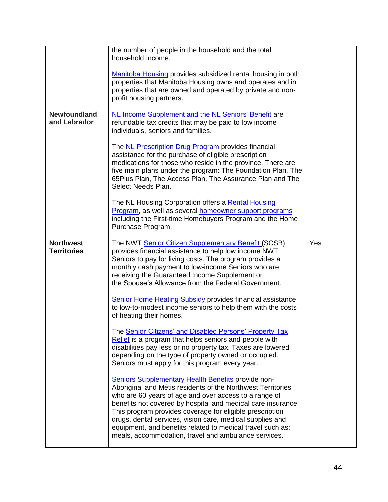|                                        | the number of people in the household and the total<br>household income.<br>Manitoba Housing provides subsidized rental housing in both<br>properties that Manitoba Housing owns and operates and in<br>properties that are owned and operated by private and non-<br>profit housing partners.                                                                                                                                                                                                                                                  |     |
|----------------------------------------|-------------------------------------------------------------------------------------------------------------------------------------------------------------------------------------------------------------------------------------------------------------------------------------------------------------------------------------------------------------------------------------------------------------------------------------------------------------------------------------------------------------------------------------------------|-----|
| <b>Newfoundland</b><br>and Labrador    | NL Income Supplement and the NL Seniors' Benefit are<br>refundable tax credits that may be paid to low income<br>individuals, seniors and families.<br>The <b>NL Prescription Drug Program</b> provides financial<br>assistance for the purchase of eligible prescription<br>medications for those who reside in the province. There are<br>five main plans under the program: The Foundation Plan, The<br>65Plus Plan, The Access Plan, The Assurance Plan and The<br>Select Needs Plan.<br>The NL Housing Corporation offers a Rental Housing |     |
|                                        | Program, as well as several homeowner support programs<br>including the First-time Homebuyers Program and the Home<br>Purchase Program.                                                                                                                                                                                                                                                                                                                                                                                                         |     |
| <b>Northwest</b><br><b>Territories</b> | The NWT Senior Citizen Supplementary Benefit (SCSB)<br>provides financial assistance to help low income NWT<br>Seniors to pay for living costs. The program provides a<br>monthly cash payment to low-income Seniors who are<br>receiving the Guaranteed Income Supplement or<br>the Spouse's Allowance from the Federal Government.                                                                                                                                                                                                            | Yes |
|                                        | <b>Senior Home Heating Subsidy provides financial assistance</b><br>to low-to-modest income seniors to help them with the costs<br>of heating their homes.                                                                                                                                                                                                                                                                                                                                                                                      |     |
|                                        | The Senior Citizens' and Disabled Persons' Property Tax<br>Relief is a program that helps seniors and people with<br>disabilities pay less or no property tax. Taxes are lowered<br>depending on the type of property owned or occupied.<br>Seniors must apply for this program every year.                                                                                                                                                                                                                                                     |     |
|                                        | Seniors Supplementary Health Benefits provide non-<br>Aboriginal and Métis residents of the Northwest Territories<br>who are 60 years of age and over access to a range of<br>benefits not covered by hospital and medical care insurance.<br>This program provides coverage for eligible prescription<br>drugs, dental services, vision care, medical supplies and<br>equipment, and benefits related to medical travel such as:<br>meals, accommodation, travel and ambulance services.                                                       |     |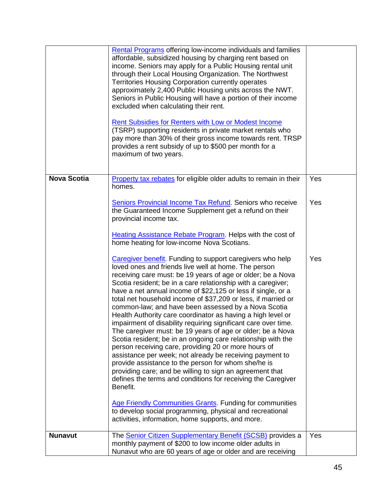|                    | <b>Rental Programs offering low-income individuals and families</b><br>affordable, subsidized housing by charging rent based on<br>income. Seniors may apply for a Public Housing rental unit<br>through their Local Housing Organization. The Northwest<br>Territories Housing Corporation currently operates<br>approximately 2,400 Public Housing units across the NWT.<br>Seniors in Public Housing will have a portion of their income<br>excluded when calculating their rent.<br>Rent Subsidies for Renters with Low or Modest Income<br>(TSRP) supporting residents in private market rentals who<br>pay more than 30% of their gross income towards rent. TRSP<br>provides a rent subsidy of up to \$500 per month for a<br>maximum of two years.                                                                                                                                                                                                                                                                                                                                                                                                |     |
|--------------------|-----------------------------------------------------------------------------------------------------------------------------------------------------------------------------------------------------------------------------------------------------------------------------------------------------------------------------------------------------------------------------------------------------------------------------------------------------------------------------------------------------------------------------------------------------------------------------------------------------------------------------------------------------------------------------------------------------------------------------------------------------------------------------------------------------------------------------------------------------------------------------------------------------------------------------------------------------------------------------------------------------------------------------------------------------------------------------------------------------------------------------------------------------------|-----|
| <b>Nova Scotia</b> | Property tax rebates for eligible older adults to remain in their<br>homes.                                                                                                                                                                                                                                                                                                                                                                                                                                                                                                                                                                                                                                                                                                                                                                                                                                                                                                                                                                                                                                                                               | Yes |
|                    | Seniors Provincial Income Tax Refund. Seniors who receive<br>the Guaranteed Income Supplement get a refund on their<br>provincial income tax.                                                                                                                                                                                                                                                                                                                                                                                                                                                                                                                                                                                                                                                                                                                                                                                                                                                                                                                                                                                                             | Yes |
|                    | <b>Heating Assistance Rebate Program. Helps with the cost of</b><br>home heating for low-income Nova Scotians.                                                                                                                                                                                                                                                                                                                                                                                                                                                                                                                                                                                                                                                                                                                                                                                                                                                                                                                                                                                                                                            |     |
|                    | Caregiver benefit. Funding to support caregivers who help<br>loved ones and friends live well at home. The person<br>receiving care must: be 19 years of age or older; be a Nova<br>Scotia resident; be in a care relationship with a caregiver;<br>have a net annual income of \$22,125 or less if single, or a<br>total net household income of \$37,209 or less, if married or<br>common-law; and have been assessed by a Nova Scotia<br>Health Authority care coordinator as having a high level or<br>impairment of disability requiring significant care over time.<br>The caregiver must: be 19 years of age or older; be a Nova<br>Scotia resident; be in an ongoing care relationship with the<br>person receiving care, providing 20 or more hours of<br>assistance per week; not already be receiving payment to<br>provide assistance to the person for whom she/he is<br>providing care; and be willing to sign an agreement that<br>defines the terms and conditions for receiving the Caregiver<br>Benefit.<br><b>Age Friendly Communities Grants. Funding for communities</b><br>to develop social programming, physical and recreational | Yes |
|                    | activities, information, home supports, and more.                                                                                                                                                                                                                                                                                                                                                                                                                                                                                                                                                                                                                                                                                                                                                                                                                                                                                                                                                                                                                                                                                                         |     |
| <b>Nunavut</b>     | The Senior Citizen Supplementary Benefit (SCSB) provides a<br>monthly payment of \$200 to low income older adults in<br>Nunavut who are 60 years of age or older and are receiving                                                                                                                                                                                                                                                                                                                                                                                                                                                                                                                                                                                                                                                                                                                                                                                                                                                                                                                                                                        | Yes |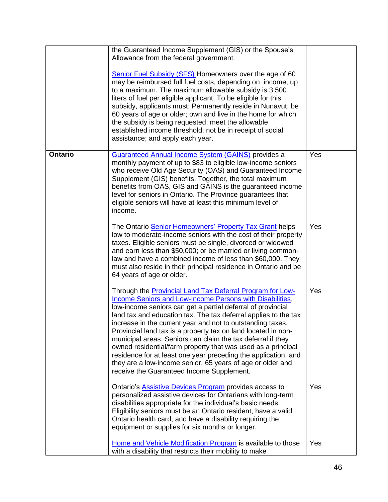|                | the Guaranteed Income Supplement (GIS) or the Spouse's<br>Allowance from the federal government.                                                                                                                                                                                                                                                                                                                                                                                                                                                                                                                                                                                                                 |            |
|----------------|------------------------------------------------------------------------------------------------------------------------------------------------------------------------------------------------------------------------------------------------------------------------------------------------------------------------------------------------------------------------------------------------------------------------------------------------------------------------------------------------------------------------------------------------------------------------------------------------------------------------------------------------------------------------------------------------------------------|------------|
|                | <b>Senior Fuel Subsidy (SFS) Homeowners over the age of 60</b><br>may be reimbursed full fuel costs, depending on income, up<br>to a maximum. The maximum allowable subsidy is 3,500<br>liters of fuel per eligible applicant. To be eligible for this<br>subsidy, applicants must: Permanently reside in Nunavut; be<br>60 years of age or older; own and live in the home for which<br>the subsidy is being requested; meet the allowable<br>established income threshold; not be in receipt of social<br>assistance; and apply each year.                                                                                                                                                                     |            |
| <b>Ontario</b> | <b>Guaranteed Annual Income System (GAINS)</b> provides a<br>monthly payment of up to \$83 to eligible low-income seniors<br>who receive Old Age Security (OAS) and Guaranteed Income<br>Supplement (GIS) benefits. Together, the total maximum<br>benefits from OAS, GIS and GAINS is the guaranteed income<br>level for seniors in Ontario. The Province guarantees that<br>eligible seniors will have at least this minimum level of<br>income.                                                                                                                                                                                                                                                               | Yes        |
|                | The Ontario Senior Homeowners' Property Tax Grant helps<br>low to moderate-income seniors with the cost of their property<br>taxes. Eligible seniors must be single, divorced or widowed<br>and earn less than \$50,000; or be married or living common-<br>law and have a combined income of less than \$60,000. They<br>must also reside in their principal residence in Ontario and be<br>64 years of age or older.                                                                                                                                                                                                                                                                                           | Yes        |
|                | Through the <b>Provincial Land Tax Deferral Program for Low-</b><br><b>Income Seniors and Low-Income Persons with Disabilities,</b><br>low-income seniors can get a partial deferral of provincial<br>land tax and education tax. The tax deferral applies to the tax<br>increase in the current year and not to outstanding taxes.<br>Provincial land tax is a property tax on land located in non-<br>municipal areas. Seniors can claim the tax deferral if they<br>owned residential/farm property that was used as a principal<br>residence for at least one year preceding the application, and<br>they are a low-income senior, 65 years of age or older and<br>receive the Guaranteed Income Supplement. | Yes        |
|                | Ontario's <b>Assistive Devices Program</b> provides access to<br>personalized assistive devices for Ontarians with long-term<br>disabilities appropriate for the individual's basic needs.<br>Eligibility seniors must be an Ontario resident; have a valid<br>Ontario health card; and have a disability requiring the<br>equipment or supplies for six months or longer.                                                                                                                                                                                                                                                                                                                                       | Yes        |
|                | Home and Vehicle Modification Program is available to those<br>with a disability that restricts their mobility to make                                                                                                                                                                                                                                                                                                                                                                                                                                                                                                                                                                                           | <b>Yes</b> |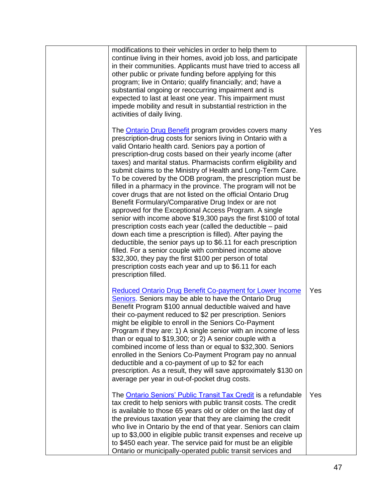| modifications to their vehicles in order to help them to<br>continue living in their homes, avoid job loss, and participate<br>in their communities. Applicants must have tried to access all<br>other public or private funding before applying for this<br>program; live in Ontario; qualify financially; and; have a<br>substantial ongoing or reoccurring impairment and is<br>expected to last at least one year. This impairment must<br>impede mobility and result in substantial restriction in the<br>activities of daily living.                                                                                                                                                                                                                                                                                                                                                                                                                                                                                                                                                                                                                                |     |
|---------------------------------------------------------------------------------------------------------------------------------------------------------------------------------------------------------------------------------------------------------------------------------------------------------------------------------------------------------------------------------------------------------------------------------------------------------------------------------------------------------------------------------------------------------------------------------------------------------------------------------------------------------------------------------------------------------------------------------------------------------------------------------------------------------------------------------------------------------------------------------------------------------------------------------------------------------------------------------------------------------------------------------------------------------------------------------------------------------------------------------------------------------------------------|-----|
| The <b>Ontario Drug Benefit</b> program provides covers many<br>prescription-drug costs for seniors living in Ontario with a<br>valid Ontario health card. Seniors pay a portion of<br>prescription-drug costs based on their yearly income (after<br>taxes) and marital status. Pharmacists confirm eligibility and<br>submit claims to the Ministry of Health and Long-Term Care.<br>To be covered by the ODB program, the prescription must be<br>filled in a pharmacy in the province. The program will not be<br>cover drugs that are not listed on the official Ontario Drug<br>Benefit Formulary/Comparative Drug Index or are not<br>approved for the Exceptional Access Program. A single<br>senior with income above \$19,300 pays the first \$100 of total<br>prescription costs each year (called the deductible – paid<br>down each time a prescription is filled). After paying the<br>deductible, the senior pays up to \$6.11 for each prescription<br>filled. For a senior couple with combined income above<br>\$32,300, they pay the first \$100 per person of total<br>prescription costs each year and up to \$6.11 for each<br>prescription filled. | Yes |
| <b>Reduced Ontario Drug Benefit Co-payment for Lower Income</b><br>Seniors. Seniors may be able to have the Ontario Drug<br>Benefit Program \$100 annual deductible waived and have<br>their co-payment reduced to \$2 per prescription. Seniors<br>might be eligible to enroll in the Seniors Co-Payment<br>Program if they are: 1) A single senior with an income of less<br>than or equal to \$19,300; or 2) A senior couple with a<br>combined income of less than or equal to \$32,300. Seniors<br>enrolled in the Seniors Co-Payment Program pay no annual<br>deductible and a co-payment of up to \$2 for each<br>prescription. As a result, they will save approximately \$130 on<br>average per year in out-of-pocket drug costs.                                                                                                                                                                                                                                                                                                                                                                                                                                | Yes |
| The Ontario Seniors' Public Transit Tax Credit is a refundable<br>tax credit to help seniors with public transit costs. The credit<br>is available to those 65 years old or older on the last day of<br>the previous taxation year that they are claiming the credit<br>who live in Ontario by the end of that year. Seniors can claim<br>up to \$3,000 in eligible public transit expenses and receive up<br>to \$450 each year. The service paid for must be an eligible<br>Ontario or municipally-operated public transit services and                                                                                                                                                                                                                                                                                                                                                                                                                                                                                                                                                                                                                                 | Yes |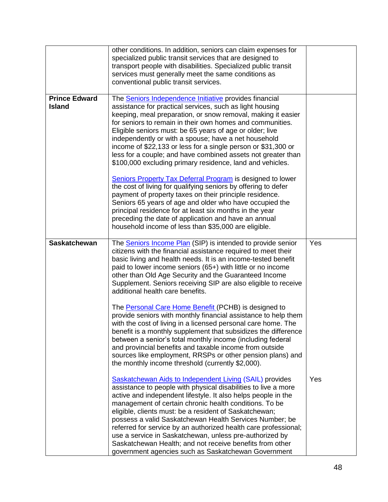|                                       | other conditions. In addition, seniors can claim expenses for<br>specialized public transit services that are designed to<br>transport people with disabilities. Specialized public transit<br>services must generally meet the same conditions as<br>conventional public transit services.                                                                                                                                                                                                                                                                                                                                                                                                                                                                                                                                                                                                                                                                                                                      |     |
|---------------------------------------|------------------------------------------------------------------------------------------------------------------------------------------------------------------------------------------------------------------------------------------------------------------------------------------------------------------------------------------------------------------------------------------------------------------------------------------------------------------------------------------------------------------------------------------------------------------------------------------------------------------------------------------------------------------------------------------------------------------------------------------------------------------------------------------------------------------------------------------------------------------------------------------------------------------------------------------------------------------------------------------------------------------|-----|
| <b>Prince Edward</b><br><b>Island</b> | The <b>Seniors Independence Initiative</b> provides financial<br>assistance for practical services, such as light housing<br>keeping, meal preparation, or snow removal, making it easier<br>for seniors to remain in their own homes and communities.<br>Eligible seniors must: be 65 years of age or older; live<br>independently or with a spouse; have a net household<br>income of \$22,133 or less for a single person or \$31,300 or<br>less for a couple; and have combined assets not greater than<br>\$100,000 excluding primary residence, land and vehicles.<br><b>Seniors Property Tax Deferral Program is designed to lower</b><br>the cost of living for qualifying seniors by offering to defer<br>payment of property taxes on their principle residence.<br>Seniors 65 years of age and older who have occupied the<br>principal residence for at least six months in the year<br>preceding the date of application and have an annual<br>household income of less than \$35,000 are eligible. |     |
| <b>Saskatchewan</b>                   | The <b>Seniors Income Plan</b> (SIP) is intended to provide senior<br>citizens with the financial assistance required to meet their<br>basic living and health needs. It is an income-tested benefit<br>paid to lower income seniors (65+) with little or no income<br>other than Old Age Security and the Guaranteed Income<br>Supplement. Seniors receiving SIP are also eligible to receive<br>additional health care benefits.<br>The Personal Care Home Benefit (PCHB) is designed to<br>provide seniors with monthly financial assistance to help them<br>with the cost of living in a licensed personal care home. The<br>benefit is a monthly supplement that subsidizes the difference<br>between a senior's total monthly income (including federal<br>and provincial benefits and taxable income from outside<br>sources like employment, RRSPs or other pension plans) and<br>the monthly income threshold (currently \$2,000).                                                                      | Yes |
|                                       | Saskatchewan Aids to Independent Living (SAIL) provides<br>assistance to people with physical disabilities to live a more<br>active and independent lifestyle. It also helps people in the<br>management of certain chronic health conditions. To be<br>eligible, clients must: be a resident of Saskatchewan;<br>possess a valid Saskatchewan Health Services Number; be<br>referred for service by an authorized health care professional;<br>use a service in Saskatchewan, unless pre-authorized by<br>Saskatchewan Health; and not receive benefits from other<br>government agencies such as Saskatchewan Government                                                                                                                                                                                                                                                                                                                                                                                       | Yes |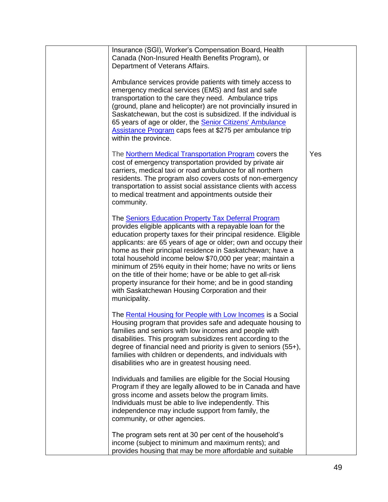| Insurance (SGI), Worker's Compensation Board, Health<br>Canada (Non-Insured Health Benefits Program), or<br>Department of Veterans Affairs.                                                                                                                                                                                                                                                                                                                                                                                                                                                                                                        |     |
|----------------------------------------------------------------------------------------------------------------------------------------------------------------------------------------------------------------------------------------------------------------------------------------------------------------------------------------------------------------------------------------------------------------------------------------------------------------------------------------------------------------------------------------------------------------------------------------------------------------------------------------------------|-----|
| Ambulance services provide patients with timely access to<br>emergency medical services (EMS) and fast and safe<br>transportation to the care they need. Ambulance trips<br>(ground, plane and helicopter) are not provincially insured in<br>Saskatchewan, but the cost is subsidized. If the individual is<br>65 years of age or older, the <b>Senior Citizens' Ambulance</b><br>Assistance Program caps fees at \$275 per ambulance trip<br>within the province.                                                                                                                                                                                |     |
| The <b>Northern Medical Transportation Program</b> covers the<br>cost of emergency transportation provided by private air<br>carriers, medical taxi or road ambulance for all northern<br>residents. The program also covers costs of non-emergency<br>transportation to assist social assistance clients with access<br>to medical treatment and appointments outside their<br>community.                                                                                                                                                                                                                                                         | Yes |
| The Seniors Education Property Tax Deferral Program<br>provides eligible applicants with a repayable loan for the<br>education property taxes for their principal residence. Eligible<br>applicants: are 65 years of age or older; own and occupy their<br>home as their principal residence in Saskatchewan; have a<br>total household income below \$70,000 per year; maintain a<br>minimum of 25% equity in their home; have no writs or liens<br>on the title of their home; have or be able to get all-risk<br>property insurance for their home; and be in good standing<br>with Saskatchewan Housing Corporation and their<br>municipality. |     |
| The Rental Housing for People with Low Incomes is a Social<br>Housing program that provides safe and adequate housing to<br>families and seniors with low incomes and people with<br>disabilities. This program subsidizes rent according to the<br>degree of financial need and priority is given to seniors $(55+)$ ,<br>families with children or dependents, and individuals with<br>disabilities who are in greatest housing need.                                                                                                                                                                                                            |     |
| Individuals and families are eligible for the Social Housing<br>Program if they are legally allowed to be in Canada and have<br>gross income and assets below the program limits.<br>Individuals must be able to live independently. This<br>independence may include support from family, the<br>community, or other agencies.                                                                                                                                                                                                                                                                                                                    |     |
| The program sets rent at 30 per cent of the household's<br>income (subject to minimum and maximum rents); and<br>provides housing that may be more affordable and suitable                                                                                                                                                                                                                                                                                                                                                                                                                                                                         |     |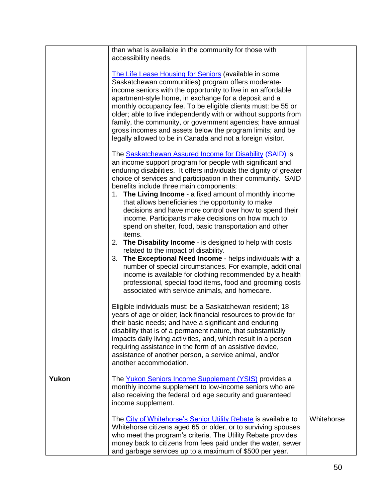|       | than what is available in the community for those with<br>accessibility needs.                                                                                                                                                                                                                                                                                                                                                                                                                                                                                   |            |
|-------|------------------------------------------------------------------------------------------------------------------------------------------------------------------------------------------------------------------------------------------------------------------------------------------------------------------------------------------------------------------------------------------------------------------------------------------------------------------------------------------------------------------------------------------------------------------|------------|
|       | The Life Lease Housing for Seniors (available in some<br>Saskatchewan communities) program offers moderate-<br>income seniors with the opportunity to live in an affordable<br>apartment-style home, in exchange for a deposit and a<br>monthly occupancy fee. To be eligible clients must: be 55 or<br>older; able to live independently with or without supports from<br>family, the community, or government agencies; have annual<br>gross incomes and assets below the program limits; and be<br>legally allowed to be in Canada and not a foreign visitor. |            |
|       | The <b>Saskatchewan Assured Income for Disability (SAID)</b> is<br>an income support program for people with significant and<br>enduring disabilities. It offers individuals the dignity of greater<br>choice of services and participation in their community. SAID<br>benefits include three main components:<br>1. The Living Income - a fixed amount of monthly income<br>that allows beneficiaries the opportunity to make<br>decisions and have more control over how to spend their                                                                       |            |
|       | income. Participants make decisions on how much to<br>spend on shelter, food, basic transportation and other<br>items.<br>2. The Disability Income - is designed to help with costs<br>related to the impact of disability.                                                                                                                                                                                                                                                                                                                                      |            |
|       | 3. The Exceptional Need Income - helps individuals with a<br>number of special circumstances. For example, additional<br>income is available for clothing recommended by a health<br>professional, special food items, food and grooming costs<br>associated with service animals, and homecare.                                                                                                                                                                                                                                                                 |            |
|       | Eligible individuals must: be a Saskatchewan resident; 18<br>years of age or older; lack financial resources to provide for<br>their basic needs; and have a significant and enduring<br>disability that is of a permanent nature, that substantially<br>impacts daily living activities, and, which result in a person<br>requiring assistance in the form of an assistive device,<br>assistance of another person, a service animal, and/or<br>another accommodation.                                                                                          |            |
| Yukon | The Yukon Seniors Income Supplement (YSIS) provides a<br>monthly income supplement to low-income seniors who are<br>also receiving the federal old age security and guaranteed<br>income supplement.                                                                                                                                                                                                                                                                                                                                                             |            |
|       | The City of Whitehorse's Senior Utility Rebate is available to<br>Whitehorse citizens aged 65 or older, or to surviving spouses<br>who meet the program's criteria. The Utility Rebate provides<br>money back to citizens from fees paid under the water, sewer<br>and garbage services up to a maximum of \$500 per year.                                                                                                                                                                                                                                       | Whitehorse |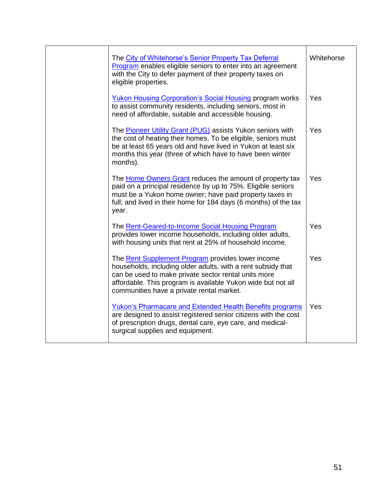| The City of Whitehorse's Senior Property Tax Deferral<br>Program enables eligible seniors to enter into an agreement<br>with the City to defer payment of their property taxes on<br>eligible properties.                                                                                     | Whitehorse |
|-----------------------------------------------------------------------------------------------------------------------------------------------------------------------------------------------------------------------------------------------------------------------------------------------|------------|
| <b>Yukon Housing Corporation's Social Housing program works</b><br>to assist community residents, including seniors, most in<br>need of affordable, suitable and accessible housing.                                                                                                          | Yes        |
| The Pioneer Utility Grant (PUG) assists Yukon seniors with<br>the cost of heating their homes. To be eligible, seniors must<br>be at least 65 years old and have lived in Yukon at least six<br>months this year (three of which have to have been winter<br>months).                         | Yes        |
| The Home Owners Grant reduces the amount of property tax<br>paid on a principal residence by up to 75%. Eligible seniors<br>must be a Yukon home owner; have paid property taxes in<br>full; and lived in their home for 184 days (6 months) of the tax<br>year.                              | Yes        |
| The Rent-Geared-to-Income Social Housing Program<br>provides lower income households, including older adults,<br>with housing units that rent at 25% of household income.                                                                                                                     | Yes        |
| The <b>Rent Supplement Program</b> provides lower income<br>households, including older adults, with a rent subsidy that<br>can be used to make private sector rental units more<br>affordable. This program is available Yukon wide but not all<br>communities have a private rental market. | Yes        |
| <b>Yukon's Pharmacare and Extended Health Benefits programs</b><br>are designed to assist registered senior citizens with the cost<br>of prescription drugs, dental care, eye care, and medical-<br>surgical supplies and equipment.                                                          | Yes        |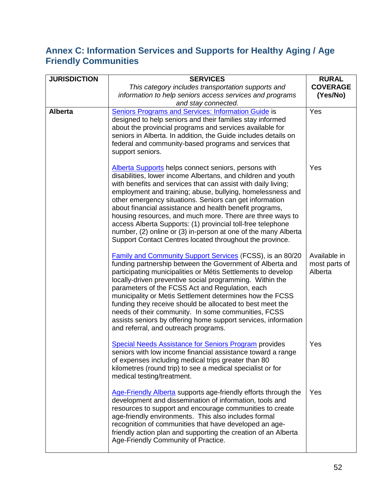## **Annex C: Information Services and Supports for Healthy Aging / Age Friendly Communities**

| <b>JURISDICTION</b> | <b>SERVICES</b>                                                                                                                                                                                                                                                                                                                                                                                                                                                                                                                                                                                                                     | <b>RURAL</b>                             |
|---------------------|-------------------------------------------------------------------------------------------------------------------------------------------------------------------------------------------------------------------------------------------------------------------------------------------------------------------------------------------------------------------------------------------------------------------------------------------------------------------------------------------------------------------------------------------------------------------------------------------------------------------------------------|------------------------------------------|
|                     | This category includes transportation supports and<br>information to help seniors access services and programs<br>and stay connected.                                                                                                                                                                                                                                                                                                                                                                                                                                                                                               | <b>COVERAGE</b><br>(Yes/No)              |
| <b>Alberta</b>      | <b>Seniors Programs and Services: Information Guide is</b><br>designed to help seniors and their families stay informed<br>about the provincial programs and services available for<br>seniors in Alberta. In addition, the Guide includes details on<br>federal and community-based programs and services that<br>support seniors.                                                                                                                                                                                                                                                                                                 | Yes                                      |
|                     | Alberta Supports helps connect seniors, persons with<br>disabilities, lower income Albertans, and children and youth<br>with benefits and services that can assist with daily living;<br>employment and training; abuse, bullying, homelessness and<br>other emergency situations. Seniors can get information<br>about financial assistance and health benefit programs,<br>housing resources, and much more. There are three ways to<br>access Alberta Supports: (1) provincial toll-free telephone<br>number, (2) online or (3) in-person at one of the many Alberta<br>Support Contact Centres located throughout the province. | Yes                                      |
|                     | <b>Family and Community Support Services (FCSS), is an 80/20</b><br>funding partnership between the Government of Alberta and<br>participating municipalities or Métis Settlements to develop<br>locally-driven preventive social programming. Within the<br>parameters of the FCSS Act and Regulation, each<br>municipality or Metis Settlement determines how the FCSS<br>funding they receive should be allocated to best meet the<br>needs of their community. In some communities, FCSS<br>assists seniors by offering home support services, information<br>and referral, and outreach programs.                              | Available in<br>most parts of<br>Alberta |
|                     | <b>Special Needs Assistance for Seniors Program provides</b><br>seniors with low income financial assistance toward a range<br>of expenses including medical trips greater than 80<br>kilometres (round trip) to see a medical specialist or for<br>medical testing/treatment.                                                                                                                                                                                                                                                                                                                                                      | Yes                                      |
|                     | Age-Friendly Alberta supports age-friendly efforts through the<br>development and dissemination of information, tools and<br>resources to support and encourage communities to create<br>age-friendly environments. This also includes formal<br>recognition of communities that have developed an age-<br>friendly action plan and supporting the creation of an Alberta<br>Age-Friendly Community of Practice.                                                                                                                                                                                                                    | Yes                                      |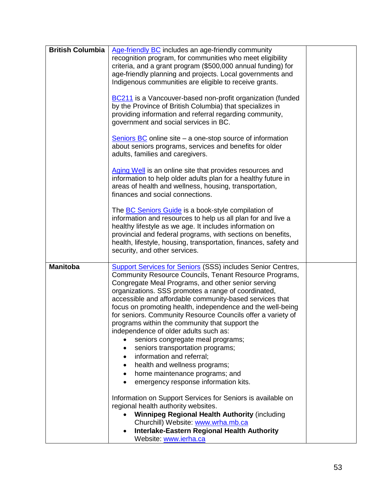| <b>British Columbia</b> | Age-friendly BC includes an age-friendly community<br>recognition program, for communities who meet eligibility<br>criteria, and a grant program (\$500,000 annual funding) for<br>age-friendly planning and projects. Local governments and<br>Indigenous communities are eligible to receive grants.<br>BC211 is a Vancouver-based non-profit organization (funded<br>by the Province of British Columbia) that specializes in<br>providing information and referral regarding community,<br>government and social services in BC.<br>Seniors BC online site $-$ a one-stop source of information<br>about seniors programs, services and benefits for older<br>adults, families and caregivers.<br>Aging Well is an online site that provides resources and<br>information to help older adults plan for a healthy future in<br>areas of health and wellness, housing, transportation,<br>finances and social connections.<br>The <b>BC Seniors Guide</b> is a book-style compilation of<br>information and resources to help us all plan for and live a<br>healthy lifestyle as we age. It includes information on<br>provincial and federal programs, with sections on benefits,<br>health, lifestyle, housing, transportation, finances, safety and<br>security, and other services. |  |
|-------------------------|--------------------------------------------------------------------------------------------------------------------------------------------------------------------------------------------------------------------------------------------------------------------------------------------------------------------------------------------------------------------------------------------------------------------------------------------------------------------------------------------------------------------------------------------------------------------------------------------------------------------------------------------------------------------------------------------------------------------------------------------------------------------------------------------------------------------------------------------------------------------------------------------------------------------------------------------------------------------------------------------------------------------------------------------------------------------------------------------------------------------------------------------------------------------------------------------------------------------------------------------------------------------------------------------|--|
| <b>Manitoba</b>         | <b>Support Services for Seniors (SSS) includes Senior Centres,</b><br>Community Resource Councils, Tenant Resource Programs,<br>Congregate Meal Programs, and other senior serving<br>organizations. SSS promotes a range of coordinated,<br>accessible and affordable community-based services that<br>focus on promoting health, independence and the well-being<br>for seniors. Community Resource Councils offer a variety of<br>programs within the community that support the<br>independence of older adults such as:<br>seniors congregate meal programs;<br>seniors transportation programs;<br>information and referral;<br>health and wellness programs;<br>home maintenance programs; and<br>$\bullet$<br>emergency response information kits.<br>$\bullet$<br>Information on Support Services for Seniors is available on<br>regional health authority websites.<br><b>Winnipeg Regional Health Authority (including</b><br>Churchill) Website: www.wrha.mb.ca<br>Interlake-Eastern Regional Health Authority<br>Website: www.ierha.ca                                                                                                                                                                                                                                        |  |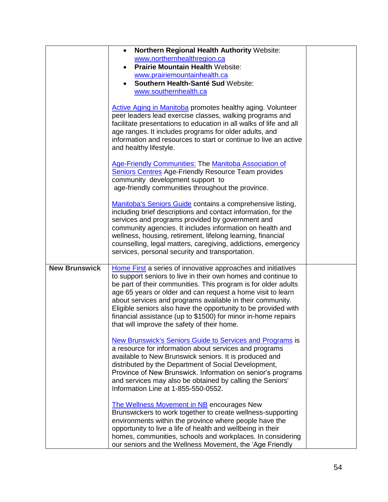|                      | Northern Regional Health Authority Website:<br>$\bullet$<br>www.northernhealthregion.ca<br><b>Prairie Mountain Health Website:</b><br>www.prairiemountainhealth.ca<br>Southern Health-Santé Sud Website:<br>www.southernhealth.ca<br><b>Active Aging in Manitoba promotes healthy aging. Volunteer</b><br>peer leaders lead exercise classes, walking programs and<br>facilitate presentations to education in all walks of life and all<br>age ranges. It includes programs for older adults, and<br>information and resources to start or continue to live an active<br>and healthy lifestyle.<br><b>Age-Friendly Communities: The Manitoba Association of</b><br><b>Seniors Centres Age-Friendly Resource Team provides</b>                                                                                                                                                                                                                                                                                                                                                                                                                                                                                            |  |
|----------------------|---------------------------------------------------------------------------------------------------------------------------------------------------------------------------------------------------------------------------------------------------------------------------------------------------------------------------------------------------------------------------------------------------------------------------------------------------------------------------------------------------------------------------------------------------------------------------------------------------------------------------------------------------------------------------------------------------------------------------------------------------------------------------------------------------------------------------------------------------------------------------------------------------------------------------------------------------------------------------------------------------------------------------------------------------------------------------------------------------------------------------------------------------------------------------------------------------------------------------|--|
| <b>New Brunswick</b> | community development support to<br>age-friendly communities throughout the province.<br>Manitoba's Seniors Guide contains a comprehensive listing,<br>including brief descriptions and contact information, for the<br>services and programs provided by government and<br>community agencies. It includes information on health and<br>wellness, housing, retirement, lifelong learning, financial<br>counselling, legal matters, caregiving, addictions, emergency<br>services, personal security and transportation.<br>Home First a series of innovative approaches and initiatives                                                                                                                                                                                                                                                                                                                                                                                                                                                                                                                                                                                                                                  |  |
|                      | to support seniors to live in their own homes and continue to<br>be part of their communities. This program is for older adults<br>age 65 years or older and can request a home visit to learn<br>about services and programs available in their community.<br>Eligible seniors also have the opportunity to be provided with<br>financial assistance (up to \$1500) for minor in-home repairs<br>that will improve the safety of their home.<br>New Brunswick's Seniors Guide to Services and Programs is<br>a resource for information about services and programs<br>available to New Brunswick seniors. It is produced and<br>distributed by the Department of Social Development,<br>Province of New Brunswick. Information on senior's programs<br>and services may also be obtained by calling the Seniors'<br>Information Line at 1-855-550-0552.<br>The Wellness Movement in NB encourages New<br>Brunswickers to work together to create wellness-supporting<br>environments within the province where people have the<br>opportunity to live a life of health and wellbeing in their<br>homes, communities, schools and workplaces. In considering<br>our seniors and the Wellness Movement, the 'Age Friendly |  |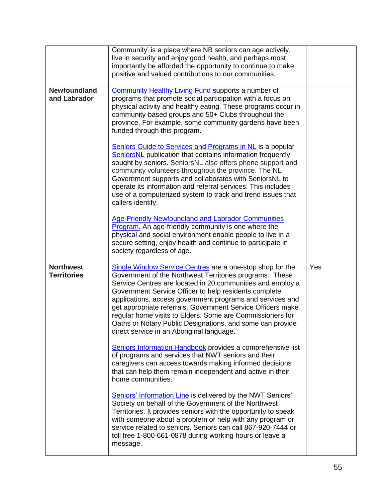|                                        | Community' is a place where NB seniors can age actively,<br>live in security and enjoy good health, and perhaps most<br>importantly be afforded the opportunity to continue to make<br>positive and valued contributions to our communities.                                                                                                                                                                                                                                                                                                                                                                 |     |
|----------------------------------------|--------------------------------------------------------------------------------------------------------------------------------------------------------------------------------------------------------------------------------------------------------------------------------------------------------------------------------------------------------------------------------------------------------------------------------------------------------------------------------------------------------------------------------------------------------------------------------------------------------------|-----|
| <b>Newfoundland</b><br>and Labrador    | <b>Community Healthy Living Fund supports a number of</b><br>programs that promote social participation with a focus on<br>physical activity and healthy eating. These programs occur in<br>community-based groups and 50+ Clubs throughout the<br>province. For example, some community gardens have been<br>funded through this program.                                                                                                                                                                                                                                                                   |     |
|                                        | Seniors Guide to Services and Programs in NL is a popular<br><b>SeniorsNL</b> publication that contains information frequently<br>sought by seniors. SeniorsNL also offers phone support and<br>community volunteers throughout the province. The NL<br>Government supports and collaborates with SeniorsNL to<br>operate its information and referral services. This includes<br>use of a computerized system to track and trend issues that<br>callers identify.                                                                                                                                           |     |
|                                        | Age-Friendly Newfoundland and Labrador Communities<br>Program. An age-friendly community is one where the<br>physical and social environment enable people to live in a<br>secure setting, enjoy health and continue to participate in<br>society regardless of age.                                                                                                                                                                                                                                                                                                                                         |     |
| <b>Northwest</b><br><b>Territories</b> | Single Window Service Centres are a one-stop shop for the<br>Government of the Northwest Territories programs. These<br>Service Centres are located in 20 communities and employ a<br>Government Service Officer to help residents complete<br>applications, access government programs and services and<br>get appropriate referrals. Government Service Officers make<br>regular home visits to Elders. Some are Commissioners for<br>Oaths or Notary Public Designations, and some can provide<br>direct service in an Aboriginal language.<br>Seniors Information Handbook provides a comprehensive list | Yes |
|                                        | of programs and services that NWT seniors and their<br>caregivers can access towards making informed decisions<br>that can help them remain independent and active in their<br>home communities.                                                                                                                                                                                                                                                                                                                                                                                                             |     |
|                                        | Seniors' Information Line is delivered by the NWT Seniors'<br>Society on behalf of the Government of the Northwest<br>Territories. It provides seniors with the opportunity to speak<br>with someone about a problem or help with any program or<br>service related to seniors. Seniors can call 867-920-7444 or<br>toll free 1-800-661-0878 during working hours or leave a<br>message.                                                                                                                                                                                                                     |     |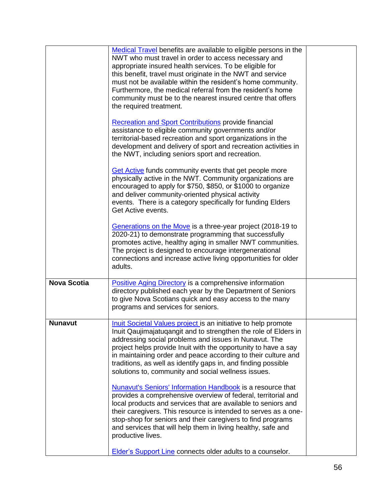|                    | Medical Travel benefits are available to eligible persons in the<br>NWT who must travel in order to access necessary and<br>appropriate insured health services. To be eligible for<br>this benefit, travel must originate in the NWT and service<br>must not be available within the resident's home community.<br>Furthermore, the medical referral from the resident's home<br>community must be to the nearest insured centre that offers<br>the required treatment. |  |
|--------------------|--------------------------------------------------------------------------------------------------------------------------------------------------------------------------------------------------------------------------------------------------------------------------------------------------------------------------------------------------------------------------------------------------------------------------------------------------------------------------|--|
|                    | <b>Recreation and Sport Contributions provide financial</b><br>assistance to eligible community governments and/or<br>territorial-based recreation and sport organizations in the<br>development and delivery of sport and recreation activities in<br>the NWT, including seniors sport and recreation.                                                                                                                                                                  |  |
|                    | <b>Get Active</b> funds community events that get people more<br>physically active in the NWT. Community organizations are<br>encouraged to apply for \$750, \$850, or \$1000 to organize<br>and deliver community-oriented physical activity<br>events. There is a category specifically for funding Elders<br>Get Active events.                                                                                                                                       |  |
|                    | Generations on the Move is a three-year project (2018-19 to<br>2020-21) to demonstrate programming that successfully<br>promotes active, healthy aging in smaller NWT communities.<br>The project is designed to encourage intergenerational<br>connections and increase active living opportunities for older<br>adults.                                                                                                                                                |  |
| <b>Nova Scotia</b> | <b>Positive Aging Directory is a comprehensive information</b><br>directory published each year by the Department of Seniors<br>to give Nova Scotians quick and easy access to the many<br>programs and services for seniors.                                                                                                                                                                                                                                            |  |
| <b>Nunavut</b>     | <b>Inuit Societal Values project is an initiative to help promote</b><br>Inuit Qaujimajatugangit and to strengthen the role of Elders in<br>addressing social problems and issues in Nunavut. The<br>project helps provide Inuit with the opportunity to have a say<br>in maintaining order and peace according to their culture and<br>traditions, as well as identify gaps in, and finding possible<br>solutions to, community and social wellness issues.             |  |
|                    | Nunavut's Seniors' Information Handbook is a resource that<br>provides a comprehensive overview of federal, territorial and<br>local products and services that are available to seniors and<br>their caregivers. This resource is intended to serves as a one-<br>stop-shop for seniors and their caregivers to find programs<br>and services that will help them in living healthy, safe and<br>productive lives.                                                      |  |
|                    | Elder's Support Line connects older adults to a counselor.                                                                                                                                                                                                                                                                                                                                                                                                               |  |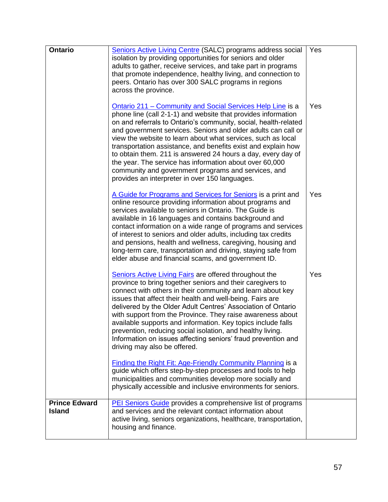| <b>Ontario</b>                        | Seniors Active Living Centre (SALC) programs address social<br>isolation by providing opportunities for seniors and older<br>adults to gather, receive services, and take part in programs<br>that promote independence, healthy living, and connection to<br>peers. Ontario has over 300 SALC programs in regions<br>across the province.                                                                                                                                                                                                                                                                                           | Yes |
|---------------------------------------|--------------------------------------------------------------------------------------------------------------------------------------------------------------------------------------------------------------------------------------------------------------------------------------------------------------------------------------------------------------------------------------------------------------------------------------------------------------------------------------------------------------------------------------------------------------------------------------------------------------------------------------|-----|
|                                       | Ontario 211 – Community and Social Services Help Line is a<br>phone line (call 2-1-1) and website that provides information<br>on and referrals to Ontario's community, social, health-related<br>and government services. Seniors and older adults can call or<br>view the website to learn about what services, such as local<br>transportation assistance, and benefits exist and explain how<br>to obtain them. 211 is answered 24 hours a day, every day of<br>the year. The service has information about over 60,000<br>community and government programs and services, and<br>provides an interpreter in over 150 languages. | Yes |
|                                       | A Guide for Programs and Services for Seniors is a print and<br>online resource providing information about programs and<br>services available to seniors in Ontario. The Guide is<br>available in 16 languages and contains background and<br>contact information on a wide range of programs and services<br>of interest to seniors and older adults, including tax credits<br>and pensions, health and wellness, caregiving, housing and<br>long-term care, transportation and driving, staying safe from<br>elder abuse and financial scams, and government ID.                                                                  | Yes |
|                                       | <b>Seniors Active Living Fairs are offered throughout the</b><br>province to bring together seniors and their caregivers to<br>connect with others in their community and learn about key<br>issues that affect their health and well-being. Fairs are<br>delivered by the Older Adult Centres' Association of Ontario<br>with support from the Province. They raise awareness about<br>available supports and information. Key topics include falls<br>prevention, reducing social isolation, and healthy living.<br>Information on issues affecting seniors' fraud prevention and<br>driving may also be offered.                  | Yes |
|                                       | <b>Finding the Right Fit: Age-Friendly Community Planning is a</b><br>guide which offers step-by-step processes and tools to help<br>municipalities and communities develop more socially and<br>physically accessible and inclusive environments for seniors.                                                                                                                                                                                                                                                                                                                                                                       |     |
| <b>Prince Edward</b><br><b>Island</b> | <b>PEI Seniors Guide provides a comprehensive list of programs</b><br>and services and the relevant contact information about<br>active living, seniors organizations, healthcare, transportation,<br>housing and finance.                                                                                                                                                                                                                                                                                                                                                                                                           |     |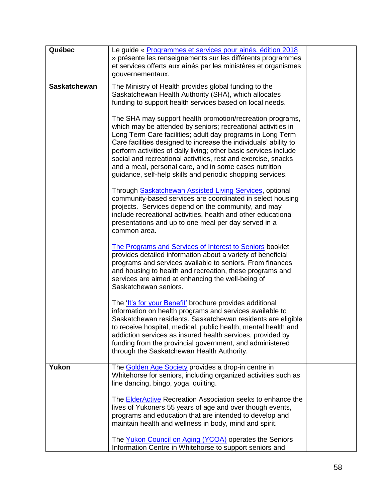| Québec              | Le guide « Programmes et services pour ainés, édition 2018<br>» présente les renseignements sur les différents programmes<br>et services offerts aux aînés par les ministères et organismes<br>gouvernementaux.                                                                                                                                                                                                                                                                                                          |  |
|---------------------|--------------------------------------------------------------------------------------------------------------------------------------------------------------------------------------------------------------------------------------------------------------------------------------------------------------------------------------------------------------------------------------------------------------------------------------------------------------------------------------------------------------------------|--|
| <b>Saskatchewan</b> | The Ministry of Health provides global funding to the<br>Saskatchewan Health Authority (SHA), which allocates<br>funding to support health services based on local needs.                                                                                                                                                                                                                                                                                                                                                |  |
|                     | The SHA may support health promotion/recreation programs,<br>which may be attended by seniors; recreational activities in<br>Long Term Care facilities; adult day programs in Long Term<br>Care facilities designed to increase the individuals' ability to<br>perform activities of daily living; other basic services include<br>social and recreational activities, rest and exercise, snacks<br>and a meal, personal care, and in some cases nutrition<br>guidance, self-help skills and periodic shopping services. |  |
|                     | Through <b>Saskatchewan Assisted Living Services</b> , optional<br>community-based services are coordinated in select housing<br>projects. Services depend on the community, and may<br>include recreational activities, health and other educational<br>presentations and up to one meal per day served in a<br>common area.                                                                                                                                                                                            |  |
|                     | <b>The Programs and Services of Interest to Seniors booklet</b><br>provides detailed information about a variety of beneficial<br>programs and services available to seniors. From finances<br>and housing to health and recreation, these programs and<br>services are aimed at enhancing the well-being of<br>Saskatchewan seniors.                                                                                                                                                                                    |  |
|                     | The 'It's for your Benefit' brochure provides additional<br>information on health programs and services available to<br>Saskatchewan residents. Saskatchewan residents are eligible<br>to receive hospital, medical, public health, mental health and<br>addiction services as insured health services, provided by<br>funding from the provincial government, and administered<br>through the Saskatchewan Health Authority.                                                                                            |  |
| Yukon               | The Golden Age Society provides a drop-in centre in<br>Whitehorse for seniors, including organized activities such as<br>line dancing, bingo, yoga, quilting.                                                                                                                                                                                                                                                                                                                                                            |  |
|                     | The ElderActive Recreation Association seeks to enhance the<br>lives of Yukoners 55 years of age and over though events,<br>programs and education that are intended to develop and<br>maintain health and wellness in body, mind and spirit.                                                                                                                                                                                                                                                                            |  |
|                     | The Yukon Council on Aging (YCOA) operates the Seniors<br>Information Centre in Whitehorse to support seniors and                                                                                                                                                                                                                                                                                                                                                                                                        |  |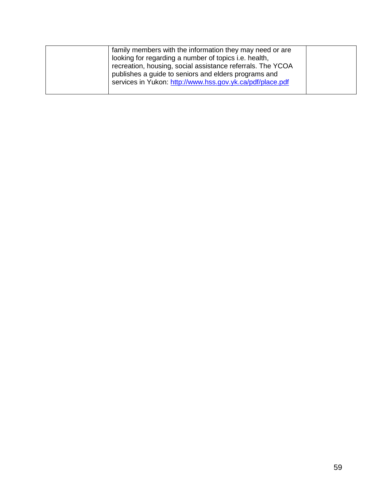| family members with the information they may need or are   |  |
|------------------------------------------------------------|--|
| looking for regarding a number of topics i.e. health,      |  |
| recreation, housing, social assistance referrals. The YCOA |  |
| publishes a guide to seniors and elders programs and       |  |
| services in Yukon: http://www.hss.gov.yk.ca/pdf/place.pdf  |  |
|                                                            |  |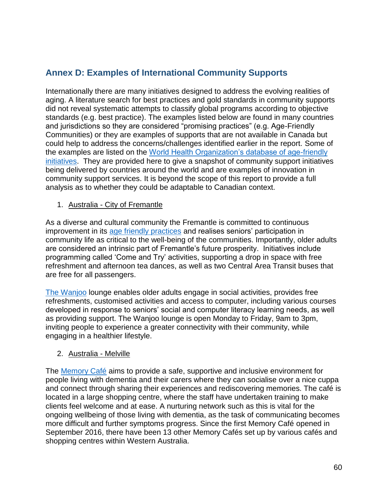## **Annex D: Examples of International Community Supports**

Internationally there are many initiatives designed to address the evolving realities of aging. A literature search for best practices and gold standards in community supports did not reveal systematic attempts to classify global programs according to objective standards (e.g. best practice). The examples listed below are found in many countries and jurisdictions so they are considered "promising practices" (e.g. Age-Friendly Communities) or they are examples of supports that are not available in Canada but could help to address the concerns/challenges identified earlier in the report. Some of the examples are listed on the [World Health Organization's database of age-friendly](https://extranet.who.int/agefriendlyworld/who-network/)  [initiatives.](https://extranet.who.int/agefriendlyworld/who-network/) They are provided here to give a snapshot of community support initiatives being delivered by countries around the world and are examples of innovation in community support services. It is beyond the scope of this report to provide a full analysis as to whether they could be adaptable to Canadian context.

#### 1. Australia - City of Fremantle

As a diverse and cultural community the Fremantle is committed to continuous improvement in its [age friendly practices](https://www.fremantle.wa.gov.au/) and realises seniors' participation in community life as critical to the well-being of the communities. Importantly, older adults are considered an intrinsic part of Fremantle's future prosperity. Initiatives include programming called 'Come and Try' activities, supporting a drop in space with free refreshment and afternoon tea dances, as well as two Central Area Transit buses that are free for all passengers.

[The Wanjoo](https://extranet.who.int/agefriendlyworld/afp/wanjoo-welcome-lounge/) lounge enables older adults engage in social activities, provides free refreshments, customised activities and access to computer, including various courses developed in response to seniors' social and computer literacy learning needs, as well as providing support. The Wanjoo lounge is open Monday to Friday, 9am to 3pm, inviting people to experience a greater connectivity with their community, while engaging in a healthier lifestyle.

### 2. Australia - Melville

The [Memory Café](https://extranet.who.int/agefriendlyworld/afp/garden-city-memory-cafe/) aims to provide a safe, supportive and inclusive environment for people living with dementia and their carers where they can socialise over a nice cuppa and connect through sharing their experiences and rediscovering memories. The café is located in a large shopping centre, where the staff have undertaken training to make clients feel welcome and at ease. A nurturing network such as this is vital for the ongoing wellbeing of those living with dementia, as the task of communicating becomes more difficult and further symptoms progress. Since the first Memory Café opened in September 2016, there have been 13 other Memory Cafés set up by various cafés and shopping centres within Western Australia.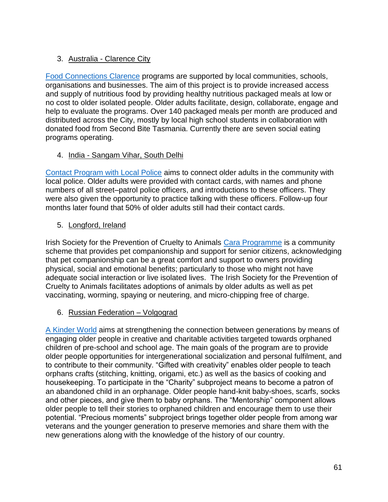## 3. Australia - Clarence City

[Food Connections Clarence](https://extranet.who.int/agefriendlyworld/afp/food-connections-clarence/) programs are supported by local communities, schools, organisations and businesses. The aim of this project is to provide increased access and supply of nutritious food by providing healthy nutritious packaged meals at low or no cost to older isolated people. Older adults facilitate, design, collaborate, engage and help to evaluate the programs. Over 140 packaged meals per month are produced and distributed across the City, mostly by local high school students in collaboration with donated food from Second Bite Tasmania. Currently there are seven social eating programs operating.

## 4. India - Sangam Vihar, South Delhi

[Contact Program with Local Police](https://extranet.who.int/agefriendlyworld/afp/contact-programme-with-local-police/) aims to connect older adults in the community with local police. Older adults were provided with contact cards, with names and phone numbers of all street–patrol police officers, and introductions to these officers. They were also given the opportunity to practice talking with these officers. Follow-up four months later found that 50% of older adults still had their contact cards.

## 5. Longford, Ireland

Irish Society for the Prevention of Cruelty to Animals [Cara Programme](https://www.ispca.ie/ISPCA_Cara_Programme/) is a community scheme that provides pet companionship and support for senior citizens, acknowledging that pet companionship can be a great comfort and support to owners providing physical, social and emotional benefits; particularly to those who might not have adequate social interaction or live isolated lives. The Irish Society for the Prevention of Cruelty to Animals facilitates adoptions of animals by older adults as well as pet vaccinating, worming, spaying or neutering, and micro-chipping free of charge.

## 6. Russian Federation – Volgograd

[A Kinder World](https://extranet.who.int/agefriendlyworld/afp/a-kinder-world/) aims at strengthening the connection between generations by means of engaging older people in creative and charitable activities targeted towards orphaned children of pre-school and school age. The main goals of the program are to provide older people opportunities for intergenerational socialization and personal fulfilment, and to contribute to their community. "Gifted with creativity" enables older people to teach orphans crafts (stitching, knitting, origami, etc.) as well as the basics of cooking and housekeeping. To participate in the "Charity" subproject means to become a patron of an abandoned child in an orphanage. Older people hand-knit baby-shoes, scarfs, socks and other pieces, and give them to baby orphans. The "Mentorship" component allows older people to tell their stories to orphaned children and encourage them to use their potential. "Precious moments" subproject brings together older people from among war veterans and the younger generation to preserve memories and share them with the new generations along with the knowledge of the history of our country.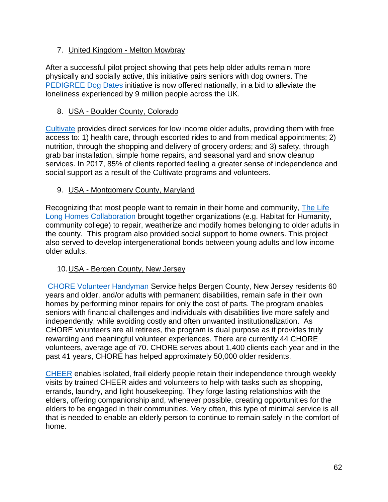### 7. United Kingdom - Melton Mowbray

After a successful pilot project showing that pets help older adults remain more physically and socially active, this initiative pairs seniors with dog owners. The [PEDIGREE Dog Dates](https://uk.pedigree.com/dogdates/) initiative is now offered nationally, in a bid to alleviate the loneliness experienced by 9 million people across the UK.

### 8. USA - Boulder County, Colorado

[Cultivate](https://extranet.who.int/agefriendlyworld/afp/cultivate-safety-net-services/) provides direct services for low income older adults, providing them with free access to: 1) health care, through escorted rides to and from medical appointments; 2) nutrition, through the shopping and delivery of grocery orders; and 3) safety, through grab bar installation, simple home repairs, and seasonal yard and snow cleanup services. In 2017, 85% of clients reported feeling a greater sense of independence and social support as a result of the Cultivate programs and volunteers.

## 9. USA - Montgomery County, Maryland

Recognizing that most people want to remain in their home and community, The Life [Long Homes Collaboration](https://extranet.who.int/agefriendlyworld/afp/life-long-homes-coalition/) brought together organizations (e.g. Habitat for Humanity, community college) to repair, weatherize and modify homes belonging to older adults in the county. This program also provided social support to home owners. This project also served to develop intergenerational bonds between young adults and low income older adults.

### 10.USA - Bergen County, New Jersey

[CHORE Volunteer Handyman](https://www.bergenvolunteers.org/chore-service) Service helps Bergen County, New Jersey residents 60 years and older, and/or adults with permanent disabilities, remain safe in their own homes by performing minor repairs for only the cost of parts. The program enables seniors with financial challenges and individuals with disabilities live more safely and independently, while avoiding costly and often unwanted institutionalization. As CHORE volunteers are all retirees, the program is dual purpose as it provides truly rewarding and meaningful volunteer experiences. There are currently 44 CHORE volunteers, average age of 70. CHORE serves about 1,400 clients each year and in the past 41 years, CHORE has helped approximately 50,000 older residents.

[CHEER](https://www.bergenvolunteers.org/cheer-service) enables isolated, frail elderly people retain their independence through weekly visits by trained CHEER aides and volunteers to help with tasks such as shopping, errands, laundry, and light housekeeping. They forge lasting relationships with the elders, offering companionship and, whenever possible, creating opportunities for the elders to be engaged in their communities. Very often, this type of minimal service is all that is needed to enable an elderly person to continue to remain safely in the comfort of home.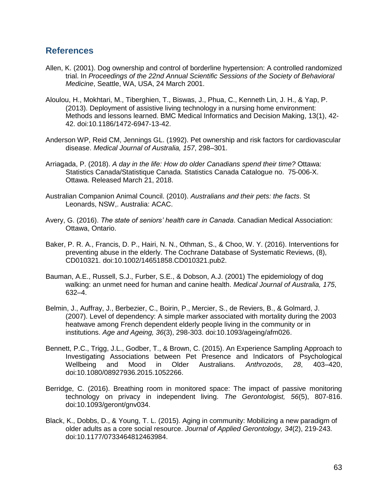### **References**

- Allen, K. (2001). Dog ownership and control of borderline hypertension: A controlled randomized trial. In *Proceedings of the 22nd Annual Scientific Sessions of the Society of Behavioral Medicine*, Seattle, WA, USA, 24 March 2001.
- Aloulou, H., Mokhtari, M., Tiberghien, T., Biswas, J., Phua, C., Kenneth Lin, J. H., & Yap, P. (2013). Deployment of assistive living technology in a nursing home environment: Methods and lessons learned. BMC Medical Informatics and Decision Making, 13(1), 42- 42. doi:10.1186/1472-6947-13-42.
- Anderson WP, Reid CM, Jennings GL. (1992). Pet ownership and risk factors for cardiovascular disease. *Medical Journal of Australia, 157*, 298–301.
- Arriagada, P. (2018). *A day in the life: How do older Canadians spend their time?* Ottawa: Statistics Canada/Statistique Canada. Statistics Canada Catalogue no. 75-006-X. Ottawa. Released March 21, 2018.
- Australian Companion Animal Council. (2010). *Australians and their pets: the facts*. St Leonards, NSW,. Australia: ACAC.
- Avery, G. (2016). *The state of seniors' health care in Canada*. Canadian Medical Association: Ottawa, Ontario.
- Baker, P. R. A., Francis, D. P., Hairi, N. N., Othman, S., & Choo, W. Y. (2016). Interventions for preventing abuse in the elderly. The Cochrane Database of Systematic Reviews, (8), CD010321. doi:10.1002/14651858.CD010321.pub2.
- Bauman, A.E., Russell, S.J., Furber, S.E., & Dobson, A.J. (2001) The epidemiology of dog walking: an unmet need for human and canine health. *Medical Journal of Australia, 175*, 632–4.
- Belmin, J., Auffray, J., Berbezier, C., Boirin, P., Mercier, S., de Reviers, B., & Golmard, J. (2007). Level of dependency: A simple marker associated with mortality during the 2003 heatwave among French dependent elderly people living in the community or in institutions. *Age and Ageing, 36*(3), 298-303. doi:10.1093/ageing/afm026.
- Bennett, P.C., Trigg, J.L., Godber, T., & Brown, C. (2015). An Experience Sampling Approach to Investigating Associations between Pet Presence and Indicators of Psychological Wellbeing and Mood in Older Australians. *Anthrozoös*, *28*, 403–420, doi:10.1080/08927936.2015.1052266.
- Berridge, C. (2016). Breathing room in monitored space: The impact of passive monitoring technology on privacy in independent living. *The Gerontologist, 56*(5), 807-816. doi:10.1093/geront/gnv034.
- Black, K., Dobbs, D., & Young, T. L. (2015). Aging in community: Mobilizing a new paradigm of older adults as a core social resource. *Journal of Applied Gerontology, 34*(2), 219-243. doi:10.1177/0733464812463984.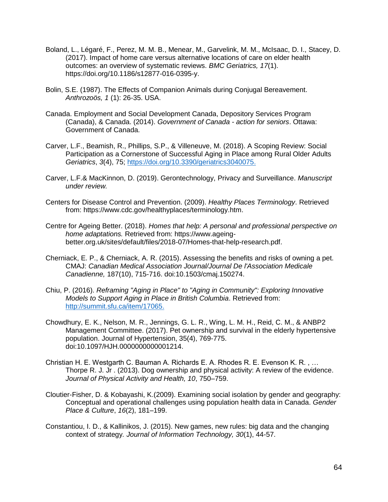- Boland, L., Légaré, F., Perez, M. M. B., Menear, M., Garvelink, M. M., McIsaac, D. I., Stacey, D. (2017). Impact of home care versus alternative locations of care on elder health outcomes: an overview of systematic reviews. *BMC Geriatrics, 17*(1). https://doi.org/10.1186/s12877-016-0395-y.
- Bolin, S.E. (1987). The Effects of Companion Animals during Conjugal Bereavement. *Anthrozoös, 1* (1): 26-35. USA.
- Canada. Employment and Social Development Canada, Depository Services Program (Canada), & Canada. (2014). *Government of Canada - action for seniors*. Ottawa: Government of Canada.
- Carver, L.F., Beamish, R., Phillips, S.P., & Villeneuve, M. (2018). A Scoping Review: Social Participation as a Cornerstone of Successful Aging in Place among Rural Older Adults *Geriatrics*, *3*(4), 75; [https://doi.org/10.3390/geriatrics3040075.](https://doi.org/10.3390/geriatrics3040075)
- Carver, L.F.& MacKinnon, D. (2019). Gerontechnology, Privacy and Surveillance. *Manuscript under review.*
- Centers for Disease Control and Prevention. (2009). *Healthy Places Terminology*. Retrieved from: https://www.cdc.gov/healthyplaces/terminology.htm.
- Centre for Ageing Better. (2018). *Homes that help: A personal and professional perspective on home adaptations.* Retrieved from: https://www.ageingbetter.org.uk/sites/default/files/2018-07/Homes-that-help-research.pdf.
- Cherniack, E. P., & Cherniack, A. R. (2015). Assessing the benefits and risks of owning a pet. CMAJ: *Canadian Medical Association Journal/Journal De l'Association Medicale Canadienne,* 187(10), 715-716. doi:10.1503/cmaj.150274.
- Chiu, P. (2016). *Reframing "Aging in Place" to "Aging in Community": Exploring Innovative Models to Support Aging in Place in British Columbia*. Retrieved from: [http://summit.sfu.ca/item/17065.](http://summit.sfu.ca/item/17065)
- Chowdhury, E. K., Nelson, M. R., Jennings, G. L. R., Wing, L. M. H., Reid, C. M., & ANBP2 Management Committee. (2017). Pet ownership and survival in the elderly hypertensive population. Journal of Hypertension, 35(4), 769-775. doi:10.1097/HJH.0000000000001214.
- Christian H. E. Westgarth C. Bauman A. Richards E. A. Rhodes R. E. Evenson K. R. , … Thorpe R. J. Jr . (2013). Dog ownership and physical activity: A review of the evidence. *Journal of Physical Activity and Health, 10*, 750–759.
- Cloutier-Fisher, D. & Kobayashi, K.(2009). Examining social isolation by gender and geography: Conceptual and operational challenges using population health data in Canada. *Gender Place & Culture*, *16*(2), 181–199.
- Constantiou, I. D., & Kallinikos, J. (2015). New games, new rules: big data and the changing context of strategy*. Journal of Information Technology, 30*(1), 44-57.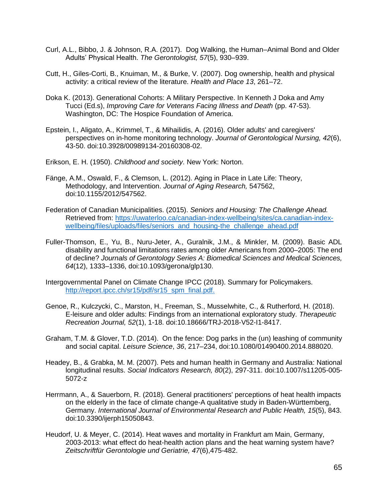- Curl, A.L., Bibbo, J. & Johnson, R.A. (2017). Dog Walking, the Human–Animal Bond and Older Adults' Physical Health. *The Gerontologist, 57*(5), 930–939.
- Cutt, H., Giles-Corti, B., Knuiman, M., & Burke, V. (2007). Dog ownership, health and physical activity: a critical review of the literature. *Health and Place 13*, 261–72.
- Doka K. (2013). Generational Cohorts: A Military Perspective. In Kenneth J Doka and Amy Tucci (Ed.s), *Improving Care for Veterans Facing Illness and Death* (pp. 47-53). Washington, DC: The Hospice Foundation of America.
- Epstein, I., Aligato, A., Krimmel, T., & Mihailidis, A. (2016). Older adults' and caregivers' perspectives on in-home monitoring technology. *Journal of Gerontological Nursing, 42*(6), 43-50. doi:10.3928/00989134-20160308-02.
- Erikson, E. H. (1950). *Childhood and society*. New York: Norton.
- Fänge, A.M., Oswald, F., & Clemson, L. (2012). Aging in Place in Late Life: Theory, Methodology, and Intervention. *Journal of Aging Research,* 547562, doi:10.1155/2012/547562.
- Federation of Canadian Municipalities. (2015). *Seniors and Housing: The Challenge Ahead.*  Retrieved from: [https://uwaterloo.ca/canadian-index-wellbeing/sites/ca.canadian-index](https://uwaterloo.ca/canadian-index-wellbeing/sites/ca.canadian-index-wellbeing/files/uploads/files/seniors_and_housing-the_challenge_ahead.pdf)[wellbeing/files/uploads/files/seniors\\_and\\_housing-the\\_challenge\\_ahead.pdf](https://uwaterloo.ca/canadian-index-wellbeing/sites/ca.canadian-index-wellbeing/files/uploads/files/seniors_and_housing-the_challenge_ahead.pdf)
- Fuller-Thomson, E., Yu, B., Nuru-Jeter, A., Guralnik, J.M., & Minkler, M. (2009). Basic ADL disability and functional limitations rates among older Americans from 2000–2005: The end of decline? *Journals of Gerontology Series A: Biomedical Sciences and Medical Sciences, 64*(12), 1333–1336, doi:10.1093/gerona/glp130.
- Intergovernmental Panel on Climate Change IPCC (2018). Summary for Policymakers. [http://report.ipcc.ch/sr15/pdf/sr15\\_spm\\_final.pdf.](http://report.ipcc.ch/sr15/pdf/sr15_spm_final.pdf)
- Genoe, R., Kulczycki, C., Marston, H., Freeman, S., Musselwhite, C., & Rutherford, H. (2018). E-leisure and older adults: Findings from an international exploratory study. *Therapeutic Recreation Journal, 52*(1), 1-18. doi:10.18666/TRJ-2018-V52-I1-8417.
- Graham, T.M. & Glover, T.D. (2014). On the fence: Dog parks in the (un) leashing of community and social capital. *Leisure Science*, *36*, 217–234, doi:10.1080/01490400.2014.888020.
- Headey, B., & Grabka, M. M. (2007). Pets and human health in Germany and Australia: National longitudinal results. *Social Indicators Research, 80*(2), 297-311. doi:10.1007/s11205-005- 5072-z
- Herrmann, A., & Sauerborn, R. (2018). General practitioners' perceptions of heat health impacts on the elderly in the face of climate change-A qualitative study in Baden-Württemberg, Germany. *International Journal of Environmental Research and Public Health, 15*(5), 843. doi:10.3390/ijerph15050843.
- Heudorf, U. & Meyer, C. (2014). Heat waves and mortality in Frankfurt am Main, Germany, 2003-2013: what effect do heat-health action plans and the heat warning system have? *Zeitschriftfür Gerontologie und Geriatrie, 47*(6),475-482.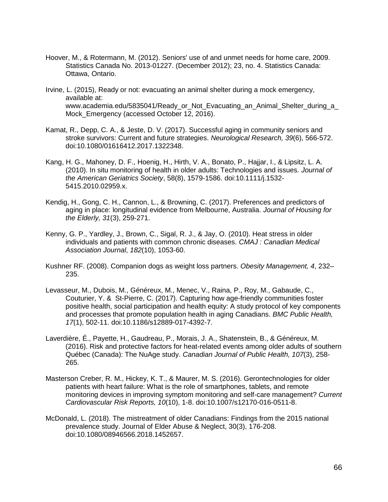- Hoover, M., & Rotermann, M. (2012). Seniors' use of and unmet needs for home care, 2009. Statistics Canada No. 2013-01227. (December 2012); 23, no. 4. Statistics Canada: Ottawa, Ontario.
- Irvine, L. (2015), Ready or not: evacuating an animal shelter during a mock emergency, available at: www.academia.edu/5835041/Ready\_or\_Not\_Evacuating\_an\_Animal\_Shelter\_during\_a\_ Mock\_Emergency (accessed October 12, 2016).
- Kamat, R., Depp, C. A., & Jeste, D. V. (2017). Successful aging in community seniors and stroke survivors: Current and future strategies. *Neurological Research, 39*(6), 566-572. doi:10.1080/01616412.2017.1322348.
- Kang, H. G., Mahoney, D. F., Hoenig, H., Hirth, V. A., Bonato, P., Hajjar, I., & Lipsitz, L. A. (2010). In situ monitoring of health in older adults: Technologies and issues. *Journal of the American Geriatrics Society*, 58(8), 1579-1586. doi:10.1111/j.1532- 5415.2010.02959.x.
- Kendig, H., Gong, C. H., Cannon, L., & Browning, C. (2017). Preferences and predictors of aging in place: longitudinal evidence from Melbourne, Australia. *Journal of Housing for the Elderly, 31*(3), 259-271.
- Kenny, G. P., Yardley, J., Brown, C., Sigal, R. J., & Jay, O. (2010). Heat stress in older individuals and patients with common chronic diseases. *CMAJ : Canadian Medical Association Journal*, *182*(10), 1053-60.
- Kushner RF. (2008). Companion dogs as weight loss partners. *Obesity Management, 4*, 232– 235.
- Levasseur, M., Dubois, M., Généreux, M., Menec, V., Raina, P., Roy, M., Gabaude, C., Couturier, Y. & St-Pierre, C. (2017). Capturing how age-friendly communities foster positive health, social participation and health equity: A study protocol of key components and processes that promote population health in aging Canadians. *BMC Public Health, 17*(1), 502-11. doi:10.1186/s12889-017-4392-7.
- Laverdière, É., Payette, H., Gaudreau, P., Morais, J. A., Shatenstein, B., & Généreux, M. (2016). Risk and protective factors for heat-related events among older adults of southern Québec (Canada): The NuAge study. *Canadian Journal of Public Health, 107*(3), 258- 265.
- Masterson Creber, R. M., Hickey, K. T., & Maurer, M. S. (2016). Gerontechnologies for older patients with heart failure: What is the role of smartphones, tablets, and remote monitoring devices in improving symptom monitoring and self-care management? *Current Cardiovascular Risk Reports, 10*(10), 1-8. doi:10.1007/s12170-016-0511-8.
- McDonald, L. (2018). The mistreatment of older Canadians: Findings from the 2015 national prevalence study. Journal of Elder Abuse & Neglect, 30(3), 176-208. doi:10.1080/08946566.2018.1452657.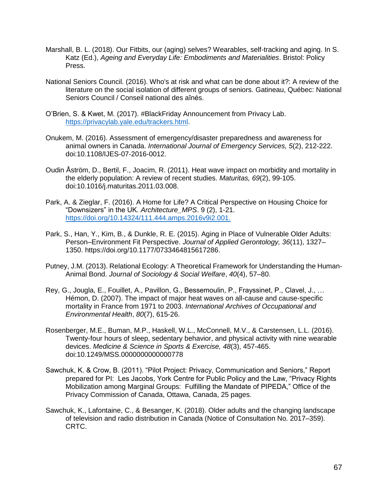- Marshall, B. L. (2018). Our Fitbits, our (aging) selves? Wearables, self-tracking and aging. In S. Katz (Ed.), *Ageing and Everyday Life: Embodiments and Materialities*. Bristol: Policy Press.
- National Seniors Council. (2016). Who's at risk and what can be done about it?: A review of the literature on the social isolation of different groups of seniors. Gatineau, Québec: National Seniors Council / Conseil national des aînés.
- O'Brien, S. & Kwet, M. (2017). #BlackFriday Announcement from Privacy Lab. [https://privacylab.yale.edu/trackers.html.](https://privacylab.yale.edu/trackers.html)
- Onukem, M. (2016). Assessment of emergency/disaster preparedness and awareness for animal owners in Canada. *International Journal of Emergency Services, 5*(2), 212-222. doi:10.1108/IJES-07-2016-0012.
- Oudin Åström, D., Bertil, F., Joacim, R. (2011). Heat wave impact on morbidity and mortality in the elderly population: A review of recent studies. *Maturitas, 69*(2), 99-105. doi:10.1016/j.maturitas.2011.03.008.
- Park, A. & Zieglar, F. (2016). A Home for Life? A Critical Perspective on Housing Choice for "Downsizers" in the UK. *Architecture\_MPS*. 9 (2), 1-21. [https://doi.org/10.14324/111.444.amps.2016v9i2.001.](https://doi.org/10.14324/111.444.amps.2016v9i2.001)
- Park, S., Han, Y., Kim, B., & Dunkle, R. E. (2015). Aging in Place of Vulnerable Older Adults: Person–Environment Fit Perspective. *Journal of Applied Gerontology, 36*(11), 1327– 1350. https://doi.org/10.1177/0733464815617286.
- Putney, J.M. (2013). Relational Ecology: A Theoretical Framework for Understanding the Human-Animal Bond. *Journal of Sociology & Social Welfare*, *40*(4), 57–80.
- Rey, G., Jougla, E., Fouillet, A., Pavillon, G., Bessemoulin, P., Frayssinet, P., Clavel, J., … Hémon, D. (2007). The impact of major heat waves on all-cause and cause-specific mortality in France from 1971 to 2003. *International Archives of Occupational and Environmental Health*, *80*(7), 615-26.
- Rosenberger, M.E., Buman, M.P., Haskell, W.L., McConnell, M.V., & Carstensen, L.L. (2016). Twenty-four hours of sleep, sedentary behavior, and physical activity with nine wearable devices. *Medicine & Science in Sports & Exercise, 48*(3), 457-465. doi:10.1249/MSS.0000000000000778
- Sawchuk, K. & Crow, B. (2011). "Pilot Project: Privacy, Communication and Seniors," Report prepared for PI: Les Jacobs, York Centre for Public Policy and the Law, "Privacy Rights Mobilization among Marginal Groups: Fulfilling the Mandate of PIPEDA," Office of the Privacy Commission of Canada, Ottawa, Canada, 25 pages.
- Sawchuk, K., Lafontaine, C., & Besanger, K. (2018). Older adults and the changing landscape of television and radio distribution in Canada (Notice of Consultation No. 2017–359). CRTC.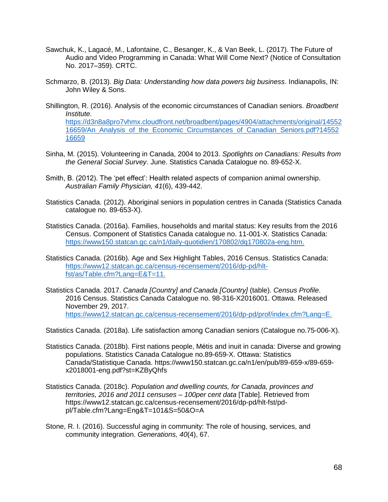- Sawchuk, K., Lagacé, M., Lafontaine, C., Besanger, K., & Van Beek, L. (2017). The Future of Audio and Video Programming in Canada: What Will Come Next? (Notice of Consultation No. 2017–359). CRTC.
- Schmarzo, B. (2013). *Big Data: Understanding how data powers big business*. Indianapolis, IN: John Wiley & Sons.
- Shillington, R. (2016). Analysis of the economic circumstances of Canadian seniors. *Broadbent Institute.*  [https://d3n8a8pro7vhmx.cloudfront.net/broadbent/pages/4904/attachments/original/14552](https://d3n8a8pro7vhmx.cloudfront.net/broadbent/pages/4904/attachments/original/1455216659/An_Analysis_of_the_Economic_Circumstances_of_Canadian_Seniors.pdf?1455216659) [16659/An\\_Analysis\\_of\\_the\\_Economic\\_Circumstances\\_of\\_Canadian\\_Seniors.pdf?14552](https://d3n8a8pro7vhmx.cloudfront.net/broadbent/pages/4904/attachments/original/1455216659/An_Analysis_of_the_Economic_Circumstances_of_Canadian_Seniors.pdf?1455216659) [16659](https://d3n8a8pro7vhmx.cloudfront.net/broadbent/pages/4904/attachments/original/1455216659/An_Analysis_of_the_Economic_Circumstances_of_Canadian_Seniors.pdf?1455216659)
- Sinha, M. (2015). Volunteering in Canada, 2004 to 2013. *Spotlights on Canadians: Results from the General Social Survey*. June. Statistics Canada Catalogue no. 89-652-X.
- Smith, B. (2012). The 'pet effect': Health related aspects of companion animal ownership. *Australian Family Physician, 41*(6), 439-442.
- Statistics Canada. (2012). Aboriginal seniors in population centres in Canada (Statistics Canada catalogue no. 89-653-X).
- Statistics Canada. (2016a). Families, households and marital status: Key results from the 2016 Census. Component of Statistics Canada catalogue no. 11-001-X. Statistics Canada: [https://www150.statcan.gc.ca/n1/daily-quotidien/170802/dq170802a-eng.htm.](https://www150.statcan.gc.ca/n1/daily-quotidien/170802/dq170802a-eng.htm)
- Statistics Canada. (2016b). Age and Sex Highlight Tables, 2016 Census. Statistics Canada: [https://www12.statcan.gc.ca/census-recensement/2016/dp-pd/hlt](https://www12.statcan.gc.ca/census-recensement/2016/dp-pd/hlt-fst/as/Table.cfm?Lang=E&T=11)[fst/as/Table.cfm?Lang=E&T=11.](https://www12.statcan.gc.ca/census-recensement/2016/dp-pd/hlt-fst/as/Table.cfm?Lang=E&T=11)
- Statistics Canada. 2017. *Canada [Country] and Canada [Country]* (table). *Census Profile*. 2016 Census. Statistics Canada Catalogue no. 98-316-X2016001. Ottawa. Released November 29, 2017. [https://www12.statcan.gc.ca/census-recensement/2016/dp-pd/prof/index.cfm?Lang=E.](https://www12.statcan.gc.ca/census-recensement/2016/dp-pd/prof/index.cfm?Lang=E)

Statistics Canada. (2018a). Life satisfaction among Canadian seniors (Catalogue no.75-006-X).

- Statistics Canada. (2018b). First nations people, Métis and inuit in canada: Diverse and growing populations. Statistics Canada Catalogue no.89-659-X. Ottawa: Statistics Canada/Statistique Canada. https://www150.statcan.gc.ca/n1/en/pub/89-659-x/89-659 x2018001-eng.pdf?st=KZByQhfs
- Statistics Canada. (2018c). *Population and dwelling counts, for Canada, provinces and territories, 2016 and 2011 censuses – 100per cent data* [Table]. Retrieved from https://www12.statcan.gc.ca/census-recensement/2016/dp-pd/hlt-fst/pdpl/Table.cfm?Lang=Eng&T=101&S=50&O=A
- Stone, R. I. (2016). Successful aging in community: The role of housing, services, and community integration. *Generations, 40*(4), 67.